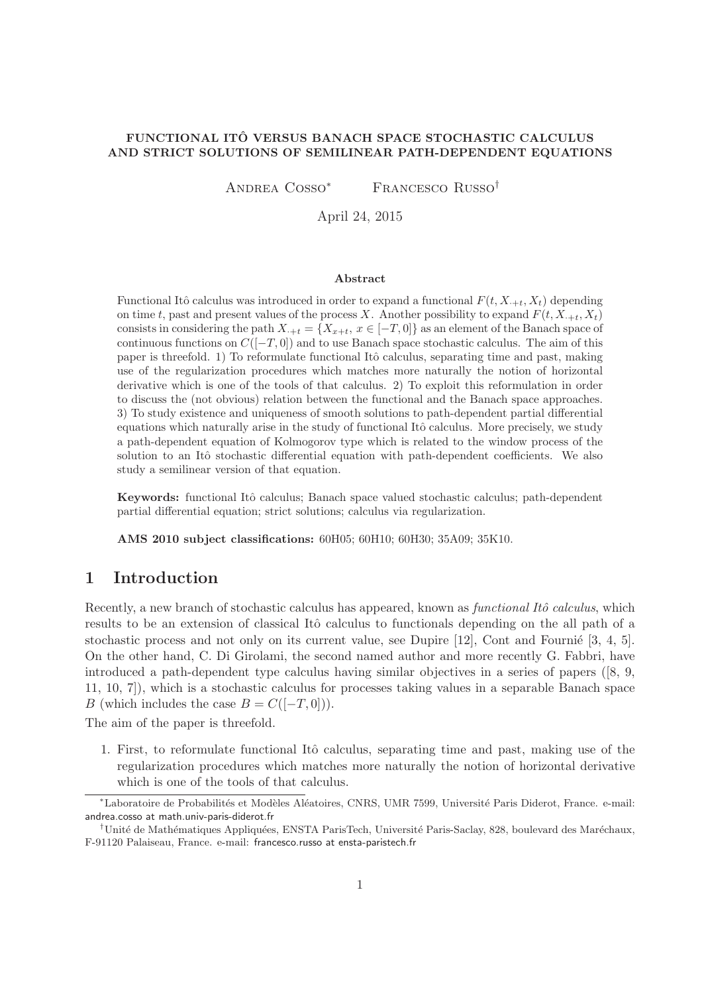#### FUNCTIONAL ITO VERSUS BANACH SPACE STOCHASTIC CALCULUS ˆ AND STRICT SOLUTIONS OF SEMILINEAR PATH-DEPENDENT EQUATIONS

Andrea Cosso<sup>∗</sup> Francesco Russo†

April 24, 2015

#### Abstract

Functional Itô calculus was introduced in order to expand a functional  $F(t, X_{t}, X_t)$  depending on time t, past and present values of the process X. Another possibility to expand  $F(t, X_{t}, X_t)$ consists in considering the path  $X_{t+1} = \{X_{x+t}, x \in [-T, 0]\}$  as an element of the Banach space of continuous functions on  $C([-T, 0])$  and to use Banach space stochastic calculus. The aim of this paper is threefold. 1) To reformulate functional Itô calculus, separating time and past, making use of the regularization procedures which matches more naturally the notion of horizontal derivative which is one of the tools of that calculus. 2) To exploit this reformulation in order to discuss the (not obvious) relation between the functional and the Banach space approaches. 3) To study existence and uniqueness of smooth solutions to path-dependent partial differential equations which naturally arise in the study of functional Itô calculus. More precisely, we study a path-dependent equation of Kolmogorov type which is related to the window process of the solution to an Itô stochastic differential equation with path-dependent coefficients. We also study a semilinear version of that equation.

Keywords: functional Itô calculus; Banach space valued stochastic calculus; path-dependent partial differential equation; strict solutions; calculus via regularization.

AMS 2010 subject classifications: 60H05; 60H10; 60H30; 35A09; 35K10.

# 1 Introduction

Recently, a new branch of stochastic calculus has appeared, known as *functional Itô calculus*, which results to be an extension of classical Itô calculus to functionals depending on the all path of a stochastic process and not only on its current value, see Dupire  $[12]$ , Cont and Fournié  $[3, 4, 5]$ . On the other hand, C. Di Girolami, the second named author and more recently G. Fabbri, have introduced a path-dependent type calculus having similar objectives in a series of papers ([8, 9, 11, 10, 7]), which is a stochastic calculus for processes taking values in a separable Banach space B (which includes the case  $B = C([-T, 0]))$ .

The aim of the paper is threefold.

1. First, to reformulate functional Itô calculus, separating time and past, making use of the regularization procedures which matches more naturally the notion of horizontal derivative which is one of the tools of that calculus.

<sup>\*</sup>Laboratoire de Probabilités et Modèles Aléatoires, CNRS, UMR 7599, Université Paris Diderot, France. e-mail: andrea.cosso at math.univ-paris-diderot.fr

<sup>&</sup>lt;sup>†</sup>Unité de Mathématiques Appliquées, ENSTA ParisTech, Université Paris-Saclay, 828, boulevard des Maréchaux, F-91120 Palaiseau, France. e-mail: francesco.russo at ensta-paristech.fr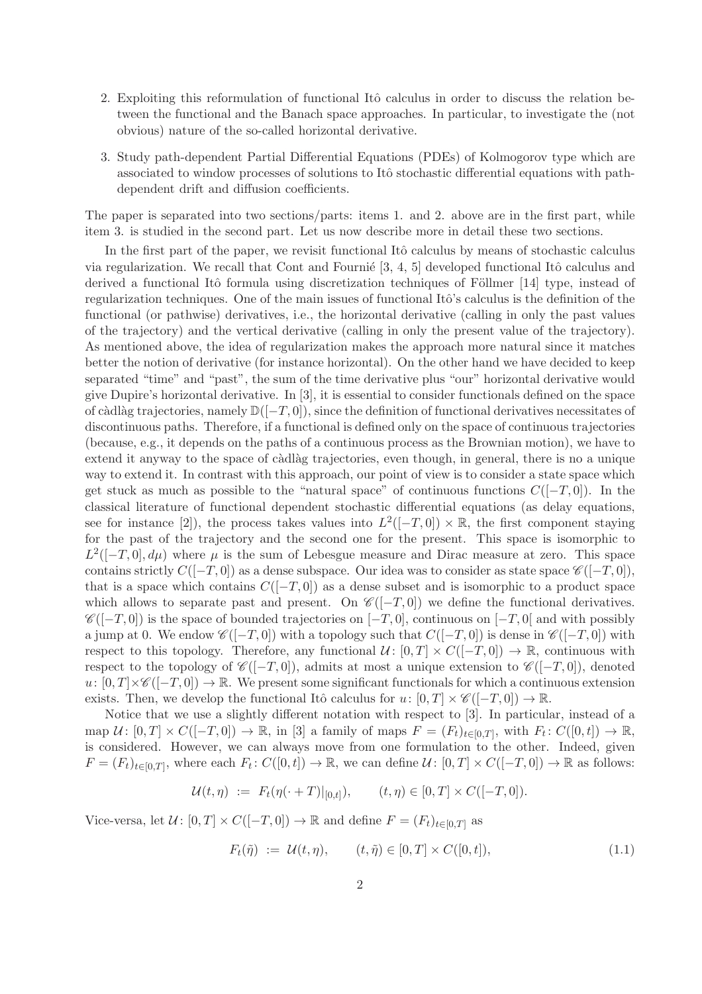- 2. Exploiting this reformulation of functional Itô calculus in order to discuss the relation between the functional and the Banach space approaches. In particular, to investigate the (not obvious) nature of the so-called horizontal derivative.
- 3. Study path-dependent Partial Differential Equations (PDEs) of Kolmogorov type which are associated to window processes of solutions to Itô stochastic differential equations with pathdependent drift and diffusion coefficients.

The paper is separated into two sections/parts: items 1. and 2. above are in the first part, while item 3. is studied in the second part. Let us now describe more in detail these two sections.

In the first part of the paper, we revisit functional Itô calculus by means of stochastic calculus via regularization. We recall that Cont and Fournie  $[3, 4, 5]$  developed functional Itô calculus and derived a functional Itô formula using discretization techniques of Föllmer  $[14]$  type, instead of regularization techniques. One of the main issues of functional Itô's calculus is the definition of the functional (or pathwise) derivatives, i.e., the horizontal derivative (calling in only the past values of the trajectory) and the vertical derivative (calling in only the present value of the trajectory). As mentioned above, the idea of regularization makes the approach more natural since it matches better the notion of derivative (for instance horizontal). On the other hand we have decided to keep separated "time" and "past", the sum of the time derivative plus "our" horizontal derivative would give Dupire's horizontal derivative. In [3], it is essential to consider functionals defined on the space of càdlàg trajectories, namely  $\mathbb{D}([-T, 0])$ , since the definition of functional derivatives necessitates of discontinuous paths. Therefore, if a functional is defined only on the space of continuous trajectories (because, e.g., it depends on the paths of a continuous process as the Brownian motion), we have to extend it anyway to the space of càdlàg trajectories, even though, in general, there is no a unique way to extend it. In contrast with this approach, our point of view is to consider a state space which get stuck as much as possible to the "natural space" of continuous functions  $C([-T, 0])$ . In the classical literature of functional dependent stochastic differential equations (as delay equations, see for instance [2]), the process takes values into  $L^2([-T,0]) \times \mathbb{R}$ , the first component staying for the past of the trajectory and the second one for the present. This space is isomorphic to  $L^2([-T,0], d\mu)$  where  $\mu$  is the sum of Lebesgue measure and Dirac measure at zero. This space contains strictly  $C([-T, 0])$  as a dense subspace. Our idea was to consider as state space  $\mathscr{C}([-T, 0])$ , that is a space which contains  $C([-T, 0])$  as a dense subset and is isomorphic to a product space which allows to separate past and present. On  $\mathscr{C}([-T,0])$  we define the functional derivatives.  $\mathscr{C}([-T,0])$  is the space of bounded trajectories on  $[-T,0]$ , continuous on  $[-T,0]$  and with possibly a jump at 0. We endow  $\mathscr{C}([-T,0])$  with a topology such that  $C([-T,0])$  is dense in  $\mathscr{C}([-T,0])$  with respect to this topology. Therefore, any functional  $\mathcal{U} : [0, T] \times C([-T, 0]) \to \mathbb{R}$ , continuous with respect to the topology of  $\mathscr{C}([-T,0])$ , admits at most a unique extension to  $\mathscr{C}([-T,0])$ , denoted  $u: [0, T] \times \mathscr{C}([-T, 0]) \to \mathbb{R}$ . We present some significant functionals for which a continuous extension exists. Then, we develop the functional Itô calculus for  $u: [0, T] \times \mathscr{C}([-T, 0]) \to \mathbb{R}$ .

Notice that we use a slightly different notation with respect to [3]. In particular, instead of a map  $\mathcal{U} \colon [0,T] \times C([-T,0]) \to \mathbb{R}$ , in [3] a family of maps  $F = (F_t)_{t \in [0,T]}$ , with  $F_t \colon C([0,t]) \to \mathbb{R}$ , is considered. However, we can always move from one formulation to the other. Indeed, given  $F = (F_t)_{t \in [0,T]},$  where each  $F_t: C([0,t]) \to \mathbb{R}$ , we can define  $\mathcal{U}: [0,T] \times C([-T,0]) \to \mathbb{R}$  as follows:

$$
\mathcal{U}(t,\eta) := F_t(\eta(\cdot+T)|_{[0,t]}), \qquad (t,\eta) \in [0,T] \times C([-T,0]).
$$

Vice-versa, let  $\mathcal{U} : [0, T] \times C([-T, 0]) \to \mathbb{R}$  and define  $F = (F_t)_{t \in [0, T]}$  as

$$
F_t(\tilde{\eta}) := \mathcal{U}(t, \eta), \qquad (t, \tilde{\eta}) \in [0, T] \times C([0, t]), \tag{1.1}
$$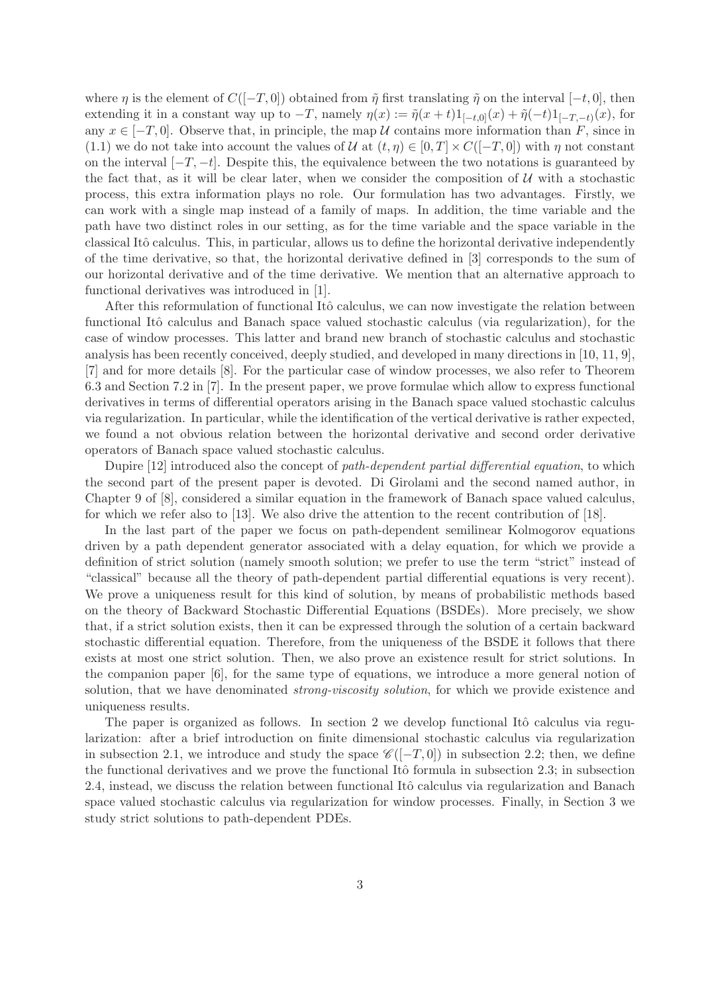where  $\eta$  is the element of  $C([-T, 0])$  obtained from  $\tilde{\eta}$  first translating  $\tilde{\eta}$  on the interval  $[-t, 0]$ , then extending it in a constant way up to  $-T$ , namely  $\eta(x) := \tilde{\eta}(x+t)1_{[-t,0]}(x) + \tilde{\eta}(-t)1_{[-T,-t]}(x)$ , for any  $x \in [-T, 0]$ . Observe that, in principle, the map U contains more information than F, since in (1.1) we do not take into account the values of U at  $(t, \eta) \in [0, T] \times C([-T, 0])$  with  $\eta$  not constant on the interval  $[-T, -t]$ . Despite this, the equivalence between the two notations is guaranteed by the fact that, as it will be clear later, when we consider the composition of  $\mathcal U$  with a stochastic process, this extra information plays no role. Our formulation has two advantages. Firstly, we can work with a single map instead of a family of maps. In addition, the time variable and the path have two distinct roles in our setting, as for the time variable and the space variable in the classical Itô calculus. This, in particular, allows us to define the horizontal derivative independently of the time derivative, so that, the horizontal derivative defined in [3] corresponds to the sum of our horizontal derivative and of the time derivative. We mention that an alternative approach to functional derivatives was introduced in [1].

After this reformulation of functional Itô calculus, we can now investigate the relation between functional Itô calculus and Banach space valued stochastic calculus (via regularization), for the case of window processes. This latter and brand new branch of stochastic calculus and stochastic analysis has been recently conceived, deeply studied, and developed in many directions in [10, 11, 9], [7] and for more details [8]. For the particular case of window processes, we also refer to Theorem 6.3 and Section 7.2 in [7]. In the present paper, we prove formulae which allow to express functional derivatives in terms of differential operators arising in the Banach space valued stochastic calculus via regularization. In particular, while the identification of the vertical derivative is rather expected, we found a not obvious relation between the horizontal derivative and second order derivative operators of Banach space valued stochastic calculus.

Dupire [12] introduced also the concept of *path-dependent partial differential equation*, to which the second part of the present paper is devoted. Di Girolami and the second named author, in Chapter 9 of [8], considered a similar equation in the framework of Banach space valued calculus, for which we refer also to [13]. We also drive the attention to the recent contribution of [18].

In the last part of the paper we focus on path-dependent semilinear Kolmogorov equations driven by a path dependent generator associated with a delay equation, for which we provide a definition of strict solution (namely smooth solution; we prefer to use the term "strict" instead of "classical" because all the theory of path-dependent partial differential equations is very recent). We prove a uniqueness result for this kind of solution, by means of probabilistic methods based on the theory of Backward Stochastic Differential Equations (BSDEs). More precisely, we show that, if a strict solution exists, then it can be expressed through the solution of a certain backward stochastic differential equation. Therefore, from the uniqueness of the BSDE it follows that there exists at most one strict solution. Then, we also prove an existence result for strict solutions. In the companion paper [6], for the same type of equations, we introduce a more general notion of solution, that we have denominated *strong-viscosity solution*, for which we provide existence and uniqueness results.

The paper is organized as follows. In section 2 we develop functional Itô calculus via regularization: after a brief introduction on finite dimensional stochastic calculus via regularization in subsection 2.1, we introduce and study the space  $\mathscr{C}([-T,0])$  in subsection 2.2; then, we define the functional derivatives and we prove the functional Itô formula in subsection 2.3; in subsection 2.4, instead, we discuss the relation between functional Itô calculus via regularization and Banach space valued stochastic calculus via regularization for window processes. Finally, in Section 3 we study strict solutions to path-dependent PDEs.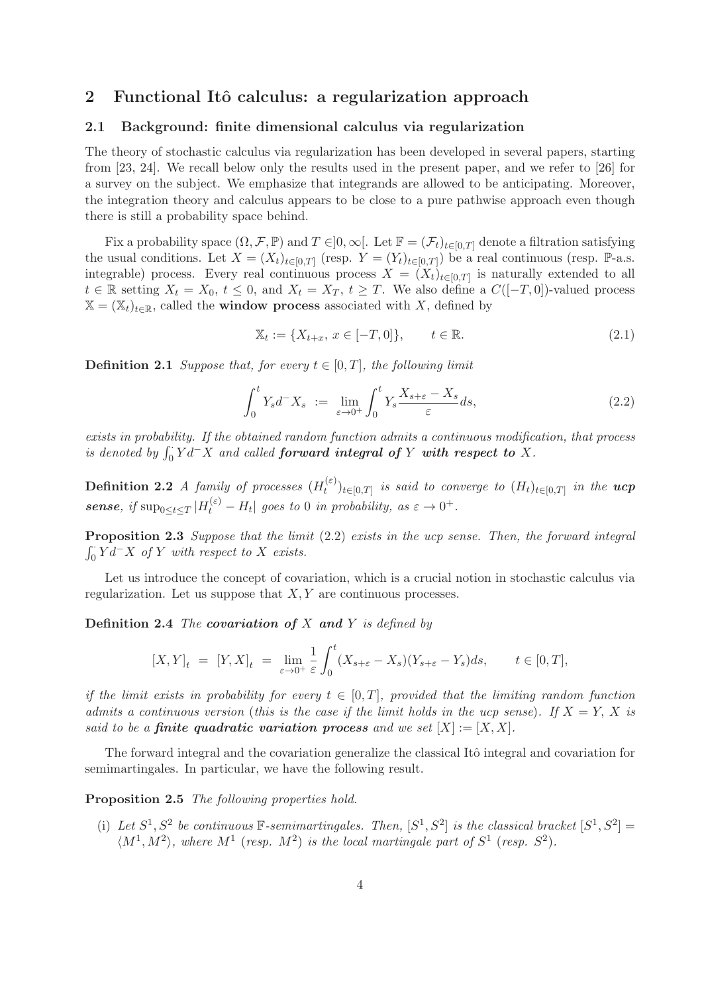## 2 Functional Itô calculus: a regularization approach

### 2.1 Background: finite dimensional calculus via regularization

The theory of stochastic calculus via regularization has been developed in several papers, starting from [23, 24]. We recall below only the results used in the present paper, and we refer to [26] for a survey on the subject. We emphasize that integrands are allowed to be anticipating. Moreover, the integration theory and calculus appears to be close to a pure pathwise approach even though there is still a probability space behind.

Fix a probability space  $(\Omega, \mathcal{F}, \mathbb{P})$  and  $T \in ]0, \infty[$ . Let  $\mathbb{F} = (\mathcal{F}_t)_{t \in [0,T]}$  denote a filtration satisfying the usual conditions. Let  $X = (X_t)_{t \in [0,T]}$  (resp.  $Y = (Y_t)_{t \in [0,T]}$ ) be a real continuous (resp. P-a.s. integrable) process. Every real continuous process  $X = (X_t)_{t \in [0,T]}$  is naturally extended to all  $t \in \mathbb{R}$  setting  $X_t = X_0, t \leq 0$ , and  $X_t = X_T, t \geq T$ . We also define a  $C([-T, 0])$ -valued process  $\mathbb{X} = (\mathbb{X}_t)_{t \in \mathbb{R}}$ , called the **window process** associated with X, defined by

$$
\mathbb{X}_t := \{ X_{t+x}, \, x \in [-T, 0] \}, \qquad t \in \mathbb{R}.
$$
\n(2.1)

**Definition 2.1** Suppose that, for every  $t \in [0, T]$ , the following limit

$$
\int_0^t Y_s d^- X_s \ := \ \lim_{\varepsilon \to 0^+} \int_0^t Y_s \frac{X_{s+\varepsilon} - X_s}{\varepsilon} ds,\tag{2.2}
$$

exists in probability. If the obtained random function admits a continuous modification, that process is denoted by  $\int_0^{\cdot} Y d^-X$  and called **forward integral of** Y with respect to X.

**Definition 2.2** A family of processes  $(H_t^{(\varepsilon)})$  $\mathcal{H}_t^{(\varepsilon)}\}_{t\in[0,T]}$  is said to converge to  $(H_t)_{t\in[0,T]}$  in the  $ucp$ **sense**, if  $\sup_{0 \leq t \leq T} |H_t^{(\varepsilon)} - H_t|$  goes to 0 in probability, as  $\varepsilon \to 0^+$ .

Proposition 2.3 Suppose that the limit (2.2) exists in the ucp sense. Then, the forward integral  $\int_0^{\cdot} Y d^- X$  of Y with respect to X exists.

Let us introduce the concept of covariation, which is a crucial notion in stochastic calculus via regularization. Let us suppose that  $X, Y$  are continuous processes.

**Definition 2.4** The covariation of X and Y is defined by

$$
[X,Y]_t = [Y,X]_t = \lim_{\varepsilon \to 0^+} \frac{1}{\varepsilon} \int_0^t (X_{s+\varepsilon} - X_s)(Y_{s+\varepsilon} - Y_s) ds, \qquad t \in [0,T],
$$

if the limit exists in probability for every  $t \in [0,T]$ , provided that the limiting random function admits a continuous version (this is the case if the limit holds in the ucp sense). If  $X = Y$ , X is said to be a **finite quadratic variation process** and we set  $[X] := [X, X]$ .

The forward integral and the covariation generalize the classical Itô integral and covariation for semimartingales. In particular, we have the following result.

Proposition 2.5 The following properties hold.

(i) Let  $S^1, S^2$  be continuous  $\mathbb{F}$ -semimartingales. Then,  $[S^1, S^2]$  is the classical bracket  $[S^1, S^2]$  =  $\langle M^1, M^2 \rangle$ , where  $M^1$  (resp.  $M^2$ ) is the local martingale part of  $S^1$  (resp.  $S^2$ ).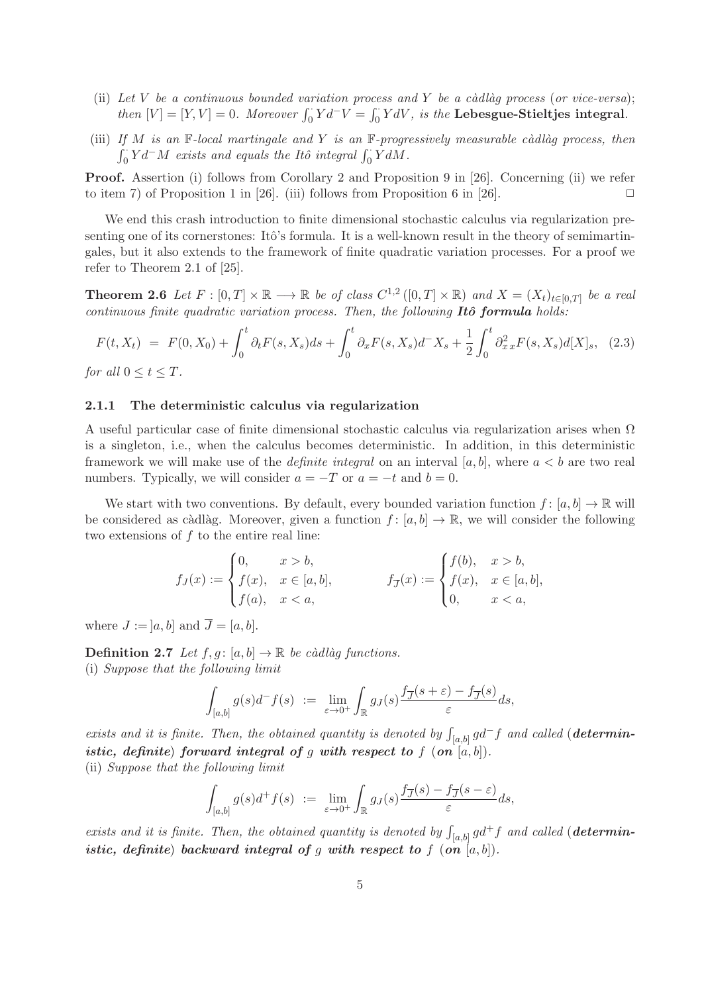- (ii) Let V be a continuous bounded variation process and Y be a càdlàq process (or vice-versa); then  $[V] = [Y, V] = 0$ . Moreover  $\int_0^{\cdot} Y dV = \int_0^{\cdot} Y dV$ , is the Lebesgue-Stieltjes integral.
- (iii) If M is an  $\mathbb F$ -local martingale and Y is an  $\mathbb F$ -progressively measurable càdlàg process, then  $\int_0^{\cdot} Y d^- M$  exists and equals the Itô integral  $\int_0^{\cdot} Y dM$ .

Proof. Assertion (i) follows from Corollary 2 and Proposition 9 in [26]. Concerning (ii) we refer to item 7) of Proposition 1 in [26]. (iii) follows from Proposition 6 in [26].

We end this crash introduction to finite dimensional stochastic calculus via regularization presenting one of its cornerstones: Itô's formula. It is a well-known result in the theory of semimartingales, but it also extends to the framework of finite quadratic variation processes. For a proof we refer to Theorem 2.1 of [25].

**Theorem 2.6** Let  $F : [0, T] \times \mathbb{R} \longrightarrow \mathbb{R}$  be of class  $C^{1,2}([0, T] \times \mathbb{R})$  and  $X = (X_t)_{t \in [0, T]}$  be a real continuous finite quadratic variation process. Then, the following  $It\hat{o}$  formula holds:

$$
F(t, X_t) = F(0, X_0) + \int_0^t \partial_t F(s, X_s) ds + \int_0^t \partial_x F(s, X_s) d^- X_s + \frac{1}{2} \int_0^t \partial_x^2 x F(s, X_s) d[X]_s, \tag{2.3}
$$

for all  $0 \le t \le T$ .

#### 2.1.1 The deterministic calculus via regularization

A useful particular case of finite dimensional stochastic calculus via regularization arises when Ω is a singleton, i.e., when the calculus becomes deterministic. In addition, in this deterministic framework we will make use of the *definite integral* on an interval [a, b], where  $a < b$  are two real numbers. Typically, we will consider  $a = -T$  or  $a = -t$  and  $b = 0$ .

We start with two conventions. By default, every bounded variation function  $f : [a, b] \to \mathbb{R}$  will be considered as càdlàg. Moreover, given a function  $f : [a, b] \to \mathbb{R}$ , we will consider the following two extensions of  $f$  to the entire real line:

$$
f_J(x) := \begin{cases} 0, & x > b, \\ f(x), & x \in [a, b], \\ f(a), & x < a, \end{cases} \qquad f_{\overline{J}}(x) := \begin{cases} f(b), & x > b, \\ f(x), & x \in [a, b], \\ 0, & x < a, \end{cases}
$$

where  $J := [a, b]$  and  $\overline{J} = [a, b]$ .

**Definition 2.7** Let  $f, g : [a, b] \rightarrow \mathbb{R}$  be càdlàg functions. (i) Suppose that the following limit

$$
\int_{[a,b]} g(s)d^-f(s) \ := \ \lim_{\varepsilon \to 0^+} \int_{\mathbb{R}} g_J(s) \frac{f_{\overline{J}}(s+\varepsilon) - f_{\overline{J}}(s)}{\varepsilon} ds,
$$

exists and it is finite. Then, the obtained quantity is denoted by  $\int_{[a,b]} gd^-f$  and called (**determin**istic, definite) forward integral of g with respect to  $f$  (on  $[a, b]$ ). (ii) Suppose that the following limit

$$
\int_{[a,b]} g(s)d^+f(s) \ := \ \lim_{\varepsilon \to 0^+} \int_{\mathbb{R}} g_J(s) \frac{f_{\overline{J}}(s) - f_{\overline{J}}(s-\varepsilon)}{\varepsilon} ds,
$$

exists and it is finite. Then, the obtained quantity is denoted by  $\int_{[a,b]} g d^+ f$  and called (**determin**istic, definite) backward integral of g with respect to f  $($ on  $[a, b]$ .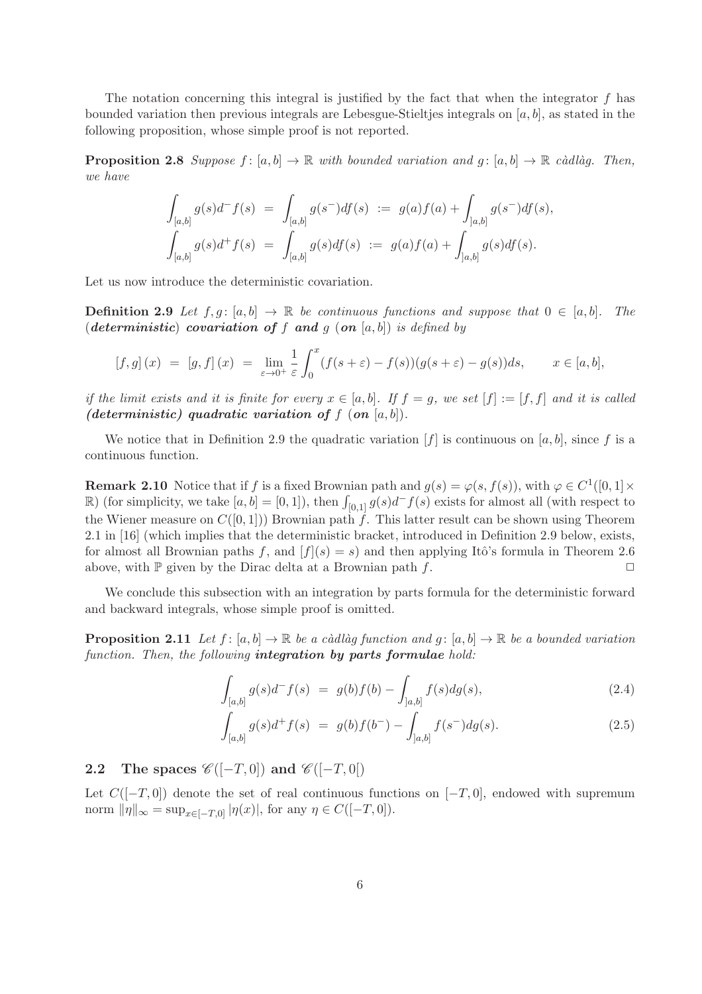The notation concerning this integral is justified by the fact that when the integrator f has bounded variation then previous integrals are Lebesgue-Stieltjes integrals on  $[a, b]$ , as stated in the following proposition, whose simple proof is not reported.

**Proposition 2.8** Suppose  $f : [a, b] \to \mathbb{R}$  with bounded variation and  $g : [a, b] \to \mathbb{R}$  càdlàg. Then, we have

$$
\int_{[a,b]} g(s)d^-f(s) = \int_{[a,b]} g(s^-)df(s) := g(a)f(a) + \int_{[a,b]} g(s^-)df(s),
$$
  

$$
\int_{[a,b]} g(s)d^+f(s) = \int_{[a,b]} g(s)df(s) := g(a)f(a) + \int_{[a,b]} g(s)df(s).
$$

Let us now introduce the deterministic covariation.

**Definition 2.9** Let  $f, g: [a, b] \rightarrow \mathbb{R}$  be continuous functions and suppose that  $0 \in [a, b]$ . The (deterministic) covariation of f and g  $($ on  $[a, b]$ ) is defined by

$$
[f,g](x) = [g,f](x) = \lim_{\varepsilon \to 0^+} \frac{1}{\varepsilon} \int_0^x (f(s+\varepsilon) - f(s))(g(s+\varepsilon) - g(s))ds, \qquad x \in [a,b],
$$

if the limit exists and it is finite for every  $x \in [a, b]$ . If  $f = g$ , we set  $[f] := [f, f]$  and it is called (deterministic) quadratic variation of  $f$  (on  $[a, b]$ ).

We notice that in Definition 2.9 the quadratic variation  $[f]$  is continuous on [a, b], since f is a continuous function.

**Remark 2.10** Notice that if f is a fixed Brownian path and  $g(s) = \varphi(s, f(s))$ , with  $\varphi \in C^1([0,1] \times$ R) (for simplicity, we take  $[a, b] = [0, 1]$ ), then  $\int_{[0,1]} g(s) d^{-} f(s)$  exists for almost all (with respect to the Wiener measure on  $C([0, 1])$  Brownian path f. This latter result can be shown using Theorem 2.1 in [16] (which implies that the deterministic bracket, introduced in Definition 2.9 below, exists, for almost all Brownian paths f, and  $[f](s) = s$  and then applying Itô's formula in Theorem 2.6 above, with  $\mathbb P$  given by the Dirac delta at a Brownian path f.  $\Box$ 

We conclude this subsection with an integration by parts formula for the deterministic forward and backward integrals, whose simple proof is omitted.

**Proposition 2.11** Let  $f : [a, b] \to \mathbb{R}$  be a càdlàg function and  $g : [a, b] \to \mathbb{R}$  be a bounded variation function. Then, the following **integration by parts formulae** hold:

$$
\int_{[a,b]} g(s)d^- f(s) = g(b)f(b) - \int_{[a,b]} f(s)dg(s), \tag{2.4}
$$

$$
\int_{[a,b]} g(s)d^+f(s) = g(b)f(b^-) - \int_{[a,b]} f(s^-)dg(s).
$$
\n(2.5)

2.2 The spaces  $\mathscr{C}([-T,0])$  and  $\mathscr{C}([-T,0])$ 

Let  $C([-T, 0])$  denote the set of real continuous functions on  $[-T, 0]$ , endowed with supremum norm  $\|\eta\|_{\infty} = \sup_{x \in [-T,0]} |\eta(x)|$ , for any  $\eta \in C([-T,0])$ .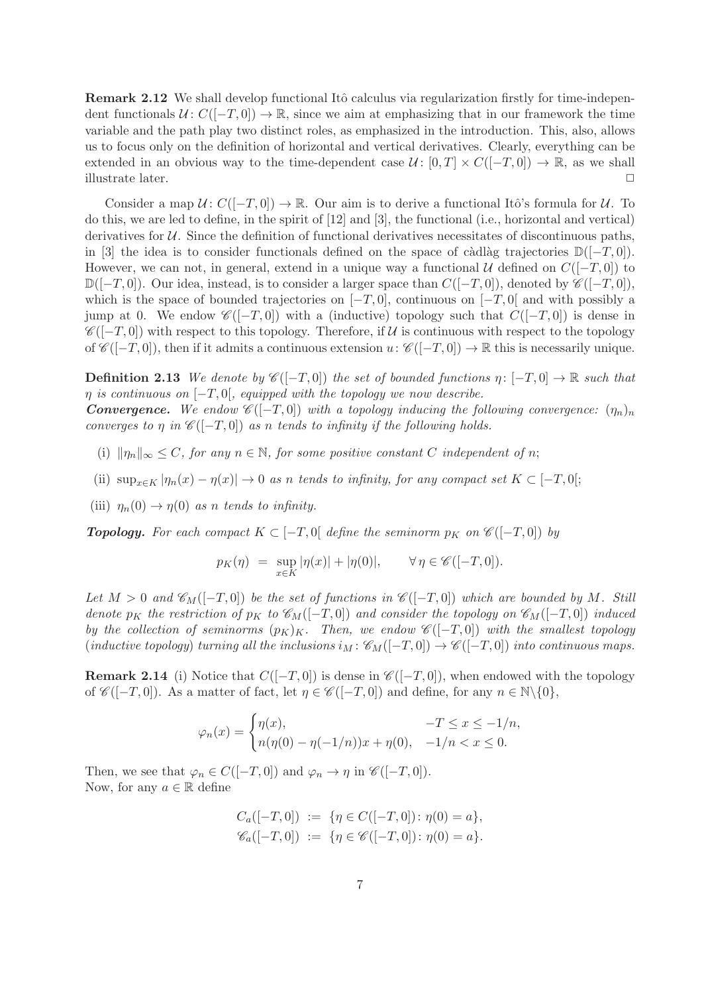Remark 2.12 We shall develop functional Itô calculus via regularization firstly for time-independent functionals  $\mathcal{U}: C([-T,0]) \to \mathbb{R}$ , since we aim at emphasizing that in our framework the time variable and the path play two distinct roles, as emphasized in the introduction. This, also, allows us to focus only on the definition of horizontal and vertical derivatives. Clearly, everything can be extended in an obvious way to the time-dependent case  $U: [0, T] \times C([-T, 0]) \rightarrow \mathbb{R}$ , as we shall illustrate later.

Consider a map  $\mathcal{U}: C([-T, 0]) \to \mathbb{R}$ . Our aim is to derive a functional Itô's formula for  $\mathcal{U}$ . To do this, we are led to define, in the spirit of [12] and [3], the functional (i.e., horizontal and vertical) derivatives for  $U$ . Since the definition of functional derivatives necessitates of discontinuous paths, in [3] the idea is to consider functionals defined on the space of càdlàg trajectories  $\mathbb{D}([-T, 0])$ . However, we can not, in general, extend in a unique way a functional  $\mathcal U$  defined on  $C([-T, 0])$  to  $\mathbb{D}([-T,0])$ . Our idea, instead, is to consider a larger space than  $C([-T,0])$ , denoted by  $\mathscr{C}([-T,0])$ , which is the space of bounded trajectories on  $[-T, 0]$ , continuous on  $[-T, 0]$  and with possibly a jump at 0. We endow  $\mathscr{C}([-T,0])$  with a (inductive) topology such that  $C([-T,0])$  is dense in  $\mathscr{C}([-T,0])$  with respect to this topology. Therefore, if U is continuous with respect to the topology of  $\mathscr{C}([-T,0])$ , then if it admits a continuous extension  $u: \mathscr{C}([-T,0]) \to \mathbb{R}$  this is necessarily unique.

**Definition 2.13** We denote by  $\mathscr{C}([-T,0])$  the set of bounded functions  $\eta: [-T,0] \to \mathbb{R}$  such that  $\eta$  is continuous on  $[-T, 0]$ , equipped with the topology we now describe.

**Convergence.** We endow  $\mathscr{C}([-T,0])$  with a topology inducing the following convergence:  $(\eta_n)_n$ converges to  $\eta$  in  $\mathscr{C}([-T,0])$  as n tends to infinity if the following holds.

- (i)  $\|\eta_n\|_{\infty} \leq C$ , for any  $n \in \mathbb{N}$ , for some positive constant C independent of n;
- (ii)  $\sup_{x \in K} |\eta_n(x) \eta(x)| \to 0$  as n tends to infinity, for any compact set  $K \subset [-T,0];$
- (iii)  $\eta_n(0) \to \eta(0)$  as n tends to infinity.

**Topology.** For each compact  $K \subset [-T, 0]$  define the seminorm  $p_K$  on  $\mathscr{C}([-T, 0])$  by

$$
p_K(\eta) = \sup_{x \in K} |\eta(x)| + |\eta(0)|, \qquad \forall \eta \in \mathscr{C}([-T,0]).
$$

Let  $M > 0$  and  $\mathscr{C}_M([-T,0])$  be the set of functions in  $\mathscr{C}([-T,0])$  which are bounded by M. Still denote  $p_K$  the restriction of  $p_K$  to  $\mathscr{C}_M([-T,0])$  and consider the topology on  $\mathscr{C}_M([-T,0])$  induced by the collection of seminorms  $(p_K)_K$ . Then, we endow  $\mathscr{C}([-T,0])$  with the smallest topology  $(iductive topology)$  turning all the inclusions  $i_M : \mathscr{C}_M([-T,0]) \to \mathscr{C}([-T,0])$  into continuous maps.

**Remark 2.14** (i) Notice that  $C([-T, 0])$  is dense in  $\mathscr{C}([-T, 0])$ , when endowed with the topology of  $\mathscr{C}([-T,0])$ . As a matter of fact, let  $\eta \in \mathscr{C}([-T,0])$  and define, for any  $n \in \mathbb{N}\backslash\{0\}$ ,

$$
\varphi_n(x) = \begin{cases} \eta(x), & -T \le x \le -1/n, \\ n(\eta(0) - \eta(-1/n))x + \eta(0), & -1/n < x \le 0. \end{cases}
$$

Then, we see that  $\varphi_n \in C([-T,0])$  and  $\varphi_n \to \eta$  in  $\mathscr{C}([-T,0])$ . Now, for any  $a \in \mathbb{R}$  define

$$
C_a([-T, 0]) := \{ \eta \in C([-T, 0]) : \eta(0) = a \},
$$
  

$$
\mathscr{C}_a([-T, 0]) := \{ \eta \in \mathscr{C}([-T, 0]) : \eta(0) = a \}.
$$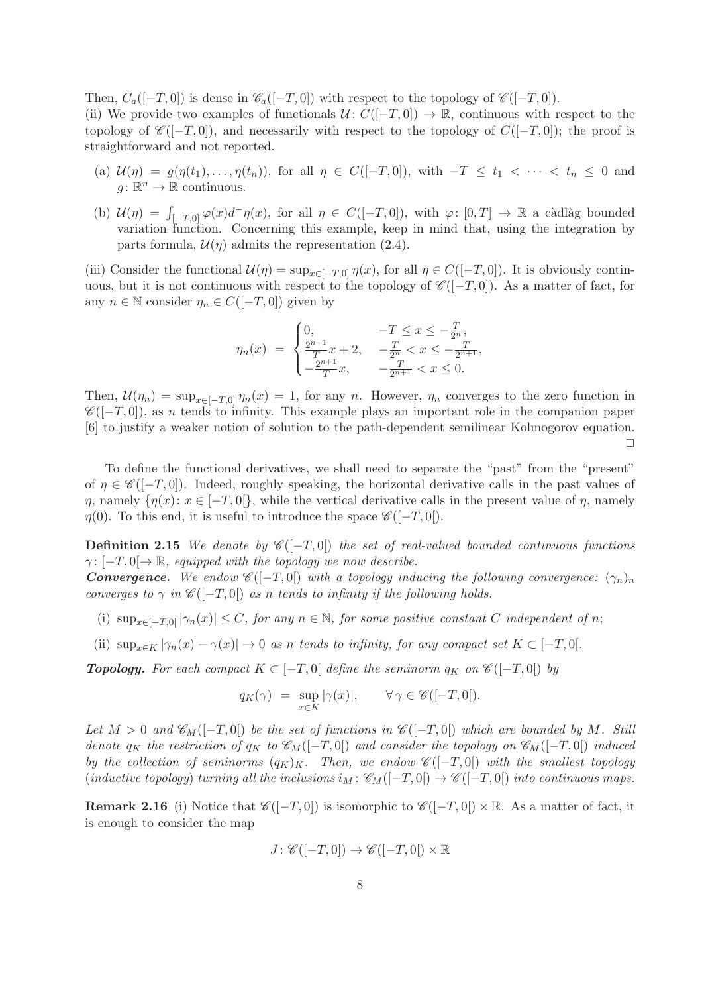Then,  $C_a([-T,0])$  is dense in  $\mathscr{C}_a([-T,0])$  with respect to the topology of  $\mathscr{C}([-T,0])$ .

(ii) We provide two examples of functionals  $\mathcal{U} : C([-T, 0]) \to \mathbb{R}$ , continuous with respect to the topology of  $\mathscr{C}([-T,0])$ , and necessarily with respect to the topology of  $C([-T,0])$ ; the proof is straightforward and not reported.

- (a)  $\mathcal{U}(\eta) = g(\eta(t_1), \ldots, \eta(t_n)),$  for all  $\eta \in C([-T, 0]),$  with  $-T \leq t_1 < \cdots < t_n \leq 0$  and  $g: \mathbb{R}^n \to \mathbb{R}$  continuous.
- (b)  $\mathcal{U}(\eta) = \int_{[-T,0]} \varphi(x) d^{\top} \eta(x)$ , for all  $\eta \in C([-T,0])$ , with  $\varphi: [0,T] \to \mathbb{R}$  a càdlàg bounded variation function. Concerning this example, keep in mind that, using the integration by parts formula,  $\mathcal{U}(n)$  admits the representation (2.4).

(iii) Consider the functional  $\mathcal{U}(\eta) = \sup_{x \in [-T,0]} \eta(x)$ , for all  $\eta \in C([-T,0])$ . It is obviously continuous, but it is not continuous with respect to the topology of  $\mathscr{C}([-T,0])$ . As a matter of fact, for any  $n \in \mathbb{N}$  consider  $\eta_n \in C([-T, 0])$  given by

$$
\eta_n(x) = \begin{cases} 0, & -T \le x \le -\frac{T}{2^n}, \\ \frac{2^{n+1}}{T}x + 2, & -\frac{T}{2^n} < x \le -\frac{T}{2^{n+1}}, \\ -\frac{2^{n+1}}{T}x, & -\frac{T}{2^{n+1}} < x \le 0. \end{cases}
$$

Then,  $\mathcal{U}(\eta_n) = \sup_{x \in [-T,0]} \eta_n(x) = 1$ , for any n. However,  $\eta_n$  converges to the zero function in  $\mathscr{C}([-T, 0])$ , as n tends to infinity. This example plays an important role in the companion paper [6] to justify a weaker notion of solution to the path-dependent semilinear Kolmogorov equation.  $\Box$ 

To define the functional derivatives, we shall need to separate the "past" from the "present" of  $\eta \in \mathscr{C}([-T,0])$ . Indeed, roughly speaking, the horizontal derivative calls in the past values of  $\eta$ , namely  $\{\eta(x): x \in [-T,0]\}$ , while the vertical derivative calls in the present value of  $\eta$ , namely  $\eta(0)$ . To this end, it is useful to introduce the space  $\mathscr{C}([-T,0])$ .

**Definition 2.15** We denote by  $\mathscr{C}([-T,0])$  the set of real-valued bounded continuous functions  $\gamma: [-T, 0] \rightarrow \mathbb{R}$ , equipped with the topology we now describe.

**Convergence.** We endow  $\mathscr{C}([-T,0])$  with a topology inducing the following convergence:  $(\gamma_n)_n$ converges to  $\gamma$  in  $\mathscr{C}([-T,0])$  as n tends to infinity if the following holds.

- (i)  $\sup_{x \in [-T,0]} |\gamma_n(x)| \leq C$ , for any  $n \in \mathbb{N}$ , for some positive constant C independent of n;
- (ii)  $\sup_{x \in K} |\gamma_n(x) \gamma(x)| \to 0$  as n tends to infinity, for any compact set  $K \subset [-T, 0].$

**Topology.** For each compact  $K \subset [-T, 0]$  define the seminorm  $q_K$  on  $\mathscr{C}([-T, 0])$  by

$$
q_K(\gamma) \ = \ \sup_{x \in K} |\gamma(x)|, \qquad \forall \, \gamma \in \mathscr{C}([-T,0]).
$$

Let  $M > 0$  and  $\mathscr{C}_M([-T,0])$  be the set of functions in  $\mathscr{C}([-T,0])$  which are bounded by M. Still denote  $q_K$  the restriction of  $q_K$  to  $\mathscr{C}_M([-T,0])$  and consider the topology on  $\mathscr{C}_M([-T,0])$  induced by the collection of seminorms  $(q_K)_K$ . Then, we endow  $\mathscr{C}([-T,0])$  with the smallest topology  $(idductive topology)$  turning all the inclusions  $i_M : \mathscr{C}_M([-T,0]) \to \mathscr{C}([-T,0])$  into continuous maps.

**Remark 2.16** (i) Notice that  $\mathscr{C}([-T,0])$  is isomorphic to  $\mathscr{C}([-T,0]) \times \mathbb{R}$ . As a matter of fact, it is enough to consider the map

$$
J\colon \mathscr{C}([-T,0])\to \mathscr{C}([-T,0[)\times \mathbb{R}
$$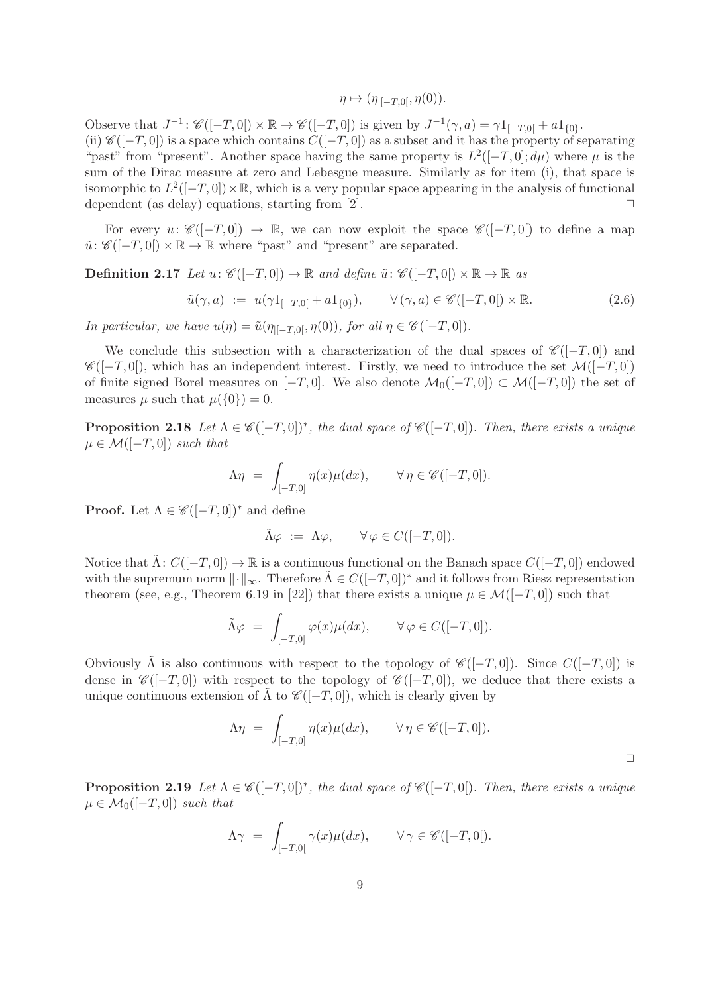$$
\eta \mapsto (\eta_{|[-T,0[}, \eta(0))).
$$

Observe that  $J^{-1}$ :  $\mathscr{C}([-T,0]) \times \mathbb{R} \to \mathscr{C}([-T,0])$  is given by  $J^{-1}(\gamma,a) = \gamma 1_{[-T,0]} + a 1_{\{0\}}$ . (ii)  $\mathscr{C}([-T,0])$  is a space which contains  $C([-T,0])$  as a subset and it has the property of separating "past" from "present". Another space having the same property is  $L^2([-T,0];d\mu)$  where  $\mu$  is the sum of the Dirac measure at zero and Lebesgue measure. Similarly as for item (i), that space is isomorphic to  $L^2([-T, 0]) \times \mathbb{R}$ , which is a very popular space appearing in the analysis of functional dependent (as delay) equations, starting from  $[2]$ .

For every  $u: \mathscr{C}([-T,0]) \to \mathbb{R}$ , we can now exploit the space  $\mathscr{C}([-T,0])$  to define a map  $\tilde{u}$ :  $\mathscr{C}([-T,0]) \times \mathbb{R} \to \mathbb{R}$  where "past" and "present" are separated.

**Definition 2.17** Let  $u: \mathscr{C}([-T,0]) \to \mathbb{R}$  and define  $\tilde{u}: \mathscr{C}([-T,0]) \times \mathbb{R} \to \mathbb{R}$  as

$$
\tilde{u}(\gamma, a) := u(\gamma 1_{[-T, 0[} + a1_{\{0\}}), \qquad \forall (\gamma, a) \in \mathscr{C}([-T, 0[) \times \mathbb{R}].
$$
\n(2.6)

In particular, we have  $u(\eta) = \tilde{u}(\eta_{\vert [-T,0]}, \eta(0)),$  for all  $\eta \in \mathscr{C}([-T,0]).$ 

We conclude this subsection with a characterization of the dual spaces of  $\mathscr{C}([-T,0])$  and  $\mathscr{C}([-T,0])$ , which has an independent interest. Firstly, we need to introduce the set  $\mathcal{M}([-T,0])$ of finite signed Borel measures on  $[-T, 0]$ . We also denote  $\mathcal{M}_0([-T, 0]) \subset \mathcal{M}([-T, 0])$  the set of measures  $\mu$  such that  $\mu({0}) = 0$ .

**Proposition 2.18** Let  $\Lambda \in \mathscr{C}([-T,0])^*$ , the dual space of  $\mathscr{C}([-T,0])$ . Then, there exists a unique  $\mu \in \mathcal{M}([-T,0])$  such that

$$
\Lambda \eta = \int_{[-T,0]} \eta(x) \mu(dx), \qquad \forall \eta \in \mathscr{C}([-T,0]).
$$

**Proof.** Let  $\Lambda \in \mathscr{C}([-T,0])^*$  and define

$$
\tilde{\Lambda}\varphi \ := \ \Lambda\varphi, \qquad \forall \varphi \in C([-T,0]).
$$

Notice that  $\Lambda: C([-T, 0]) \to \mathbb{R}$  is a continuous functional on the Banach space  $C([-T, 0])$  endowed with the supremum norm  $\|\cdot\|_{\infty}$ . Therefore  $\Lambda \in C([-T, 0])^*$  and it follows from Riesz representation theorem (see, e.g., Theorem 6.19 in [22]) that there exists a unique  $\mu \in \mathcal{M}([-T,0])$  such that

$$
\tilde{\Lambda}\varphi = \int_{[-T,0]} \varphi(x)\mu(dx), \qquad \forall \varphi \in C([-T,0]).
$$

Obviously  $\tilde{\Lambda}$  is also continuous with respect to the topology of  $\mathscr{C}([-T,0])$ . Since  $C([-T,0])$  is dense in  $\mathscr{C}([-T,0])$  with respect to the topology of  $\mathscr{C}([-T,0])$ , we deduce that there exists a unique continuous extension of  $\Lambda$  to  $\mathscr{C}([-T,0])$ , which is clearly given by

$$
\Lambda \eta = \int_{[-T,0]} \eta(x) \mu(dx), \qquad \forall \eta \in \mathscr{C}([-T,0]).
$$

**Proposition 2.19** Let  $\Lambda \in \mathscr{C}([-T,0])^*$ , the dual space of  $\mathscr{C}([-T,0])$ . Then, there exists a unique  $\mu \in \mathcal{M}_0([-T,0])$  such that

$$
\Lambda \gamma = \int_{[-T,0[} \gamma(x) \mu(dx), \qquad \forall \gamma \in \mathscr{C}([-T,0[).
$$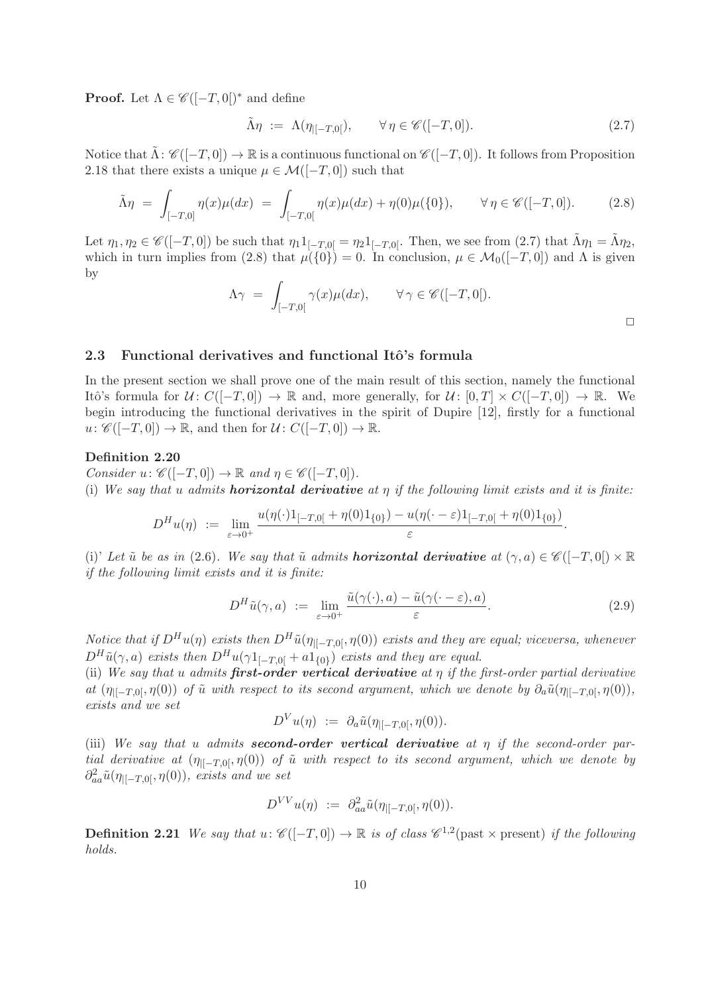**Proof.** Let  $\Lambda \in \mathscr{C}([-T,0])^*$  and define

$$
\tilde{\Lambda}\eta := \Lambda(\eta_{|[-T,0]}), \qquad \forall \eta \in \mathscr{C}([-T,0]). \tag{2.7}
$$

Notice that  $\Lambda: \mathscr{C}([-T,0]) \to \mathbb{R}$  is a continuous functional on  $\mathscr{C}([-T,0])$ . It follows from Proposition 2.18 that there exists a unique  $\mu \in \mathcal{M}([-T, 0])$  such that

$$
\tilde{\Lambda}\eta = \int_{[-T,0]} \eta(x)\mu(dx) = \int_{[-T,0[} \eta(x)\mu(dx) + \eta(0)\mu(\{0\}), \qquad \forall \eta \in \mathscr{C}([-T,0]).
$$
 (2.8)

Let  $\eta_1, \eta_2 \in \mathscr{C}([-T, 0])$  be such that  $\eta_1 1_{[-T,0]} = \eta_2 1_{[-T,0]}$ . Then, we see from  $(2.7)$  that  $\Lambda \eta_1 = \Lambda \eta_2$ , which in turn implies from (2.8) that  $\mu({0}) = 0$ . In conclusion,  $\mu \in \mathcal{M}_0([-T, 0])$  and  $\Lambda$  is given by

$$
\Lambda \gamma = \int_{[-T,0[} \gamma(x) \mu(dx), \qquad \forall \gamma \in \mathscr{C}([-T,0]).
$$

#### 2.3 Functional derivatives and functional Itô's formula

In the present section we shall prove one of the main result of this section, namely the functional Itô's formula for  $\mathcal{U} \colon C([-T, 0]) \to \mathbb{R}$  and, more generally, for  $\mathcal{U} \colon [0, T] \times C([-T, 0]) \to \mathbb{R}$ . We begin introducing the functional derivatives in the spirit of Dupire [12], firstly for a functional  $u: \mathscr{C}([-T,0]) \to \mathbb{R}$ , and then for  $\mathcal{U}: C([-T,0]) \to \mathbb{R}$ .

#### Definition 2.20

Consider  $u: \mathscr{C}([-T,0]) \to \mathbb{R}$  and  $\eta \in \mathscr{C}([-T,0])$ .

(i) We say that u admits **horizontal derivative** at  $\eta$  if the following limit exists and it is finite:

$$
D^{H}u(\eta) := \lim_{\varepsilon \to 0^+} \frac{u(\eta(\cdot)1_{[-T,0[} + \eta(0)1_{\{0\}}) - u(\eta(\cdot - \varepsilon)1_{[-T,0[} + \eta(0)1_{\{0\}}))}{\varepsilon}.
$$

(i)' Let  $\tilde{u}$  be as in (2.6). We say that  $\tilde{u}$  admits **horizontal derivative** at  $(\gamma, a) \in \mathscr{C}([-T, 0]) \times \mathbb{R}$ if the following limit exists and it is finite:

$$
D^H \tilde{u}(\gamma, a) := \lim_{\varepsilon \to 0^+} \frac{\tilde{u}(\gamma(\cdot), a) - \tilde{u}(\gamma(\cdot - \varepsilon), a)}{\varepsilon}.
$$
 (2.9)

Notice that if  $D^H u(\eta)$  exists then  $D^H \tilde{u}(\eta_{\vert [-T,0]}, \eta(0))$  exists and they are equal; viceversa, whenever  $D^H \tilde{u}(\gamma, a)$  exists then  $D^H u(\gamma 1_{[-T, 0[} + a1_{\{0\}}))$  exists and they are equal.

(ii) We say that u admits first-order vertical derivative at  $\eta$  if the first-order partial derivative at  $(\eta_{\parallel-T,0}, \eta(0))$  of  $\tilde{u}$  with respect to its second argument, which we denote by  $\partial_a \tilde{u}(\eta_{\parallel-T,0}, \eta(0)),$ exists and we set

$$
D^V u(\eta) \; := \; \partial_a \tilde{u}(\eta_{|[-T,0[},\eta(0))).
$$

(iii) We say that u admits **second-order vertical derivative** at  $\eta$  if the second-order partial derivative at  $(\eta_{\parallel-T,0}, \eta(0))$  of  $\tilde{u}$  with respect to its second argument, which we denote by  $\partial^2_{aa} \tilde{u}(\eta_{|[-T,0[},\eta(0)), \text{ exists and we set})$ 

$$
D^{VV}u(\eta) := \partial^2_{aa}\tilde{u}(\eta_{|[-T,0[},\eta(0))).
$$

**Definition 2.21** We say that  $u: \mathscr{C}([-T,0]) \to \mathbb{R}$  is of class  $\mathscr{C}^{1,2}$  (past  $\times$  present) if the following holds.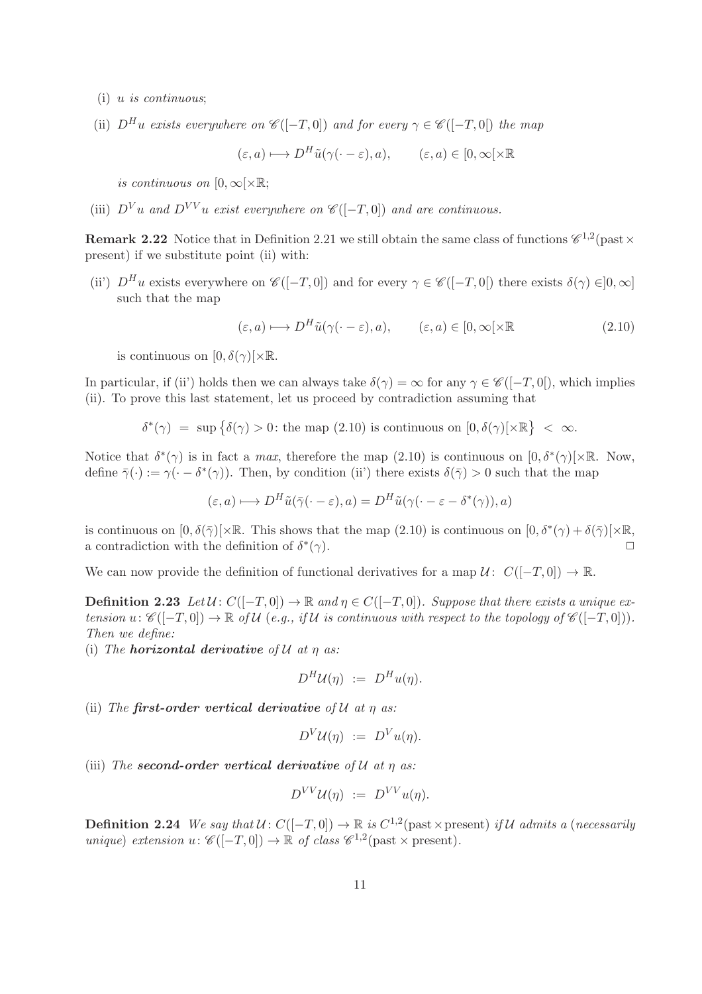- (i) u is continuous;
- (ii)  $D^H u$  exists everywhere on  $\mathscr{C}([-T,0])$  and for every  $\gamma \in \mathscr{C}([-T,0])$  the map

$$
(\varepsilon, a) \longmapsto D^H \tilde{u}(\gamma(\cdot - \varepsilon), a), \qquad (\varepsilon, a) \in [0, \infty[ \times \mathbb{R}
$$

is continuous on  $[0, \infty) \times \mathbb{R}$ ;

(iii)  $D^{V}u$  and  $D^{VV}u$  exist everywhere on  $\mathscr{C}([-T,0])$  and are continuous.

**Remark 2.22** Notice that in Definition 2.21 we still obtain the same class of functions  $\mathscr{C}^{1,2}$  (past  $\times$ present) if we substitute point (ii) with:

(ii)  $D^H u$  exists everywhere on  $\mathscr{C}([-T,0])$  and for every  $\gamma \in \mathscr{C}([-T,0])$  there exists  $\delta(\gamma) \in ]0,\infty]$ such that the map

$$
(\varepsilon, a) \longmapsto D^H \tilde{u}(\gamma(\cdot - \varepsilon), a), \qquad (\varepsilon, a) \in [0, \infty[ \times \mathbb{R} \tag{2.10}
$$

is continuous on  $[0, \delta(\gamma)] \times \mathbb{R}$ .

In particular, if (ii') holds then we can always take  $\delta(\gamma) = \infty$  for any  $\gamma \in \mathscr{C}([-T,0])$ , which implies (ii). To prove this last statement, let us proceed by contradiction assuming that

$$
\delta^*(\gamma) = \sup \{ \delta(\gamma) > 0 \colon \text{the map } (2.10) \text{ is continuous on } [0, \delta(\gamma)[\times \mathbb{R}] \ < \infty \}.
$$

Notice that  $\delta^*(\gamma)$  is in fact a *max*, therefore the map (2.10) is continuous on  $[0, \delta^*(\gamma)] \times \mathbb{R}$ . Now, define  $\bar{\gamma}(\cdot) := \gamma(\cdot - \delta^*(\gamma))$ . Then, by condition (ii) there exists  $\delta(\bar{\gamma}) > 0$  such that the map

$$
(\varepsilon, a) \longmapsto D^H \tilde{u}(\bar{\gamma}(\cdot - \varepsilon), a) = D^H \tilde{u}(\gamma(\cdot - \varepsilon - \delta^*(\gamma)), a)
$$

is continuous on  $[0, \delta(\bar{\gamma})] \times \mathbb{R}$ . This shows that the map  $(2.10)$  is continuous on  $[0, \delta^*(\gamma) + \delta(\bar{\gamma})] \times \mathbb{R}$ , a contradiction with the definition of  $\delta^*$  $(\gamma)$ .

We can now provide the definition of functional derivatives for a map  $\mathcal{U}$ :  $C([-T, 0]) \to \mathbb{R}$ .

**Definition 2.23** Let  $U: C([-T, 0]) \to \mathbb{R}$  and  $\eta \in C([-T, 0])$ . Suppose that there exists a unique extension  $u: \mathscr{C}([-T,0]) \to \mathbb{R}$  of  $\mathcal{U}(e.g., if \mathcal{U}$  is continuous with respect to the topology of  $\mathscr{C}([-T,0]))$ . Then we define:

(i) The **horizontal derivative** of  $\mathcal U$  at  $\eta$  as:

$$
D^H \mathcal{U}(\eta) := D^H u(\eta).
$$

(ii) The first-order vertical derivative of  $\mathcal U$  at  $\eta$  as:

$$
D^V \mathcal{U}(\eta) \ := \ D^V u(\eta).
$$

(iii) The second-order vertical derivative of  $U$  at  $\eta$  as:

$$
D^{VV}U(\eta) := D^{VV}u(\eta).
$$

**Definition 2.24** We say that  $U: C([-T, 0]) \to \mathbb{R}$  is  $C^{1,2}$  (past  $\times$  present) if U admits a (necessarily unique) extension  $u: \mathscr{C}([-T,0]) \to \mathbb{R}$  of class  $\mathscr{C}^{1,2}(\text{past}\times\text{present}).$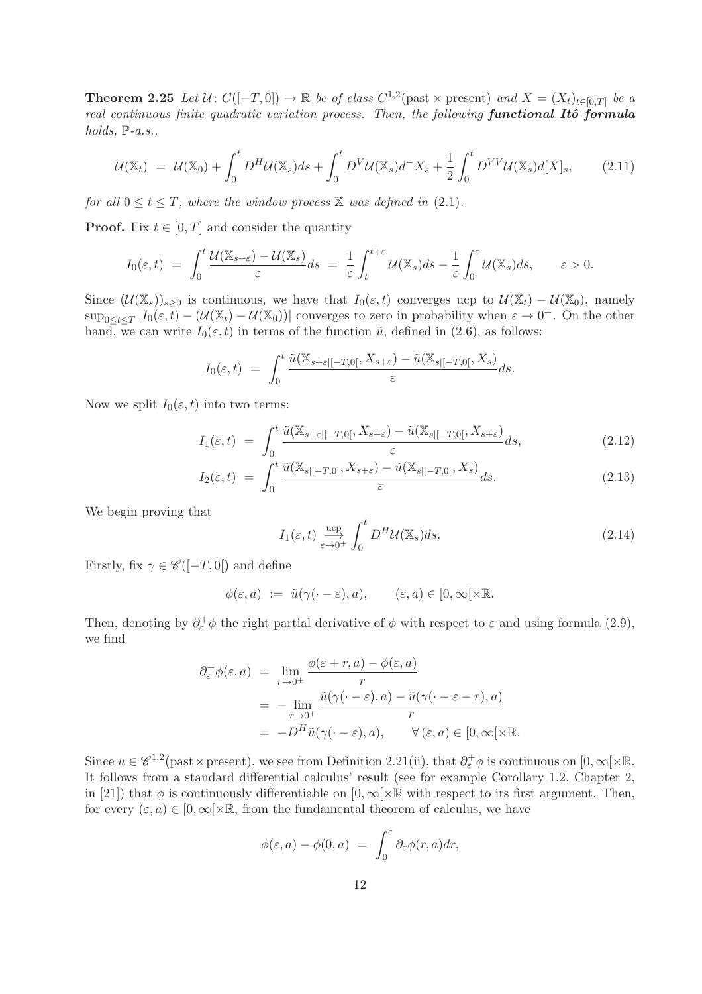**Theorem 2.25** Let  $\mathcal{U} \colon C([-T, 0]) \to \mathbb{R}$  be of class  $C^{1,2}$  (past  $\times$  present) and  $X = (X_t)_{t \in [0,T]}$  be a real continuous finite quadratic variation process. Then, the following functional Itô formula holds,  $\mathbb{P}\text{-}a.s.,$ 

$$
\mathcal{U}(\mathbb{X}_t) = \mathcal{U}(\mathbb{X}_0) + \int_0^t D^H \mathcal{U}(\mathbb{X}_s) ds + \int_0^t D^V \mathcal{U}(\mathbb{X}_s) d^- X_s + \frac{1}{2} \int_0^t D^{VV} \mathcal{U}(\mathbb{X}_s) d[X]_s, \tag{2.11}
$$

for all  $0 \le t \le T$ , where the window process X was defined in (2.1).

**Proof.** Fix  $t \in [0, T]$  and consider the quantity

$$
I_0(\varepsilon,t) = \int_0^t \frac{\mathcal{U}(\mathbb{X}_{s+\varepsilon}) - \mathcal{U}(\mathbb{X}_s)}{\varepsilon} ds = \frac{1}{\varepsilon} \int_t^{t+\varepsilon} \mathcal{U}(\mathbb{X}_s) ds - \frac{1}{\varepsilon} \int_0^{\varepsilon} \mathcal{U}(\mathbb{X}_s) ds, \qquad \varepsilon > 0.
$$

Since  $(\mathcal{U}(\mathbb{X}_s))_{s>0}$  is continuous, we have that  $I_0(\varepsilon,t)$  converges ucp to  $\mathcal{U}(\mathbb{X}_t) - \mathcal{U}(\mathbb{X}_0)$ , namely  $\sup_{0\leq t\leq T}|I_0(\varepsilon,\overline{t})-(\mathcal{U}(\mathbb{X}_t)-\mathcal{U}(\mathbb{X}_0))|$  converges to zero in probability when  $\varepsilon\to 0^+$ . On the other hand, we can write  $I_0(\varepsilon, t)$  in terms of the function  $\tilde{u}$ , defined in (2.6), as follows:

$$
I_0(\varepsilon,t) = \int_0^t \frac{\tilde{u}(\mathbb{X}_{s+\varepsilon}[-T,0[,\,X_{s+\varepsilon})-\tilde{u}(\mathbb{X}_{s|[-T,0[},X_s)}{\varepsilon}ds).
$$

Now we split  $I_0(\varepsilon, t)$  into two terms:

$$
I_1(\varepsilon, t) = \int_0^t \frac{\tilde{u}(\mathbb{X}_{s+\varepsilon[-T,0]}, X_{s+\varepsilon}) - \tilde{u}(\mathbb{X}_{s[-T,0]}, X_{s+\varepsilon})}{\varepsilon} ds, \tag{2.12}
$$

$$
I_2(\varepsilon, t) = \int_0^t \frac{\tilde{u}(\mathbb{X}_{s|[-T, 0]}, X_{s+\varepsilon}) - \tilde{u}(\mathbb{X}_{s|[-T, 0]}, X_s)}{\varepsilon} ds.
$$
\n(2.13)

We begin proving that

$$
I_1(\varepsilon, t) \xrightarrow[\varepsilon \to 0^+]{} \int_0^t D^H \mathcal{U}(\mathbb{X}_s) ds. \tag{2.14}
$$

Firstly, fix  $\gamma \in \mathscr{C}([-T,0])$  and define

$$
\phi(\varepsilon, a) := \tilde{u}(\gamma(\cdot - \varepsilon), a), \qquad (\varepsilon, a) \in [0, \infty[ \times \mathbb{R}].
$$

Then, denoting by  $\partial_{\varepsilon}^{+}\phi$  the right partial derivative of  $\phi$  with respect to  $\varepsilon$  and using formula (2.9), we find

$$
\partial_{\varepsilon}^{+} \phi(\varepsilon, a) = \lim_{r \to 0^{+}} \frac{\phi(\varepsilon + r, a) - \phi(\varepsilon, a)}{r}
$$
  
= 
$$
- \lim_{r \to 0^{+}} \frac{\tilde{u}(\gamma(\cdot - \varepsilon), a) - \tilde{u}(\gamma(\cdot - \varepsilon - r), a)}{r}
$$
  
= 
$$
-D^{H} \tilde{u}(\gamma(\cdot - \varepsilon), a), \qquad \forall (\varepsilon, a) \in [0, \infty[ \times \mathbb{R}].
$$

Since  $u \in \mathscr{C}^{1,2}$  (past × present), we see from Definition 2.21(ii), that  $\partial_{\varepsilon}^+ \phi$  is continuous on  $[0,\infty[\times\mathbb{R}$ . It follows from a standard differential calculus' result (see for example Corollary 1.2, Chapter 2, in [21]) that  $\phi$  is continuously differentiable on  $[0, \infty) \times \mathbb{R}$  with respect to its first argument. Then, for every  $(\varepsilon, a) \in [0, \infty) \times \mathbb{R}$ , from the fundamental theorem of calculus, we have

$$
\phi(\varepsilon, a) - \phi(0, a) = \int_0^\varepsilon \partial_\varepsilon \phi(r, a) dr,
$$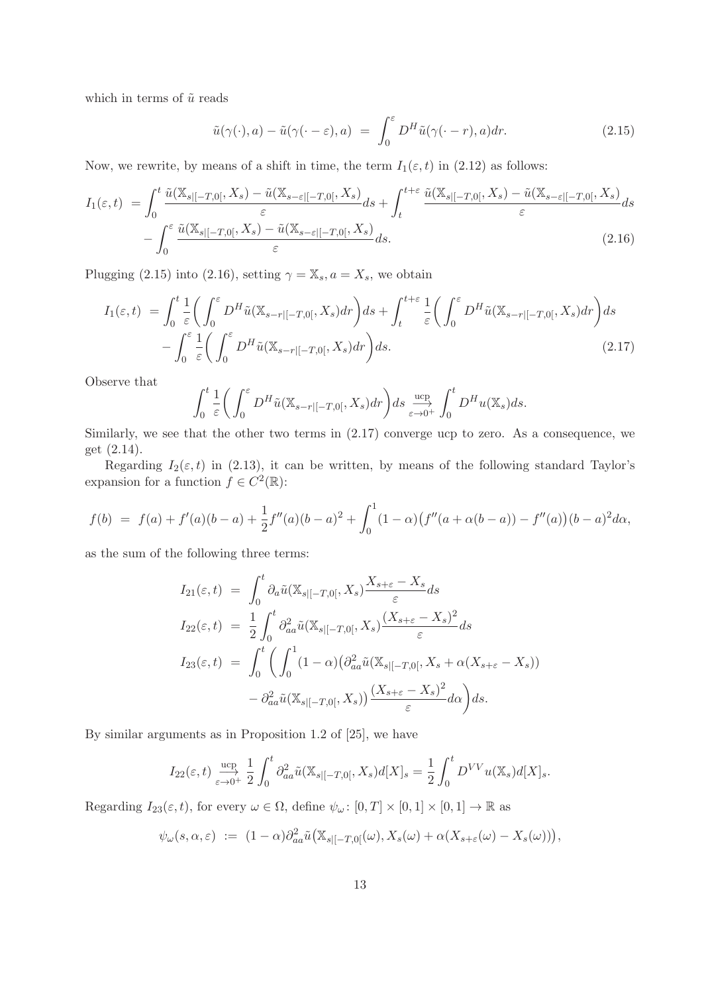which in terms of  $\tilde{u}$  reads

$$
\tilde{u}(\gamma(\cdot),a) - \tilde{u}(\gamma(\cdot - \varepsilon),a) = \int_0^{\varepsilon} D^H \tilde{u}(\gamma(\cdot - r),a) dr.
$$
\n(2.15)

Now, we rewrite, by means of a shift in time, the term  $I_1(\varepsilon, t)$  in (2.12) as follows:

$$
I_{1}(\varepsilon,t) = \int_{0}^{t} \frac{\tilde{u}(\mathbb{X}_{s|[-T,0[},X_{s}) - \tilde{u}(\mathbb{X}_{s-\varepsilon|[-T,0[},X_{s})]}{\varepsilon}ds + \int_{t}^{t+\varepsilon} \frac{\tilde{u}(\mathbb{X}_{s|[-T,0[},X_{s}) - \tilde{u}(\mathbb{X}_{s-\varepsilon|[-T,0[},X_{s})]}{\varepsilon}ds - \int_{0}^{\varepsilon} \frac{\tilde{u}(\mathbb{X}_{s|[-T,0[},X_{s}) - \tilde{u}(\mathbb{X}_{s-\varepsilon|[-T,0[},X_{s})]}{\varepsilon}ds. \tag{2.16}
$$

Plugging (2.15) into (2.16), setting  $\gamma = \mathbb{X}_s$ ,  $a = X_s$ , we obtain

$$
I_1(\varepsilon, t) = \int_0^t \frac{1}{\varepsilon} \left( \int_0^\varepsilon D^H \tilde{u}(\mathbb{X}_{s-r|[-T,0[}, X_s) dr) ds + \int_t^{t+\varepsilon} \frac{1}{\varepsilon} \left( \int_0^\varepsilon D^H \tilde{u}(\mathbb{X}_{s-r|[-T,0[}, X_s) dr) ds - \int_0^\varepsilon \frac{1}{\varepsilon} \left( \int_0^\varepsilon D^H \tilde{u}(\mathbb{X}_{s-r|[-T,0[}, X_s) dr) ds \right) ds \right) ds.
$$
\n(2.17)

Observe that

$$
\int_0^t \frac{1}{\varepsilon} \bigg( \int_0^\varepsilon D^H \tilde{u}(\mathbb{X}_{s-r|[-T,0[}, X_s) dr \bigg) ds \underset{\varepsilon \to 0^+}{\overset{\text{ucp}}{\longrightarrow}} \int_0^t D^H u(\mathbb{X}_s) ds.
$$

Similarly, we see that the other two terms in (2.17) converge ucp to zero. As a consequence, we get (2.14).

Regarding  $I_2(\varepsilon, t)$  in (2.13), it can be written, by means of the following standard Taylor's expansion for a function  $f \in C^2(\mathbb{R})$ :

$$
f(b) = f(a) + f'(a)(b - a) + \frac{1}{2}f''(a)(b - a)^2 + \int_0^1 (1 - \alpha)(f''(a + \alpha(b - a)) - f''(a))(b - a)^2 d\alpha,
$$

as the sum of the following three terms:

$$
I_{21}(\varepsilon,t) = \int_0^t \partial_a \tilde{u}(\mathbb{X}_{s|[-T,0[}, X_s) \frac{X_{s+\varepsilon} - X_s}{\varepsilon} ds \nI_{22}(\varepsilon,t) = \frac{1}{2} \int_0^t \partial_{aa}^2 \tilde{u}(\mathbb{X}_{s|[-T,0[}, X_s) \frac{(X_{s+\varepsilon} - X_s)^2}{\varepsilon} ds \nI_{23}(\varepsilon,t) = \int_0^t \left( \int_0^1 (1-\alpha) (\partial_{aa}^2 \tilde{u}(\mathbb{X}_{s|[-T,0[}, X_s + \alpha(X_{s+\varepsilon} - X_s)) - \partial_{aa}^2 \tilde{u}(\mathbb{X}_{s|[-T,0[}, X_s)) \frac{(X_{s+\varepsilon} - X_s)^2}{\varepsilon} d\alpha \right) ds.
$$

By similar arguments as in Proposition 1.2 of [25], we have

$$
I_{22}(\varepsilon,t) \xrightarrow[\varepsilon \to 0^+]{} \frac{1}{2} \int_0^t \partial_{aa}^2 \tilde{u}(\mathbb{X}_{s|[-T,0[}, X_s) d[X]_s = \frac{1}{2} \int_0^t D^{VV} u(\mathbb{X}_s) d[X]_s.
$$

Regarding  $I_{23}(\varepsilon, t)$ , for every  $\omega \in \Omega$ , define  $\psi_{\omega} : [0, T] \times [0, 1] \times [0, 1] \to \mathbb{R}$  as

$$
\psi_{\omega}(s,\alpha,\varepsilon) := (1-\alpha)\partial_{aa}^2\tilde{u}\big(\mathbb{X}_{s|[-T,0]}(\omega),X_s(\omega)+\alpha(X_{s+\varepsilon}(\omega)-X_s(\omega))\big),
$$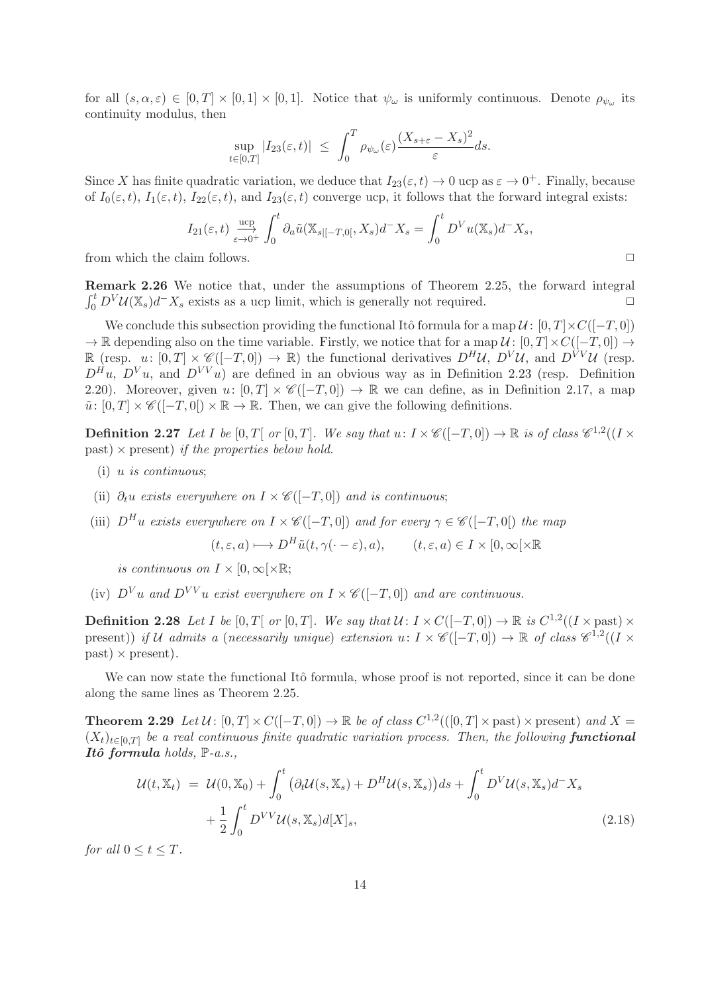for all  $(s, \alpha, \varepsilon) \in [0, T] \times [0, 1] \times [0, 1]$ . Notice that  $\psi_{\omega}$  is uniformly continuous. Denote  $\rho_{\psi_{\omega}}$  its continuity modulus, then

$$
\sup_{t\in[0,T]}|I_{23}(\varepsilon,t)| \ \leq \ \int_0^T \rho_{\psi_{\omega}}(\varepsilon) \frac{(X_{s+\varepsilon}-X_s)^2}{\varepsilon} ds.
$$

Since X has finite quadratic variation, we deduce that  $I_{23}(\varepsilon, t) \to 0$  ucp as  $\varepsilon \to 0^+$ . Finally, because of  $I_0(\varepsilon, t)$ ,  $I_1(\varepsilon, t)$ ,  $I_{22}(\varepsilon, t)$ , and  $I_{23}(\varepsilon, t)$  converge ucp, it follows that the forward integral exists:

$$
I_{21}(\varepsilon,t) \xrightarrow[\varepsilon \to 0^+]{} \int_0^t \partial_a \tilde{u}(\mathbb{X}_{s|[-T,0[}, X_s) d^- X_s) = \int_0^t D^V u(\mathbb{X}_s) d^- X_s,
$$

from which the claim follows.  $\Box$ 

Remark 2.26 We notice that, under the assumptions of Theorem 2.25, the forward integral  $\int_0^t D^V \mathcal{U}(\mathbb{X}_s) d^- X_s$  exists as a ucp limit, which is generally not required.

We conclude this subsection providing the functional Itô formula for a map  $\mathcal{U}$ :  $[0, T] \times C([-T, 0])$  $\rightarrow \mathbb{R}$  depending also on the time variable. Firstly, we notice that for a map  $\mathcal{U}$ :  $[0, T] \times C([-T, 0]) \rightarrow$ R (resp.  $u: [0, T] \times \mathscr{C}([-T, 0]) \to \mathbb{R}$ ) the functional derivatives  $D^H U$ ,  $D^V U$ , and  $D^{VV} U$  (resp.  $D^{\hat{H}}u$ ,  $D^Vu$ , and  $D^{VV}u$ ) are defined in an obvious way as in Definition 2.23 (resp. Definition 2.20). Moreover, given  $u: [0, T] \times \mathscr{C}([-T, 0]) \to \mathbb{R}$  we can define, as in Definition 2.17, a map  $\tilde{u}: [0,T] \times \mathscr{C}([-T,0]) \times \mathbb{R} \to \mathbb{R}$ . Then, we can give the following definitions.

**Definition 2.27** Let I be  $[0, T]$  or  $[0, T]$ . We say that  $u: I \times \mathscr{C}([-T, 0]) \to \mathbb{R}$  is of class  $\mathscr{C}^{1,2}((I \times T) \times \mathscr{C}([T, 0]) \to \mathbb{R}$ past)  $\times$  present) if the properties below hold.

- (i) u is continuous;
- (ii)  $\partial_t u$  exists everywhere on  $I \times \mathscr{C}([-T,0])$  and is continuous;
- (iii)  $D^H u$  exists everywhere on  $I \times \mathscr{C}([-T,0])$  and for every  $\gamma \in \mathscr{C}([-T,0])$  the map

$$
(t, \varepsilon, a) \longmapsto D^H \tilde{u}(t, \gamma(\cdot - \varepsilon), a), \qquad (t, \varepsilon, a) \in I \times [0, \infty[ \times \mathbb{R}
$$

is continuous on  $I \times [0, \infty[ \times \mathbb{R}$ ;

(iv)  $D^V u$  and  $D^{VV} u$  exist everywhere on  $I \times \mathcal{C}([-T,0])$  and are continuous.

**Definition 2.28** Let I be  $[0, T[$  or  $[0, T]$ . We say that  $\mathcal{U}: I \times C([-T, 0]) \to \mathbb{R}$  is  $C^{1,2}((I \times \text{past}) \times I)$ present)) if U admits a (necessarily unique) extension  $u: I \times \mathscr{C}([-T,0]) \to \mathbb{R}$  of class  $\mathscr{C}^{1,2}((I \times$  $past) \times present$ .

We can now state the functional Itô formula, whose proof is not reported, since it can be done along the same lines as Theorem 2.25.

**Theorem 2.29** Let  $\mathcal{U}$ :  $[0, T] \times C([-T, 0]) \to \mathbb{R}$  be of class  $C^{1,2}((0, T] \times \text{past}) \times \text{present})$  and  $X =$  $(X_t)_{t\in[0,T]}$  be a real continuous finite quadratic variation process. Then, the following **functional** Itô formula holds,  $\mathbb{P}\text{-}a.s.,$ 

$$
\mathcal{U}(t, \mathbb{X}_t) = \mathcal{U}(0, \mathbb{X}_0) + \int_0^t \left( \partial_t \mathcal{U}(s, \mathbb{X}_s) + D^H \mathcal{U}(s, \mathbb{X}_s) \right) ds + \int_0^t D^V \mathcal{U}(s, \mathbb{X}_s) d^- X_s
$$

$$
+ \frac{1}{2} \int_0^t D^{VV} \mathcal{U}(s, \mathbb{X}_s) d[X]_s, \tag{2.18}
$$

for all  $0 \leq t \leq T$ .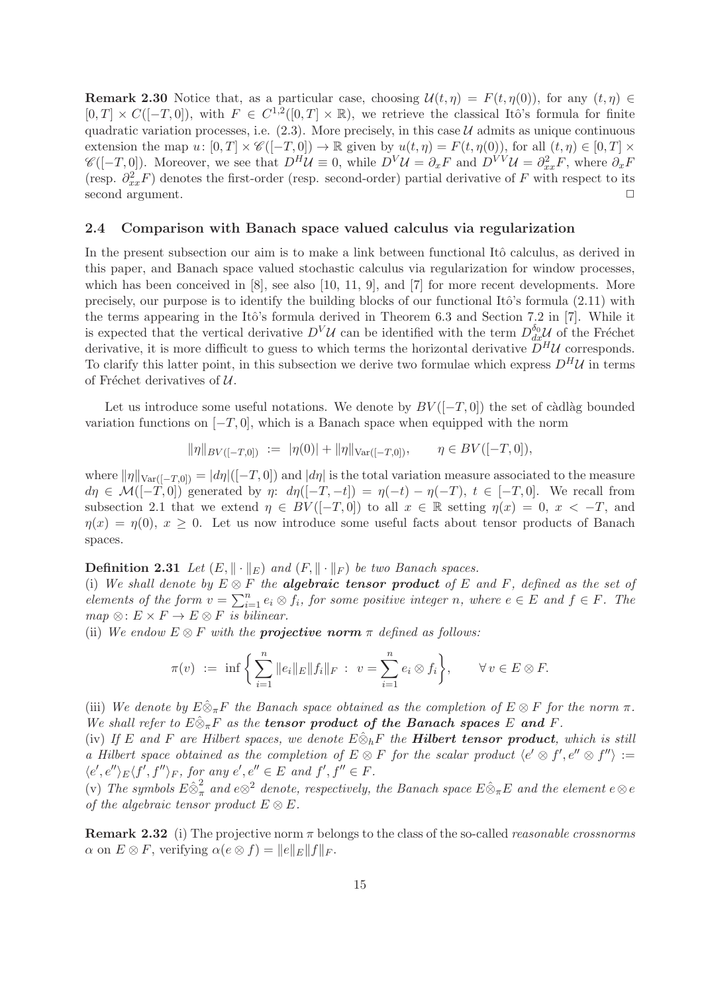**Remark 2.30** Notice that, as a particular case, choosing  $\mathcal{U}(t, \eta) = F(t, \eta(0))$ , for any  $(t, \eta) \in$  $[0,T] \times C([-T,0])$ , with  $F \in C^{1,2}([0,T] \times \mathbb{R})$ , we retrieve the classical Itô's formula for finite quadratic variation processes, i.e.  $(2.3)$ . More precisely, in this case U admits as unique continuous extension the map  $u: [0, T] \times \mathscr{C}([-T, 0]) \to \mathbb{R}$  given by  $u(t, \eta) = F(t, \eta(0))$ , for all  $(t, \eta) \in [0, T] \times$  $\mathscr{C}([-T,0])$ . Moreover, we see that  $D^H \mathcal{U} \equiv 0$ , while  $D^V \mathcal{U} = \partial_x F$  and  $D^{VV} \mathcal{U} = \partial_{xx}^2 F$ , where  $\partial_x F$ (resp.  $\partial_{xx}^2 F$ ) denotes the first-order (resp. second-order) partial derivative of F with respect to its second argument.

#### 2.4 Comparison with Banach space valued calculus via regularization

In the present subsection our aim is to make a link between functional Itô calculus, as derived in this paper, and Banach space valued stochastic calculus via regularization for window processes, which has been conceived in [8], see also [10, 11, 9], and [7] for more recent developments. More precisely, our purpose is to identify the building blocks of our functional Itô's formula  $(2.11)$  with the terms appearing in the Itô's formula derived in Theorem 6.3 and Section 7.2 in  $[7]$ . While it is expected that the vertical derivative  $D^V \mathcal{U}$  can be identified with the term  $D_{dx}^{\delta_0} \mathcal{U}$  of the Fréchet derivative, it is more difficult to guess to which terms the horizontal derivative  $\tilde{D}^H \mathcal{U}$  corresponds. To clarify this latter point, in this subsection we derive two formulae which express  $D^H\mathcal{U}$  in terms of Fréchet derivatives of  $U$ .

Let us introduce some useful notations. We denote by  $BV([-T, 0])$  the set of càdlàg bounded variation functions on  $[-T, 0]$ , which is a Banach space when equipped with the norm

$$
\|\eta\|_{BV([-T,0])} := |\eta(0)| + \|\eta\|_{\text{Var}([-T,0])}, \qquad \eta \in BV([-T,0]),
$$

where  $\|\eta\|_{\text{Var}([-T,0])} = |d\eta|([-T,0])$  and  $|d\eta|$  is the total variation measure associated to the measure  $d\eta \in \mathcal{M}([-T,0])$  generated by  $\eta: d\eta([-T,-t]) = \eta(-t) - \eta(-T), t \in [-T,0].$  We recall from subsection 2.1 that we extend  $\eta \in BV([-T,0])$  to all  $x \in \mathbb{R}$  setting  $\eta(x) = 0, x < -T$ , and  $\eta(x) = \eta(0), x \geq 0.$  Let us now introduce some useful facts about tensor products of Banach spaces.

**Definition 2.31** Let  $(E, \|\cdot\|_E)$  and  $(F, \|\cdot\|_F)$  be two Banach spaces.

(i) We shall denote by  $E \otimes F$  the **algebraic tensor product** of E and F, defined as the set of elements of the form  $v = \sum_{i=1}^{n} e_i \otimes f_i$ , for some positive integer n, where  $e \in E$  and  $f \in F$ . The  $map \otimes: E \times F \to E \otimes F$  is bilinear.

(ii) We endow  $E \otimes F$  with the **projective norm**  $\pi$  defined as follows:

$$
\pi(v) := \inf \left\{ \sum_{i=1}^n \|e_i\|_E \|f_i\|_F : v = \sum_{i=1}^n e_i \otimes f_i \right\}, \quad \forall v \in E \otimes F.
$$

(iii) We denote by  $E\hat{\otimes}_{\pi}F$  the Banach space obtained as the completion of  $E\otimes F$  for the norm  $\pi$ . We shall refer to  $E \hat{\otimes}_{\pi} F$  as the **tensor product of the Banach spaces** E and F.

(iv) If E and F are Hilbert spaces, we denote  $E \hat{\otimes}_h F$  the **Hilbert tensor product**, which is still a Hilbert space obtained as the completion of  $E \otimes F$  for the scalar product  $\langle e' \otimes f', e'' \otimes f'' \rangle :=$  $\langle e', e'' \rangle_E \langle f', f'' \rangle_F$ , for any  $e', e'' \in E$  and  $f', f'' \in F$ .

(v) The symbols  $E \hat{\otimes}^2_{\pi}$  and  $e \otimes^2$  denote, respectively, the Banach space  $E \hat{\otimes}_{\pi} E$  and the element  $e \otimes e$ of the algebraic tensor product  $E \otimes E$ .

**Remark 2.32** (i) The projective norm  $\pi$  belongs to the class of the so-called *reasonable crossnorms*  $\alpha$  on  $E \otimes F$ , verifying  $\alpha(e \otimes f) = ||e||_E||f||_F$ .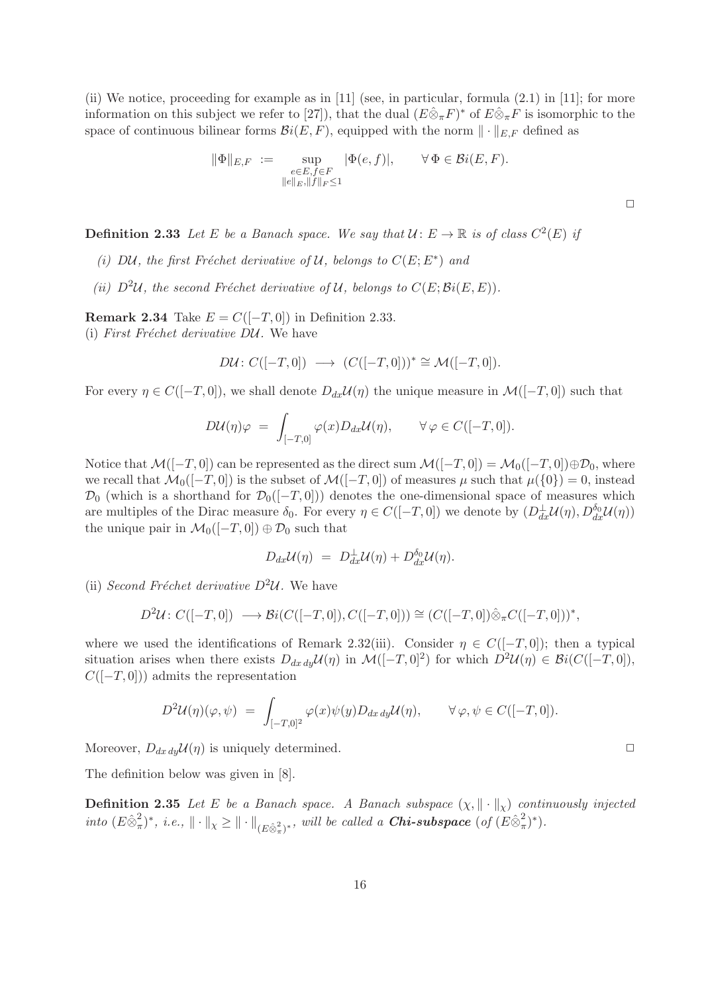(ii) We notice, proceeding for example as in [11] (see, in particular, formula  $(2.1)$  in [11]; for more information on this subject we refer to [27]), that the dual  $(E\hat{\otimes}_{\pi}F)^*$  of  $E\hat{\otimes}_{\pi}F$  is isomorphic to the space of continuous bilinear forms  $\mathcal{B}i(E, F)$ , equipped with the norm  $\|\cdot\|_{E,F}$  defined as

$$
\|\Phi\|_{E,F} := \sup_{\substack{e \in E, f \in F \\ \|e\|_E, \|f\|_F \le 1}} |\Phi(e, f)|, \qquad \forall \Phi \in \mathcal{B}i(E, F).
$$

**Definition 2.33** Let E be a Banach space. We say that  $\mathcal{U} \colon E \to \mathbb{R}$  is of class  $C^2(E)$  if

- (i) DU, the first Fréchet derivative of U, belongs to  $C(E; E^*)$  and
- (ii)  $D^2\mathcal{U}$ , the second Fréchet derivative of  $\mathcal{U}$ , belongs to  $C(E; \mathcal{B}i(E, E)).$

Remark 2.34 Take  $E = C([-T, 0])$  in Definition 2.33. (i) First Fréchet derivative  $D\mathcal{U}$ . We have

$$
D\mathcal{U}\colon C([-T,0]) \longrightarrow (C([-T,0]))^* \cong \mathcal{M}([-T,0]).
$$

For every  $\eta \in C([-T, 0])$ , we shall denote  $D_{dx}\mathcal{U}(\eta)$  the unique measure in  $\mathcal{M}([-T, 0])$  such that

$$
D\mathcal{U}(\eta)\varphi = \int_{[-T,0]} \varphi(x) D_{dx}\mathcal{U}(\eta), \qquad \forall \varphi \in C([-T,0]).
$$

Notice that  $\mathcal{M}([-T,0])$  can be represented as the direct sum  $\mathcal{M}([-T,0]) = \mathcal{M}_0([-T,0]) \oplus \mathcal{D}_0$ , where we recall that  $\mathcal{M}_0([-T, 0])$  is the subset of  $\mathcal{M}([-T, 0])$  of measures  $\mu$  such that  $\mu({0}) = 0$ , instead  $\mathcal{D}_0$  (which is a shorthand for  $\mathcal{D}_0([-T, 0]))$  denotes the one-dimensional space of measures which are multiples of the Dirac measure  $\delta_0$ . For every  $\eta \in C([-T,0])$  we denote by  $(D_{dx}^{\perp} \mathcal{U}(\eta), D_{dx}^{\delta_0} \mathcal{U}(\eta))$ the unique pair in  $\mathcal{M}_0([-T, 0]) \oplus \mathcal{D}_0$  such that

$$
D_{dx}\mathcal{U}(\eta) = D_{dx}^{\perp}\mathcal{U}(\eta) + D_{dx}^{\delta_0}\mathcal{U}(\eta).
$$

(ii) Second Fréchet derivative  $D^2U$ . We have

$$
D^2 \mathcal{U} \colon C([-T, 0]) \longrightarrow \mathcal{B}i(C([-T, 0]), C([-T, 0])) \cong (C([-T, 0]) \hat{\otimes}_{\pi} C([-T, 0]))^*,
$$

where we used the identifications of Remark 2.32(iii). Consider  $\eta \in C([-T, 0])$ ; then a typical situation arises when there exists  $D_{dx\,dy}\mathcal{U}(\eta)$  in  $\mathcal{M}([-T,0]^2)$  for which  $D^2\mathcal{U}(\eta) \in \mathcal{B}i(C([-T,0]),$  $C([-T, 0])$  admits the representation

$$
D^2 \mathcal{U}(\eta)(\varphi, \psi) = \int_{[-T,0]^2} \varphi(x) \psi(y) D_{dx\,dy} \mathcal{U}(\eta), \qquad \forall \varphi, \psi \in C([-T,0]).
$$

Moreover,  $D_{dx\,dy} \mathcal{U}(\eta)$  is uniquely determined.

The definition below was given in [8].

**Definition 2.35** Let E be a Banach space. A Banach subspace  $(\chi, \|\cdot\|_{\chi})$  continuously injected into  $(E \hat{\otimes}_{\pi}^2)$  $(\mathcal{A}^2, \mathcal{A}^*)^*$ , i.e.,  $\|\cdot\|_{\chi} \geq \|\cdot\|_{(E\hat{\otimes}_{\pi}^2)^*}$ , will be called a **Chi-subspace** (of  $(E\hat{\otimes}_{\pi}^2)$  $(\frac{2}{\pi})^*$ ).

 $\Box$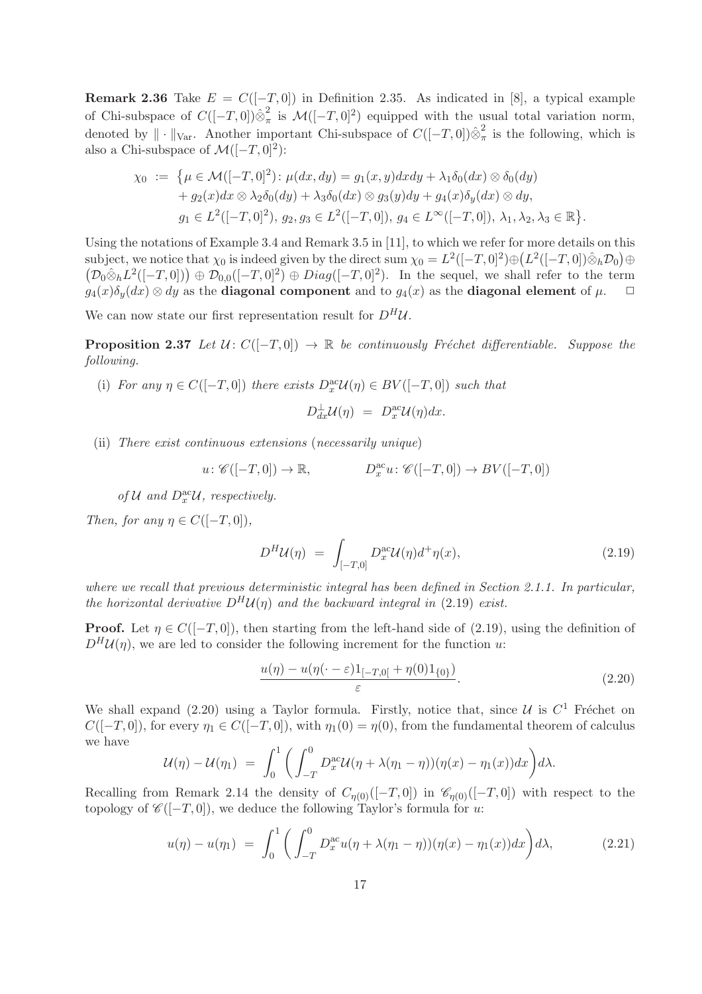Remark 2.36 Take  $E = C([-T, 0])$  in Definition 2.35. As indicated in [8], a typical example of Chi-subspace of  $C([-T, 0]) \hat{\otimes}_{\pi}^2$  $\frac{1}{\pi}$  is  $\mathcal{M}([-T, 0]^2)$  equipped with the usual total variation norm, denoted by  $\|\cdot\|_{\text{Var}}$ . Another important Chi-subspace of  $C([-T, 0])\hat{\otimes}_{\pi}^2$  $\frac{2}{\pi}$  is the following, which is also a Chi-subspace of  $\mathcal{M}([-T, 0]^2)$ :

$$
\chi_0 := \{ \mu \in \mathcal{M}([-T, 0]^2) : \mu(dx, dy) = g_1(x, y) dx dy + \lambda_1 \delta_0(dx) \otimes \delta_0(dy) + g_2(x) dx \otimes \lambda_2 \delta_0(dy) + \lambda_3 \delta_0(dx) \otimes g_3(y) dy + g_4(x) \delta_y(dx) \otimes dy, g_1 \in L^2([-T, 0]^2), g_2, g_3 \in L^2([-T, 0]), g_4 \in L^{\infty}([-T, 0]), \lambda_1, \lambda_2, \lambda_3 \in \mathbb{R} \}.
$$

Using the notations of Example 3.4 and Remark 3.5 in [11], to which we refer for more details on this  $\text{subject, we notice that } \chi_0 \text{ is indeed given by the direct sum } \chi_0 = L^2([-T, 0]^2) \oplus (L^2([-T, 0]) \hat{\otimes}_h \mathcal{D}_0) \oplus$  $(\mathcal{D}_0 \hat{\otimes}_h L^2([-T,0])) \oplus \mathcal{D}_{0,0}([-T,0]^2) \oplus Diag([-T,0]^2)$ . In the sequel, we shall refer to the term  $g_4(x)\delta_u(dx) \otimes dy$  as the **diagonal component** and to  $g_4(x)$  as the **diagonal element** of  $\mu$ .

We can now state our first representation result for  $D^H U$ .

**Proposition 2.37** Let  $U: C([-T, 0]) \to \mathbb{R}$  be continuously Fréchet differentiable. Suppose the following.

(i) For any  $\eta \in C([-T, 0])$  there exists  $D_x^{\text{ac}} \mathcal{U}(\eta) \in BV([-T, 0])$  such that

$$
D_{dx}^{\perp} \mathcal{U}(\eta) = D_x^{\text{ac}} \mathcal{U}(\eta) dx.
$$

(ii) There exist continuous extensions (necessarily unique)

$$
u: \mathscr{C}([-T,0]) \to \mathbb{R}, \qquad D_x^{\text{ac}}u: \mathscr{C}([-T,0]) \to BV([-T,0])
$$

of  $\mathcal U$  and  $D^{\text{ac}}_x\mathcal U$ , respectively.

Then, for any  $\eta \in C([-T, 0]),$ 

$$
D^H \mathcal{U}(\eta) = \int_{[-T,0]} D_x^{\text{ac}} \mathcal{U}(\eta) d^+ \eta(x), \qquad (2.19)
$$

where we recall that previous deterministic integral has been defined in Section 2.1.1. In particular, the horizontal derivative  $D^H \mathcal{U}(n)$  and the backward integral in (2.19) exist.

**Proof.** Let  $\eta \in C([-T, 0])$ , then starting from the left-hand side of (2.19), using the definition of  $D^H \mathcal{U}(n)$ , we are led to consider the following increment for the function u:

$$
\frac{u(\eta) - u(\eta(\cdot - \varepsilon)1_{[-T,0[} + \eta(0)1_{\{0\}})}{\varepsilon}.
$$
\n(2.20)

We shall expand  $(2.20)$  using a Taylor formula. Firstly, notice that, since  $\mathcal{U}$  is  $C^1$  Fréchet on  $C([-T, 0])$ , for every  $\eta_1 \in C([-T, 0])$ , with  $\eta_1(0) = \eta(0)$ , from the fundamental theorem of calculus we have

$$
\mathcal{U}(\eta) - \mathcal{U}(\eta_1) = \int_0^1 \bigg( \int_{-T}^0 D_x^{\alpha c} \mathcal{U}(\eta + \lambda(\eta_1 - \eta))(\eta(x) - \eta_1(x)) dx \bigg) d\lambda.
$$

Recalling from Remark 2.14 the density of  $C_{n(0)}([-T,0])$  in  $\mathscr{C}_{n(0)}([-T,0])$  with respect to the topology of  $\mathscr{C}([-T, 0])$ , we deduce the following Taylor's formula for u:

$$
u(\eta) - u(\eta_1) = \int_0^1 \left( \int_{-T}^0 D_x^{\text{ac}} u(\eta + \lambda(\eta_1 - \eta))(\eta(x) - \eta_1(x)) dx \right) d\lambda, \tag{2.21}
$$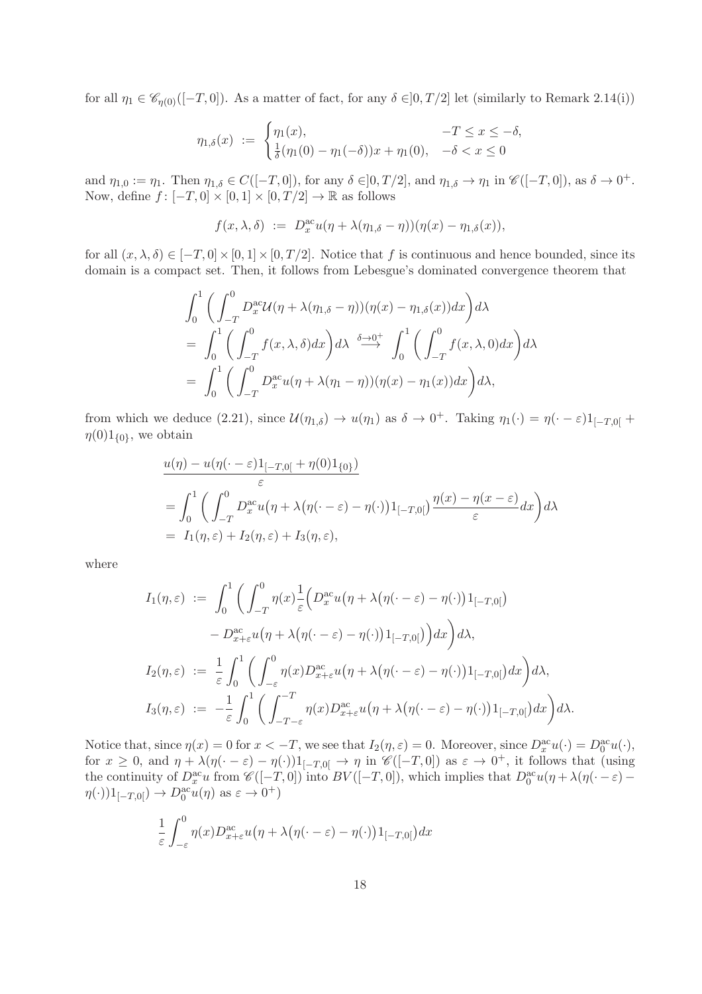for all  $\eta_1 \in \mathscr{C}_{n(0)}([-T,0])$ . As a matter of fact, for any  $\delta \in ]0,T/2]$  let (similarly to Remark 2.14(i))

$$
\eta_{1,\delta}(x) := \begin{cases} \eta_1(x), & -T \le x \le -\delta, \\ \frac{1}{\delta}(\eta_1(0) - \eta_1(-\delta))x + \eta_1(0), & -\delta < x \le 0 \end{cases}
$$

and  $\eta_{1,0} := \eta_1$ . Then  $\eta_{1,\delta} \in C([-T,0])$ , for any  $\delta \in ]0,T/2]$ , and  $\eta_{1,\delta} \to \eta_1$  in  $\mathscr{C}([-T,0])$ , as  $\delta \to 0^+$ . Now, define  $f: [-T, 0] \times [0, 1] \times [0, T/2] \rightarrow \mathbb{R}$  as follows

$$
f(x, \lambda, \delta) := D_x^{\text{ac}} u(\eta + \lambda(\eta_{1,\delta} - \eta))(\eta(x) - \eta_{1,\delta}(x)),
$$

for all  $(x, \lambda, \delta) \in [-T, 0] \times [0, 1] \times [0, T/2]$ . Notice that f is continuous and hence bounded, since its domain is a compact set. Then, it follows from Lebesgue's dominated convergence theorem that

$$
\int_0^1 \left( \int_{-T}^0 D_x^{\alpha c} \mathcal{U}(\eta + \lambda(\eta_{1,\delta} - \eta))(\eta(x) - \eta_{1,\delta}(x)) dx \right) d\lambda
$$
  
= 
$$
\int_0^1 \left( \int_{-T}^0 f(x, \lambda, \delta) dx \right) d\lambda \stackrel{\delta \to 0^+}{\longrightarrow} \int_0^1 \left( \int_{-T}^0 f(x, \lambda, 0) dx \right) d\lambda
$$
  
= 
$$
\int_0^1 \left( \int_{-T}^0 D_x^{\alpha c} u(\eta + \lambda(\eta_1 - \eta))(\eta(x) - \eta_1(x)) dx \right) d\lambda,
$$

from which we deduce (2.21), since  $\mathcal{U}(\eta_{1,\delta}) \to u(\eta_1)$  as  $\delta \to 0^+$ . Taking  $\eta_1(\cdot) = \eta(\cdot - \varepsilon)1_{[-T,0[} + \varepsilon]$  $\eta(0)1_{\{0\}},\$ we obtain

$$
\frac{u(\eta) - u(\eta(\cdot - \varepsilon)1_{[-T,0[} + \eta(0)1_{\{0\}})}{\varepsilon}
$$
\n
$$
= \int_0^1 \left( \int_{-T}^0 D_x^{\text{ac}} u(\eta + \lambda(\eta(\cdot - \varepsilon) - \eta(\cdot))1_{[-T,0[}) \frac{\eta(x) - \eta(x - \varepsilon)}{\varepsilon} dx \right) d\lambda
$$
\n
$$
= I_1(\eta, \varepsilon) + I_2(\eta, \varepsilon) + I_3(\eta, \varepsilon),
$$

where

$$
I_1(\eta, \varepsilon) := \int_0^1 \left( \int_{-T}^0 \eta(x) \frac{1}{\varepsilon} \Big( D_x^{\text{ac}} u \big( \eta + \lambda (\eta(\cdot - \varepsilon) - \eta(\cdot) \big) 1_{[-T,0[} \big) - D_{x+\varepsilon}^{\text{ac}} u \big( \eta + \lambda (\eta(\cdot - \varepsilon) - \eta(\cdot) \big) 1_{[-T,0[} \big) \Big) dx \right) d\lambda,
$$
  

$$
I_2(\eta, \varepsilon) := \frac{1}{\varepsilon} \int_0^1 \left( \int_{-\varepsilon}^0 \eta(x) D_{x+\varepsilon}^{\text{ac}} u \big( \eta + \lambda (\eta(\cdot - \varepsilon) - \eta(\cdot) \big) 1_{[-T,0[} \big) dx \right) d\lambda,
$$
  

$$
I_3(\eta, \varepsilon) := -\frac{1}{\varepsilon} \int_0^1 \left( \int_{-T-\varepsilon}^{-T} \eta(x) D_{x+\varepsilon}^{\text{ac}} u \big( \eta + \lambda (\eta(\cdot - \varepsilon) - \eta(\cdot) \big) 1_{[-T,0[} \big) dx \right) d\lambda.
$$

Notice that, since  $\eta(x) = 0$  for  $x < -T$ , we see that  $I_2(\eta, \varepsilon) = 0$ . Moreover, since  $D_x^{\text{ac}}u(\cdot) = D_0^{\text{ac}}u(\cdot)$ , for  $x \geq 0$ , and  $\eta + \lambda(\eta(\cdot - \varepsilon) - \eta(\cdot))1_{[-T,0]} \to \eta$  in  $\mathscr{C}([-T,0])$  as  $\varepsilon \to 0^+$ , it follows that (using the continuity of  $D_x^{\text{ac}}u$  from  $\mathscr{C}([-T,0])$  into  $BV([-T,0])$ , which implies that  $D_0^{\text{ac}}u(\eta + \lambda(\eta(\cdot - \varepsilon) \eta(\cdot)1_{[-T,0[}) \to D_0^{\text{ac}}u(\eta)$  as  $\varepsilon \to 0^+$ )

$$
\frac{1}{\varepsilon} \int_{-\varepsilon}^{0} \eta(x) D_{x+\varepsilon}^{\mathop{\rm {ac}}} u(\eta + \lambda (\eta(\cdot - \varepsilon) - \eta(\cdot)) 1_{[-T,0[}) dx
$$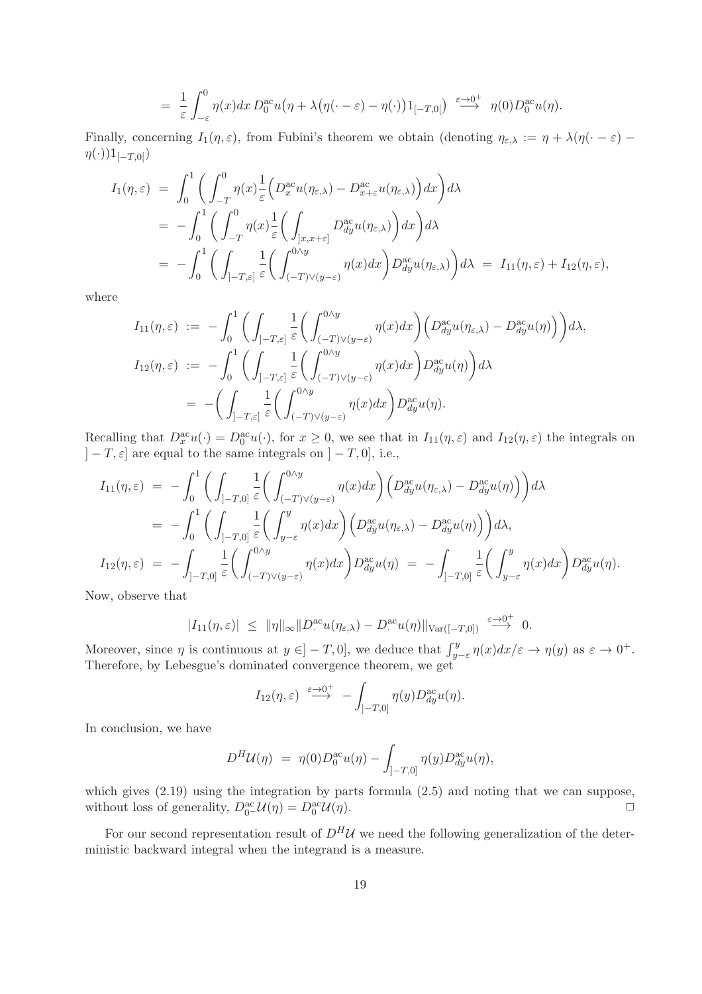$$
= \frac{1}{\varepsilon} \int_{-\varepsilon}^{0} \eta(x) dx D_0^{\alpha c} u(\eta + \lambda (\eta(\cdot - \varepsilon) - \eta(\cdot)) 1_{[-T,0[}) \stackrel{\varepsilon \to 0^+}{\longrightarrow} \eta(0) D_0^{\alpha c} u(\eta).
$$

Finally, concerning  $I_1(\eta,\varepsilon)$ , from Fubini's theorem we obtain (denoting  $\eta_{\varepsilon,\lambda} := \eta + \lambda(\eta(\cdot - \varepsilon) \eta(\cdot)$ )1<sub>[−T,0[</sub>)

$$
I_1(\eta, \varepsilon) = \int_0^1 \left( \int_{-T}^0 \eta(x) \frac{1}{\varepsilon} \Big( D_x^{\text{ac}} u(\eta_{\varepsilon,\lambda}) - D_{x+\varepsilon}^{\text{ac}} u(\eta_{\varepsilon,\lambda}) \Big) dx \right) d\lambda
$$
  
\n
$$
= -\int_0^1 \left( \int_{-T}^0 \eta(x) \frac{1}{\varepsilon} \Big( \int_{]x, x+\varepsilon]} D_{dy}^{\text{ac}} u(\eta_{\varepsilon,\lambda}) \Big) dx \right) d\lambda
$$
  
\n
$$
= -\int_0^1 \left( \int_{] -T, \varepsilon]} \frac{1}{\varepsilon} \Big( \int_{(-T) \vee (y-\varepsilon)}^{0 \wedge y} \eta(x) dx \Big) D_{dy}^{\text{ac}} u(\eta_{\varepsilon,\lambda}) \Big) d\lambda = I_{11}(\eta, \varepsilon) + I_{12}(\eta, \varepsilon),
$$

where

$$
I_{11}(\eta,\varepsilon) := -\int_0^1 \bigg( \int_{]-T,\varepsilon]} \frac{1}{\varepsilon} \bigg( \int_{(-T)\vee(y-\varepsilon)}^{0\wedge y} \eta(x) dx \bigg) \bigg( D_{dy}^{\mathrm{ac}} u(\eta_{\varepsilon,\lambda}) - D_{dy}^{\mathrm{ac}} u(\eta) \bigg) \bigg) d\lambda,
$$
  
\n
$$
I_{12}(\eta,\varepsilon) := -\int_0^1 \bigg( \int_{]-T,\varepsilon]} \frac{1}{\varepsilon} \bigg( \int_{(-T)\vee(y-\varepsilon)}^{0\wedge y} \eta(x) dx \bigg) D_{dy}^{\mathrm{ac}} u(\eta) \bigg) d\lambda
$$
  
\n
$$
= -\bigg( \int_{]-T,\varepsilon]} \frac{1}{\varepsilon} \bigg( \int_{(-T)\vee(y-\varepsilon)}^{0\wedge y} \eta(x) dx \bigg) D_{dy}^{\mathrm{ac}} u(\eta).
$$

Recalling that  $D_x^{\text{ac}}u(\cdot) = D_0^{\text{ac}}u(\cdot)$ , for  $x \ge 0$ , we see that in  $I_{11}(\eta,\varepsilon)$  and  $I_{12}(\eta,\varepsilon)$  the integrals on  $]-T,\varepsilon]$  are equal to the same integrals on  $]-T,0]$ , i.e.,

$$
I_{11}(\eta,\varepsilon) = -\int_0^1 \bigg( \int_{]-T,0]} \frac{1}{\varepsilon} \bigg( \int_{(-T)\vee(y-\varepsilon)}^{0\wedge y} \eta(x) dx \bigg) \bigg( D_{dy}^{\text{ac}} u(\eta_{\varepsilon,\lambda}) - D_{dy}^{\text{ac}} u(\eta) \bigg) \bigg) d\lambda
$$
  
\n
$$
= -\int_0^1 \bigg( \int_{]-T,0]} \frac{1}{\varepsilon} \bigg( \int_{y-\varepsilon}^y \eta(x) dx \bigg) \bigg( D_{dy}^{\text{ac}} u(\eta_{\varepsilon,\lambda}) - D_{dy}^{\text{ac}} u(\eta) \bigg) \bigg) d\lambda,
$$
  
\n
$$
I_{12}(\eta,\varepsilon) = -\int_{]-T,0]} \frac{1}{\varepsilon} \bigg( \int_{(-T)\vee(y-\varepsilon)}^{0\wedge y} \eta(x) dx \bigg) D_{dy}^{\text{ac}} u(\eta) = -\int_{]-T,0]} \frac{1}{\varepsilon} \bigg( \int_{y-\varepsilon}^y \eta(x) dx \bigg) D_{dy}^{\text{ac}} u(\eta).
$$

Now, observe that

$$
|I_{11}(\eta,\varepsilon)| \leq \|\eta\|_{\infty} \|D^{\mathrm{ac}}_{\cdot}u(\eta_{\varepsilon,\lambda}) - D^{\mathrm{ac}}_{\cdot}u(\eta)\|_{\mathrm{Var}([-T,0])} \xrightarrow{\varepsilon \to 0^+} 0.
$$

Moreover, since  $\eta$  is continuous at  $y \in ]-T,0]$ , we deduce that  $\int_{y-\varepsilon}^{y} \eta(x) dx/\varepsilon \to \eta(y)$  as  $\varepsilon \to 0^+$ . Therefore, by Lebesgue's dominated convergence theorem, we get

$$
I_{12}(\eta,\varepsilon) \stackrel{\varepsilon \to 0^+}{\longrightarrow} - \int_{]-T,0]} \eta(y) D_{dy}^{\mathrm{ac}} u(\eta).
$$

In conclusion, we have

$$
D^H \mathcal{U}(\eta) = \eta(0) D_0^{\text{ac}} u(\eta) - \int_{]-T,0]} \eta(y) D_{dy}^{\text{ac}} u(\eta),
$$

which gives (2.19) using the integration by parts formula (2.5) and noting that we can suppose, without loss of generality,  $D_0^{\text{ac}} \mathcal{U}(\eta) = D_0^{\text{ac}} \mathcal{U}(\eta)$ .

For our second representation result of  $D^H\mathcal{U}$  we need the following generalization of the deterministic backward integral when the integrand is a measure.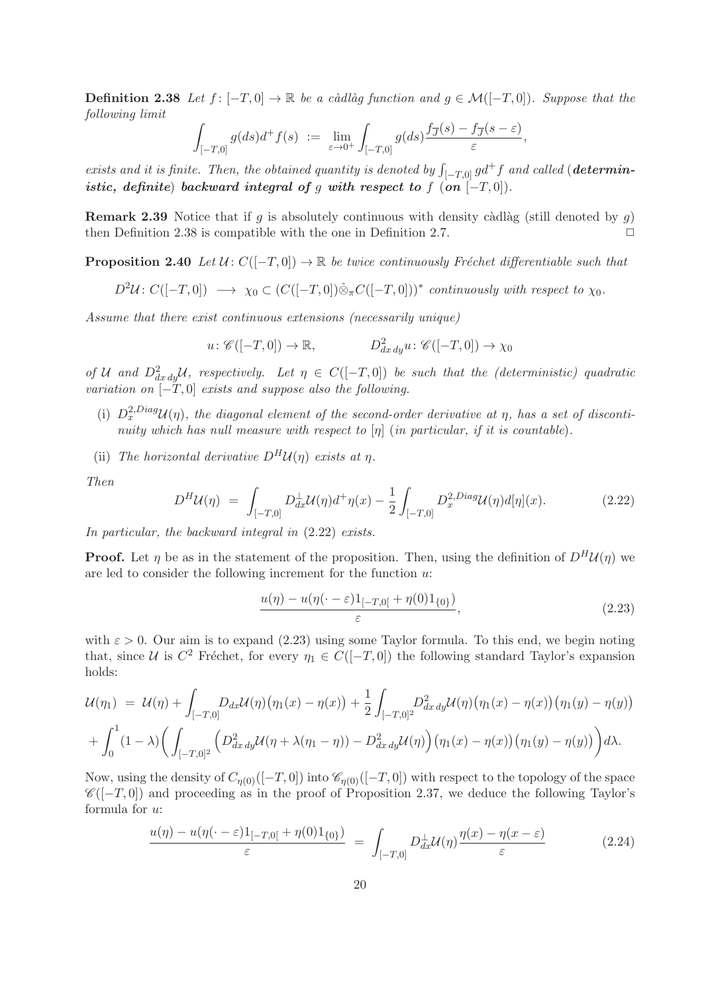**Definition 2.38** Let  $f: [-T, 0] \to \mathbb{R}$  be a càdlàg function and  $q \in \mathcal{M}([-T, 0])$ . Suppose that the following limit

$$
\int_{[-T,0]} g(ds) d^+ f(s) \ := \ \lim_{\varepsilon \to 0^+} \int_{[-T,0]} g(ds) \frac{f_{\overline{J}}(s) - f_{\overline{J}}(s-\varepsilon)}{\varepsilon},
$$

exists and it is finite. Then, the obtained quantity is denoted by  $\int_{[-T,0]} g d^+ f$  and called (**determin**istic, definite) backward integral of g with respect to f  $($ on  $[-T, 0]$ .

**Remark 2.39** Notice that if q is absolutely continuous with density càdlàg (still denoted by q) then Definition 2.38 is compatible with the one in Definition 2.7.  $\Box$ 

**Proposition 2.40** Let  $U: C([-T, 0]) \to \mathbb{R}$  be twice continuously Fréchet differentiable such that

$$
D^2\mathcal{U}: C([-T,0]) \longrightarrow \chi_0 \subset (C([-T,0])\hat{\otimes}_{\pi}C([-T,0]))^* \text{ continuously with respect to } \chi_0.
$$

Assume that there exist continuous extensions (necessarily unique)

$$
u: \mathscr{C}([-T,0]) \to \mathbb{R}, \qquad D^2_{dx\,dy}u: \mathscr{C}([-T,0]) \to \chi_0
$$

of U and  $D^2_{dx\,dy}U$ , respectively. Let  $\eta \in C([-T,0])$  be such that the (deterministic) quadratic variation on  $\overline{[-T,0]}$  exists and suppose also the following.

- (i)  $D_x^{2,Diag}U(\eta)$ , the diagonal element of the second-order derivative at  $\eta$ , has a set of discontinuity which has null measure with respect to  $[\eta]$  (in particular, if it is countable).
- (ii) The horizontal derivative  $D^H U(\eta)$  exists at  $\eta$ .

Then

$$
D^H \mathcal{U}(\eta) = \int_{[-T,0]} D_{dx}^{\perp} \mathcal{U}(\eta) d^{\dagger} \eta(x) - \frac{1}{2} \int_{[-T,0]} D_x^{2,Diag} \mathcal{U}(\eta) d[\eta](x).
$$
 (2.22)

In particular, the backward integral in  $(2.22)$  exists.

**Proof.** Let  $\eta$  be as in the statement of the proposition. Then, using the definition of  $D^H \mathcal{U}(\eta)$  we are led to consider the following increment for the function  $u$ :

$$
\frac{u(\eta) - u(\eta(\cdot - \varepsilon)1_{[-T,0[} + \eta(0)1_{\{0\}})}{\varepsilon},\tag{2.23}
$$

with  $\varepsilon > 0$ . Our aim is to expand (2.23) using some Taylor formula. To this end, we begin noting that, since U is  $C^2$  Fréchet, for every  $\eta_1 \in C([-T, 0])$  the following standard Taylor's expansion holds:

$$
\mathcal{U}(\eta_1) = \mathcal{U}(\eta) + \int_{[-T,0]} D_{dx}\mathcal{U}(\eta) (\eta_1(x) - \eta(x)) + \frac{1}{2} \int_{[-T,0]^2} D_{dx\,dy}^2 \mathcal{U}(\eta) (\eta_1(x) - \eta(x)) (\eta_1(y) - \eta(y)) + \int_0^1 (1 - \lambda) \Big( \int_{[-T,0]^2} \Big( D_{dx\,dy}^2 \mathcal{U}(\eta + \lambda(\eta_1 - \eta)) - D_{dx\,dy}^2 \mathcal{U}(\eta) \Big) (\eta_1(x) - \eta(x)) (\eta_1(y) - \eta(y)) \Big) d\lambda.
$$

Now, using the density of  $C_{\eta(0)}([-T,0])$  into  $\mathscr{C}_{\eta(0)}([-T,0])$  with respect to the topology of the space  $\mathscr{C}([-T, 0])$  and proceeding as in the proof of Proposition 2.37, we deduce the following Taylor's formula for u:

$$
\frac{u(\eta) - u(\eta(\cdot - \varepsilon)1_{[-T,0[} + \eta(0)1_{\{0\}})}{\varepsilon} = \int_{[-T,0]} D_{dx}^{\perp} \mathcal{U}(\eta) \frac{\eta(x) - \eta(x - \varepsilon)}{\varepsilon}
$$
(2.24)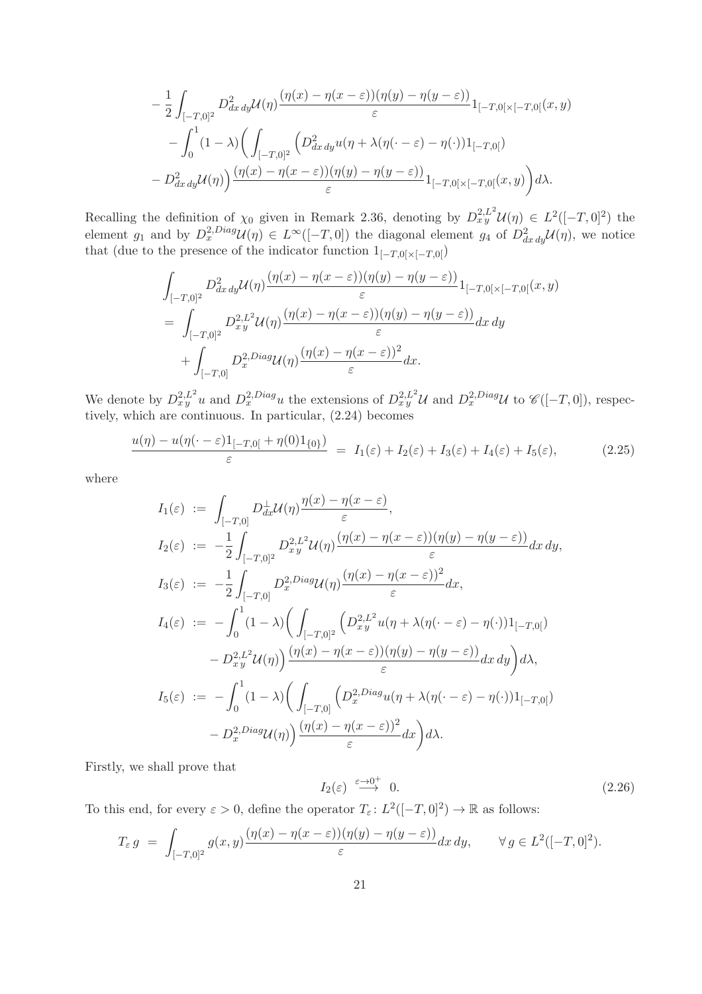$$
-\frac{1}{2}\int_{[-T,0]^2}D_{dx\,dy}^2\mathcal{U}(\eta)\frac{(\eta(x)-\eta(x-\varepsilon))(\eta(y)-\eta(y-\varepsilon))}{\varepsilon}1_{[-T,0[\times[-T,0[}(x,y)]}
$$

$$
-\int_0^1(1-\lambda)\bigg(\int_{[-T,0]^2}\bigg(D_{dx\,dy}^2u(\eta+\lambda(\eta(\cdot-\varepsilon)-\eta(\cdot))1_{[-T,0[})
$$

$$
-D_{dx\,dy}^2\mathcal{U}(\eta)\bigg)\frac{(\eta(x)-\eta(x-\varepsilon))(\eta(y)-\eta(y-\varepsilon))}{\varepsilon}1_{[-T,0[\times[-T,0[}(x,y))]d\lambda.
$$

Recalling the definition of  $\chi_0$  given in Remark 2.36, denoting by  $D^{2,L^2}_{xy}U(\eta) \in L^2([-T,0]^2)$  the element  $g_1$  and by  $D_x^{2,Diag}U(\eta) \in L^{\infty}([-T,0])$  the diagonal element  $g_4$  of  $D_{dx\,dy}^2U(\eta)$ , we notice that (due to the presence of the indicator function  $1_{[-T,0[\times[-T,0[}$ )

$$
\int_{[-T,0]^2} D^2_{dx\,dy} \mathcal{U}(\eta) \frac{(\eta(x) - \eta(x-\varepsilon))(\eta(y) - \eta(y-\varepsilon))}{\varepsilon} 1_{[-T,0[\times[-T,0[}(x,y))]} \n= \int_{[-T,0]^2} D^{2,L^2}_{xy} \mathcal{U}(\eta) \frac{(\eta(x) - \eta(x-\varepsilon))(\eta(y) - \eta(y-\varepsilon))}{\varepsilon} dx\,dy \n+ \int_{[-T,0]} D^{2,Diag}_{x} \mathcal{U}(\eta) \frac{(\eta(x) - \eta(x-\varepsilon))}{\varepsilon} dx.
$$

We denote by  $D_x^2 L^2 u$  and  $D_x^2 D^{iag} u$  the extensions of  $D_x^2 L^2 u$  and  $D_x^2 D^{iag} u$  to  $\mathscr{C}([-T,0])$ , respectively, which are continuous. In particular, (2.24) becomes

$$
\frac{u(\eta) - u(\eta(\cdot - \varepsilon)1_{[-T,0[} + \eta(0)1_{\{0\}})}{\varepsilon} = I_1(\varepsilon) + I_2(\varepsilon) + I_3(\varepsilon) + I_4(\varepsilon) + I_5(\varepsilon), \tag{2.25}
$$

where

$$
I_1(\varepsilon) := \int_{[-T,0]} D_{dx}^{\perp} \mathcal{U}(\eta) \frac{\eta(x) - \eta(x - \varepsilon)}{\varepsilon},
$$
  
\n
$$
I_2(\varepsilon) := -\frac{1}{2} \int_{[-T,0]^2} D_{xy}^{2} \mathcal{U}(\eta) \frac{(\eta(x) - \eta(x - \varepsilon))(\eta(y) - \eta(y - \varepsilon))}{\varepsilon} dx dy,
$$
  
\n
$$
I_3(\varepsilon) := -\frac{1}{2} \int_{[-T,0]} D_{x}^{2} \mathcal{D}^{2}(\eta) \frac{(\eta(x) - \eta(x - \varepsilon))}{\varepsilon} dx,
$$
  
\n
$$
I_4(\varepsilon) := -\int_{0}^{1} (1 - \lambda) \Big( \int_{[-T,0]^2} \left( D_{xy}^{2} \mathcal{L}^2 u(\eta + \lambda(\eta(\cdot - \varepsilon) - \eta(\cdot))1_{[-T,0[}) \right) - D_{xy}^{2} \mathcal{L}^2 \mathcal{U}(\eta) \Big) \frac{(\eta(x) - \eta(x - \varepsilon))(\eta(y) - \eta(y - \varepsilon))}{\varepsilon} dx dy \Big) d\lambda,
$$
  
\n
$$
I_5(\varepsilon) := -\int_{0}^{1} (1 - \lambda) \Big( \int_{[-T,0]} \left( D_{x}^{2} \mathcal{D}^{2} u(\eta + \lambda(\eta(\cdot - \varepsilon) - \eta(\cdot))1_{[-T,0[}) \right) - D_{x}^{2} \mathcal{D}^{2}(\eta(\eta)) \Big) \frac{(\eta(x) - \eta(x - \varepsilon))^{2}}{\varepsilon} dx \Big) d\lambda.
$$

Firstly, we shall prove that

$$
I_2(\varepsilon) \stackrel{\varepsilon \to 0^+}{\longrightarrow} 0. \tag{2.26}
$$

To this end, for every  $\varepsilon > 0$ , define the operator  $T_{\varepsilon} : L^2([-T, 0]^2) \to \mathbb{R}$  as follows:

$$
T_{\varepsilon} g = \int_{[-T,0]^2} g(x,y) \frac{(\eta(x) - \eta(x-\varepsilon))(\eta(y) - \eta(y-\varepsilon))}{\varepsilon} dx dy, \quad \forall g \in L^2([-T,0]^2).
$$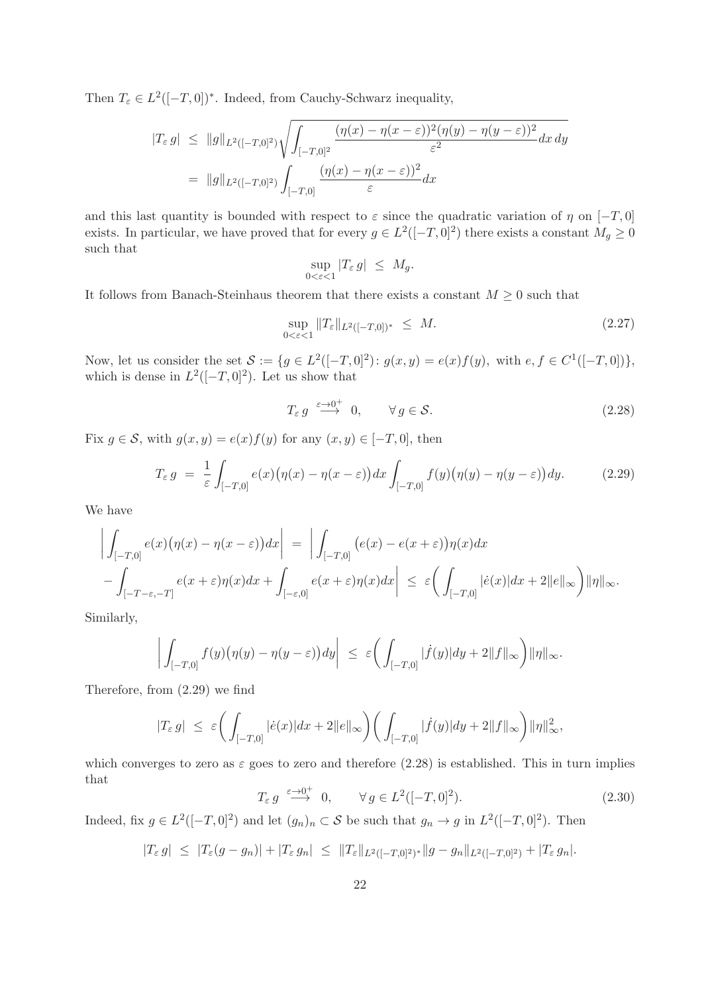Then  $T_{\varepsilon} \in L^2([-T, 0])^*$ . Indeed, from Cauchy-Schwarz inequality,

$$
|T_{\varepsilon} g| \leq ||g||_{L^{2}([-T,0]^{2})} \sqrt{\int_{[-T,0]^{2}} \frac{(\eta(x) - \eta(x-\varepsilon))^{2} (\eta(y) - \eta(y-\varepsilon))^{2}}{\varepsilon^{2}} dx dy}
$$
  
= 
$$
||g||_{L^{2}([-T,0]^{2})} \int_{[-T,0]} \frac{(\eta(x) - \eta(x-\varepsilon))^{2}}{\varepsilon} dx
$$

and this last quantity is bounded with respect to  $\varepsilon$  since the quadratic variation of  $\eta$  on  $[-T, 0]$ exists. In particular, we have proved that for every  $g \in L^2([-T,0]^2)$  there exists a constant  $M_g \geq 0$ such that

$$
\sup_{0 < \varepsilon < 1} |T_{\varepsilon} g| \leq M_g.
$$

It follows from Banach-Steinhaus theorem that there exists a constant  $M \geq 0$  such that

$$
\sup_{0 < \varepsilon < 1} \|T_{\varepsilon}\|_{L^2([-T, 0])^*} \le M. \tag{2.27}
$$

Now, let us consider the set  $S := \{ g \in L^2([-T, 0]^2) : g(x, y) = e(x)f(y), \text{ with } e, f \in C^1([-T, 0]) \},\$ which is dense in  $L^2([-T, 0]^2)$ . Let us show that

$$
T_{\varepsilon} g \stackrel{\varepsilon \to 0^+}{\longrightarrow} 0, \qquad \forall g \in \mathcal{S}.
$$
 (2.28)

Fix  $g \in \mathcal{S}$ , with  $g(x, y) = e(x)f(y)$  for any  $(x, y) \in [-T, 0]$ , then

$$
T_{\varepsilon} g = \frac{1}{\varepsilon} \int_{[-T,0]} e(x) \big( \eta(x) - \eta(x - \varepsilon) \big) dx \int_{[-T,0]} f(y) \big( \eta(y) - \eta(y - \varepsilon) \big) dy. \tag{2.29}
$$

We have

$$
\left| \int_{[-T,0]} e(x) (\eta(x) - \eta(x - \varepsilon)) dx \right| = \left| \int_{[-T,0]} (e(x) - e(x + \varepsilon)) \eta(x) dx \right|
$$
  
 
$$
- \int_{[-T-\varepsilon,-T]} e(x + \varepsilon) \eta(x) dx + \int_{[-\varepsilon,0]} e(x + \varepsilon) \eta(x) dx \right| \leq \varepsilon \left( \int_{[-T,0]} |\dot{e}(x)| dx + 2||e||_{\infty} \right) \|\eta\|_{\infty}.
$$

Similarly,

$$
\left| \int_{[-T,0]} f(y) \big( \eta(y) - \eta(y - \varepsilon) \big) dy \right| \leq \varepsilon \bigg( \int_{[-T,0]} |\dot{f}(y)| dy + 2||f||_{\infty} \bigg) \|\eta\|_{\infty}.
$$

Therefore, from (2.29) we find

$$
|T_{\varepsilon} g| \leq \varepsilon \bigg( \int_{[-T,0]} |\dot{e}(x)| dx + 2||e||_{\infty} \bigg) \bigg( \int_{[-T,0]} |\dot{f}(y)| dy + 2||f||_{\infty} \bigg) \|\eta\|_{\infty}^2,
$$

which converges to zero as  $\varepsilon$  goes to zero and therefore (2.28) is established. This in turn implies that

$$
T_{\varepsilon} g \stackrel{\varepsilon \to 0^+}{\longrightarrow} 0, \qquad \forall g \in L^2([-T, 0]^2). \tag{2.30}
$$

Indeed, fix  $g \in L^2([-T, 0]^2)$  and let  $(g_n)_n \subset S$  be such that  $g_n \to g$  in  $L^2([-T, 0]^2)$ . Then

$$
|T_{\varepsilon} g| \leq |T_{\varepsilon}(g - g_n)| + |T_{\varepsilon} g_n| \leq ||T_{\varepsilon}||_{L^2([-T,0]^2)^*} ||g - g_n||_{L^2([-T,0]^2)} + |T_{\varepsilon} g_n|.
$$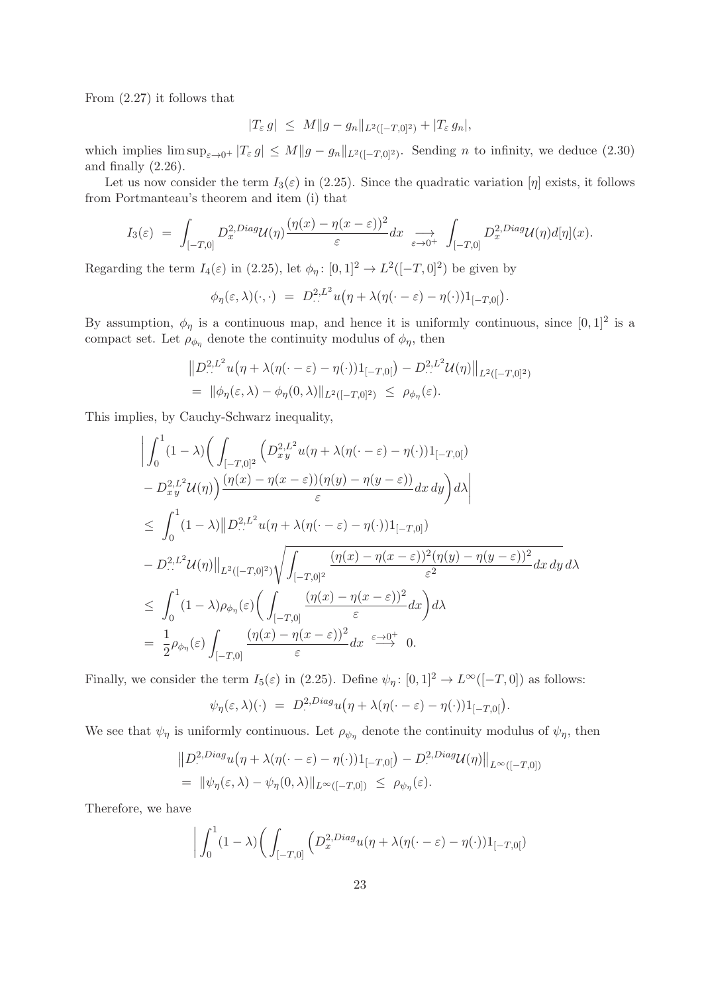From (2.27) it follows that

$$
|T_{\varepsilon} g| \leq M \|g - g_n\|_{L^2([-T,0]^2)} + |T_{\varepsilon} g_n|,
$$

which implies  $\limsup_{\varepsilon\to 0^+} |T_{\varepsilon} g| \leq M \|g - g_n\|_{L^2([-T,0]^2)}$ . Sending *n* to infinity, we deduce (2.30) and finally (2.26).

Let us now consider the term  $I_3(\varepsilon)$  in (2.25). Since the quadratic variation [η] exists, it follows from Portmanteau's theorem and item (i) that

$$
I_3(\varepsilon) = \int_{[-T,0]} D_x^{2,Diag} \mathcal{U}(\eta) \frac{(\eta(x) - \eta(x-\varepsilon))^2}{\varepsilon} dx \implies \int_{[-T,0]} D_x^{2,Diag} \mathcal{U}(\eta) d[\eta](x).
$$

Regarding the term  $I_4(\varepsilon)$  in (2.25), let  $\phi_\eta: [0,1]^2 \to L^2([-T,0]^2)$  be given by

$$
\phi_{\eta}(\varepsilon,\lambda)(\cdot,\cdot) = D_{\cdot\cdot}^{2,L^2} u(\eta + \lambda(\eta(\cdot-\varepsilon)-\eta(\cdot))1_{[-T,0[}).
$$

By assumption,  $\phi_{\eta}$  is a continuous map, and hence it is uniformly continuous, since  $[0,1]^2$  is a compact set. Let  $\rho_{\phi_{\eta}}$  denote the continuity modulus of  $\phi_{\eta}$ , then

$$
||D^{2,L^2}_{...}u(\eta + \lambda(\eta(\cdot - \varepsilon) - \eta(\cdot))1_{[-T,0[}) - D^{2,L^2}_{...}U(\eta)||_{L^2([-T,0]^2)}
$$
  
=  $||\phi_{\eta}(\varepsilon, \lambda) - \phi_{\eta}(0, \lambda)||_{L^2([-T,0]^2)} \le \rho_{\phi_{\eta}}(\varepsilon).$ 

This implies, by Cauchy-Schwarz inequality,

$$
\begin{split}\n&\left|\int_{0}^{1} (1-\lambda) \left(\int_{[-T,0]^{2}} \left(D_{xy}^{2,L^{2}} u(\eta+\lambda(\eta(\cdot-\varepsilon)-\eta(\cdot))1_{[-T,0[})\right)\right.\\
&\left.-D_{xy}^{2,L^{2}} \mathcal{U}(\eta)\right) \frac{(\eta(x)-\eta(x-\varepsilon))(\eta(y)-\eta(y-\varepsilon))}{\varepsilon} dx\,dy\right) d\lambda\right| \\
&\leq \int_{0}^{1} (1-\lambda) \left|\left|D_{\cdot,\cdot}^{2,L^{2}} u(\eta+\lambda(\eta(\cdot-\varepsilon)-\eta(\cdot))1_{[-T,0]})\right.\n\right.\\
&\left.-D_{\cdot,\cdot}^{2,L^{2}} \mathcal{U}(\eta)\right|\left|_{L^{2}([-T,0]^{2})} \sqrt{\int_{[-T,0]^{2}} \frac{(\eta(x)-\eta(x-\varepsilon))^{2}(\eta(y)-\eta(y-\varepsilon))^{2}}{\varepsilon^{2}} dx\,dy}\,d\lambda\right| \\
&\leq \int_{0}^{1} (1-\lambda)\rho_{\phi_{\eta}}(\varepsilon) \left(\int_{[-T,0]} \frac{(\eta(x)-\eta(x-\varepsilon))^{2}}{\varepsilon} dx\right) d\lambda \\
&= \frac{1}{2}\rho_{\phi_{\eta}}(\varepsilon) \int_{[-T,0]} \frac{(\eta(x)-\eta(x-\varepsilon))^{2}}{\varepsilon} dx \xrightarrow{\varepsilon\to0^{+}} 0.\n\end{split}
$$

Finally, we consider the term  $I_5(\varepsilon)$  in (2.25). Define  $\psi_\eta: [0,1]^2 \to L^\infty([-T,0])$  as follows:

$$
\psi_{\eta}(\varepsilon,\lambda)(\cdot) = D^{2,Diag}_{\cdot}u(\eta + \lambda(\eta(\cdot - \varepsilon) - \eta(\cdot))1_{[-T,0]}).
$$

We see that  $\psi_{\eta}$  is uniformly continuous. Let  $\rho_{\psi_{\eta}}$  denote the continuity modulus of  $\psi_{\eta}$ , then

$$
||D^{2,Diag}_{\cdot}u(\eta+\lambda(\eta(\cdot-\varepsilon)-\eta(\cdot))1_{[-T,0[})-D^{2,Diag}_{\cdot}U(\eta)||_{L^{\infty}([-T,0])}
$$
  
=  $||\psi_{\eta}(\varepsilon,\lambda)-\psi_{\eta}(0,\lambda)||_{L^{\infty}([-T,0])} \leq \rho_{\psi_{\eta}}(\varepsilon).$ 

Therefore, we have

$$
\bigg| \int_0^1 (1 - \lambda) \bigg( \int_{[-T,0]} \left( D_x^{2,Diag} u(\eta + \lambda(\eta(\cdot - \varepsilon) - \eta(\cdot)) 1_{[-T,0[} \right) \bigg) \bigg) \bigg|
$$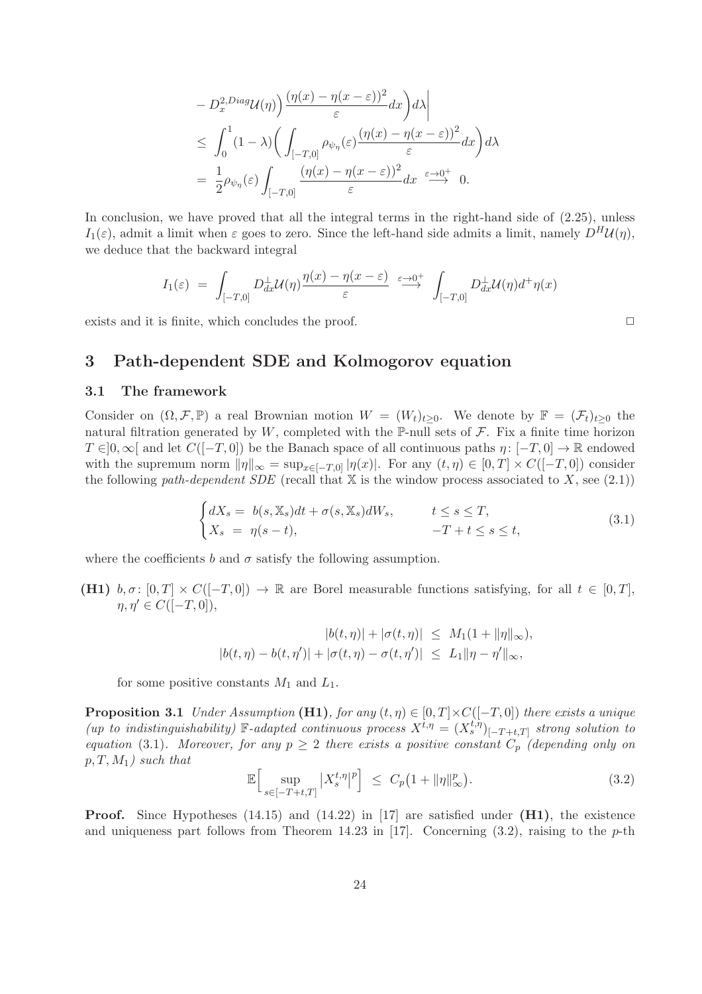$$
- D_x^{2,Diag} \mathcal{U}(\eta) \Big) \frac{(\eta(x) - \eta(x - \varepsilon))^2}{\varepsilon} dx \Big) d\lambda \Big|
$$
  
\$\leq \int\_0^1 (1 - \lambda) \Big( \int\_{[-T,0]} \rho\_{\psi\_\eta}(\varepsilon) \frac{(\eta(x) - \eta(x - \varepsilon))^2}{\varepsilon} dx \Big) d\lambda\$  
=  $\frac{1}{2} \rho_{\psi_\eta}(\varepsilon) \int_{[-T,0]} \frac{(\eta(x) - \eta(x - \varepsilon))^2}{\varepsilon} dx \xrightarrow{\varepsilon \to 0^+} 0.$ 

In conclusion, we have proved that all the integral terms in the right-hand side of  $(2.25)$ , unless  $I_1(\varepsilon)$ , admit a limit when  $\varepsilon$  goes to zero. Since the left-hand side admits a limit, namely  $D^H \mathcal{U}(\eta)$ , we deduce that the backward integral

$$
I_1(\varepsilon) = \int_{[-T,0]} D_{dx}^{\perp} \mathcal{U}(\eta) \frac{\eta(x) - \eta(x-\varepsilon)}{\varepsilon} \stackrel{\varepsilon \to 0^+}{\longrightarrow} \int_{[-T,0]} D_{dx}^{\perp} \mathcal{U}(\eta) d^{\dagger} \eta(x)
$$

exists and it is finite, which concludes the proof.  $\Box$ 

## 3 Path-dependent SDE and Kolmogorov equation

#### 3.1 The framework

Consider on  $(\Omega, \mathcal{F}, \mathbb{P})$  a real Brownian motion  $W = (W_t)_{t\geq 0}$ . We denote by  $\mathbb{F} = (\mathcal{F}_t)_{t\geq 0}$  the natural filtration generated by W, completed with the  $\mathbb{P}\text{-null}$  sets of  $\mathcal{F}$ . Fix a finite time horizon  $T \in ]0,\infty[$  and let  $C([-T,0])$  be the Banach space of all continuous paths  $\eta: [-T,0] \to \mathbb{R}$  endowed with the supremum norm  $\|\eta\|_{\infty} = \sup_{x \in [-T,0]} |\eta(x)|$ . For any  $(t, \eta) \in [0,T] \times C([-T,0])$  consider the following path-dependent SDE (recall that  $X$  is the window process associated to X, see (2.1))

$$
\begin{cases} dX_s = b(s, \mathbb{X}_s)dt + \sigma(s, \mathbb{X}_s)dW_s, & t \le s \le T, \\ X_s = \eta(s - t), & -T + t \le s \le t, \end{cases}
$$
\n(3.1)

where the coefficients b and  $\sigma$  satisfy the following assumption.

(H1)  $b, \sigma: [0, T] \times C([-T, 0]) \rightarrow \mathbb{R}$  are Borel measurable functions satisfying, for all  $t \in [0, T]$ ,  $\eta, \eta' \in C([-T, 0]),$ 

$$
|b(t, \eta)| + |\sigma(t, \eta)| \leq M_1(1 + \|\eta\|_{\infty}),
$$
  

$$
|b(t, \eta) - b(t, \eta')| + |\sigma(t, \eta) - \sigma(t, \eta')| \leq L_1 \|\eta - \eta'\|_{\infty},
$$

for some positive constants  $M_1$  and  $L_1$ .

**Proposition 3.1** Under Assumption (H1), for any  $(t, \eta) \in [0, T] \times C([-T, 0])$  there exists a unique (up to indistinguishability) F-adapted continuous process  $X^{t,\eta} = (X_s^{t,\eta})_{[-T+t,T]}$  strong solution to equation (3.1). Moreover, for any  $p \geq 2$  there exists a positive constant  $C_p$  (depending only on  $p, T, M_1$ ) such that

$$
\mathbb{E}\Big[\sup_{s\in[-T+t,T]} \left|X_s^{t,\eta}\right|^p\Big] \leq C_p\big(1+\|\eta\|_{\infty}^p\big). \tag{3.2}
$$

**Proof.** Since Hypotheses  $(14.15)$  and  $(14.22)$  in [17] are satisfied under  $(H1)$ , the existence and uniqueness part follows from Theorem 14.23 in [17]. Concerning  $(3.2)$ , raising to the p-th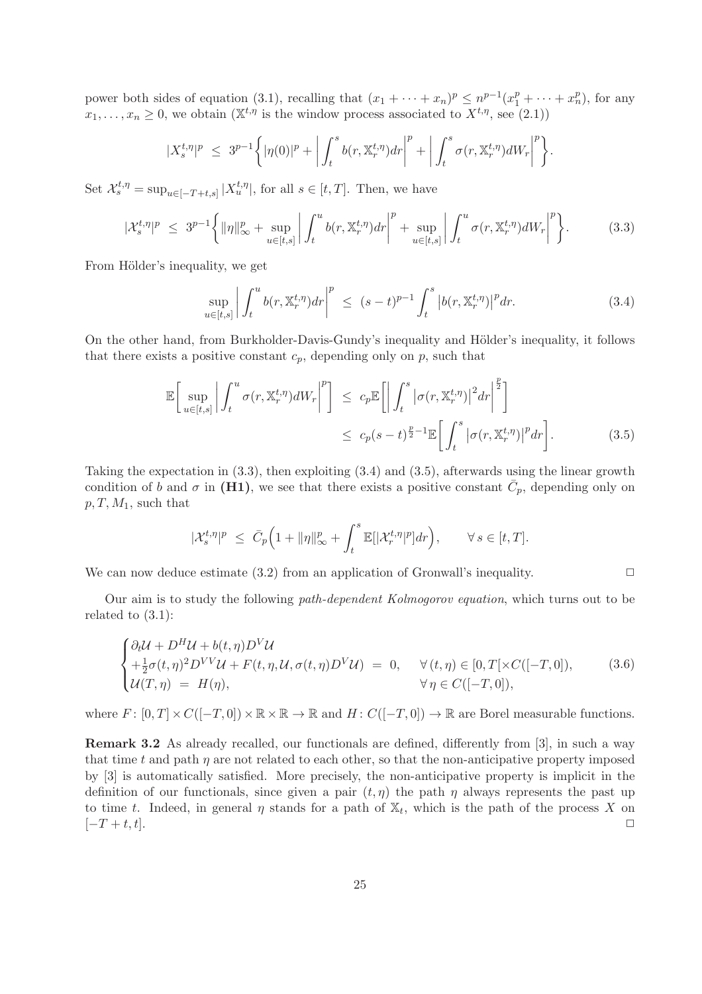power both sides of equation (3.1), recalling that  $(x_1 + \cdots + x_n)^p \leq n^{p-1}(x_1^p + \cdots + x_n^p)$ , for any  $x_1, \ldots, x_n \geq 0$ , we obtain  $(\mathbb{X}^{t,\eta})$  is the window process associated to  $X^{t,\eta}$ , see  $(2.1)$ )

$$
|X_s^{t,\eta}|^p \leq 3^{p-1} \bigg\{ |\eta(0)|^p + \bigg| \int_t^s b(r, \mathbb{X}_r^{t,\eta}) dr \bigg|^p + \bigg| \int_t^s \sigma(r, \mathbb{X}_r^{t,\eta}) dW_r \bigg|^p \bigg\}.
$$

Set  $\mathcal{X}_{s}^{t,\eta} = \sup_{u \in [-T+t,s]} |X_{u}^{t,\eta}|$ , for all  $s \in [t,T]$ . Then, we have

$$
|\mathcal{X}_s^{t,\eta}|^p \leq 3^{p-1} \bigg\{ \|\eta\|_{\infty}^p + \sup_{u \in [t,s]} \bigg| \int_t^u b(r, \mathbb{X}_r^{t,\eta}) dr \bigg|^p + \sup_{u \in [t,s]} \bigg| \int_t^u \sigma(r, \mathbb{X}_r^{t,\eta}) dW_r \bigg|^p \bigg\}.
$$
 (3.3)

From Hölder's inequality, we get

$$
\sup_{u \in [t,s]} \left| \int_t^u b(r, \mathbb{X}_r^{t,\eta}) dr \right|^p \le (s-t)^{p-1} \int_t^s \left| b(r, \mathbb{X}_r^{t,\eta}) \right|^p dr. \tag{3.4}
$$

On the other hand, from Burkholder-Davis-Gundy's inequality and Hölder's inequality, it follows that there exists a positive constant  $c_p$ , depending only on p, such that

$$
\mathbb{E}\left[\sup_{u\in[t,s]}\left|\int_{t}^{u}\sigma(r,\mathbb{X}_{r}^{t,\eta})dW_{r}\right|^{p}\right] \leq c_{p}\mathbb{E}\left[\left|\int_{t}^{s}\left|\sigma(r,\mathbb{X}_{r}^{t,\eta})\right|^{2}dr\right|^{p}\right]
$$

$$
\leq c_{p}(s-t)^{\frac{p}{2}-1}\mathbb{E}\left[\int_{t}^{s}\left|\sigma(r,\mathbb{X}_{r}^{t,\eta})\right|^{p}dr\right].
$$
(3.5)

Taking the expectation in (3.3), then exploiting (3.4) and (3.5), afterwards using the linear growth condition of b and  $\sigma$  in (H<sub>1</sub>), we see that there exists a positive constant  $\bar{C}_p$ , depending only on  $p, T, M_1$ , such that

$$
|\mathcal{X}_s^{t,\eta}|^p \leq \bar{C}_p \Big( 1 + \|\eta\|_{\infty}^p + \int_t^s \mathbb{E}[|\mathcal{X}_r^{t,\eta}|^p] dr \Big), \qquad \forall \, s \in [t,T].
$$

We can now deduce estimate  $(3.2)$  from an application of Gronwall's inequality.

Our aim is to study the following path-dependent Kolmogorov equation, which turns out to be related to (3.1):

$$
\begin{cases} \partial_t \mathcal{U} + D^H \mathcal{U} + b(t, \eta) D^V \mathcal{U} \\ + \frac{1}{2} \sigma(t, \eta)^2 D^{VV} \mathcal{U} + F(t, \eta, \mathcal{U}, \sigma(t, \eta) D^V \mathcal{U}) = 0, \quad \forall (t, \eta) \in [0, T[ \times C([-T, 0]), \\ \mathcal{U}(T, \eta) = H(\eta), \qquad \forall \eta \in C([-T, 0]), \end{cases} \tag{3.6}
$$

where  $F: [0, T] \times C([-T, 0]) \times \mathbb{R} \times \mathbb{R} \to \mathbb{R}$  and  $H: C([-T, 0]) \to \mathbb{R}$  are Borel measurable functions.

Remark 3.2 As already recalled, our functionals are defined, differently from [3], in such a way that time t and path  $\eta$  are not related to each other, so that the non-anticipative property imposed by [3] is automatically satisfied. More precisely, the non-anticipative property is implicit in the definition of our functionals, since given a pair  $(t, \eta)$  the path  $\eta$  always represents the past up to time t. Indeed, in general  $\eta$  stands for a path of  $\mathbb{X}_t$ , which is the path of the process X on  $[-T+t,t].$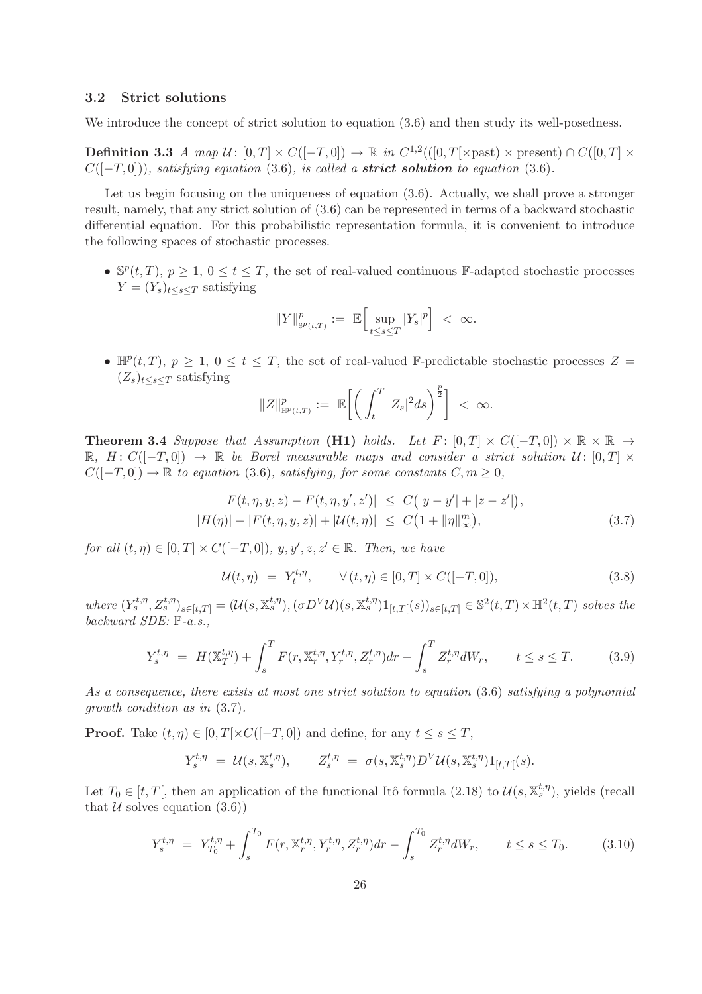#### 3.2 Strict solutions

We introduce the concept of strict solution to equation  $(3.6)$  and then study its well-posedness.

**Definition 3.3** A map  $\mathcal{U} \colon [0,T] \times C([-T,0]) \to \mathbb{R}$  in  $C^{1,2}(([0,T[ \times \text{past}) \times \text{present}) \cap C([0,T] \times \text{first})$  $C([-T, 0]),$  satisfying equation (3.6), is called a **strict solution** to equation (3.6).

Let us begin focusing on the uniqueness of equation (3.6). Actually, we shall prove a stronger result, namely, that any strict solution of (3.6) can be represented in terms of a backward stochastic differential equation. For this probabilistic representation formula, it is convenient to introduce the following spaces of stochastic processes.

•  $\mathbb{S}^p(t,T)$ ,  $p \geq 1$ ,  $0 \leq t \leq T$ , the set of real-valued continuous F-adapted stochastic processes  $Y = (Y_s)_{t \leq s \leq T}$  satisfying

$$
\|Y\|_{\mathbb{S}^p(t,T)}^p:=\ \mathbb{E}\Big[\sup_{t\leq s\leq T}|Y_s|^p\Big]\ <\ \infty.
$$

•  $\mathbb{H}^p(t,T)$ ,  $p \geq 1$ ,  $0 \leq t \leq T$ , the set of real-valued F-predictable stochastic processes  $Z =$  $(Z_s)_{t\leq s\leq T}$  satisfying

$$
\|Z\|_{\mathbb{H}^p(t,T)}^p:=\ \mathbb{E}\bigg[\bigg(\int_t^T |Z_s|^2 ds\bigg)^{\frac{p}{2}}\bigg]\ <\ \infty.
$$

**Theorem 3.4** Suppose that Assumption (H1) holds. Let  $F: [0,T] \times C([-T,0]) \times \mathbb{R} \times \mathbb{R} \rightarrow$ R,  $H: C([-T, 0]) \rightarrow \mathbb{R}$  be Borel measurable maps and consider a strict solution  $\mathcal{U}: [0, T] \times$  $C([-T, 0]) \to \mathbb{R}$  to equation (3.6), satisfying, for some constants  $C, m \geq 0$ ,

$$
|F(t, \eta, y, z) - F(t, \eta, y', z')| \le C(|y - y'| + |z - z'|),
$$
  

$$
|H(\eta)| + |F(t, \eta, y, z)| + |\mathcal{U}(t, \eta)| \le C(1 + \|\eta\|_{\infty}^m),
$$
 (3.7)

for all  $(t, \eta) \in [0, T] \times C([-T, 0]), y, y', z, z' \in \mathbb{R}$ . Then, we have

$$
\mathcal{U}(t,\eta) = Y_t^{t,\eta}, \qquad \forall (t,\eta) \in [0,T] \times C([-T,0]), \tag{3.8}
$$

where  $(Y_s^{t,\eta}, Z_s^{t,\eta})_{s \in [t,T]} = (\mathcal{U}(s, \mathbb{X}_s^{t,\eta}), (\sigma D^V \mathcal{U})(s, \mathbb{X}_s^{t,\eta})1_{[t,T[}(s))_{s \in [t,T]} \in \mathbb{S}^2(t,T) \times \mathbb{H}^2(t,T)$  solves the backward SDE:  $\mathbb{P}\text{-}a.s.,$ 

$$
Y_s^{t,\eta} = H(\mathbb{X}_T^{t,\eta}) + \int_s^T F(r, \mathbb{X}_r^{t,\eta}, Y_r^{t,\eta}, Z_r^{t,\eta}) dr - \int_s^T Z_r^{t,\eta} dW_r, \qquad t \le s \le T. \tag{3.9}
$$

As a consequence, there exists at most one strict solution to equation (3.6) satisfying a polynomial growth condition as in (3.7).

**Proof.** Take  $(t, \eta) \in [0, T] \times C([-T, 0])$  and define, for any  $t \leq s \leq T$ ,

$$
Y_s^{t,\eta} = \mathcal{U}(s,\mathbb{X}_s^{t,\eta}), \qquad Z_s^{t,\eta} = \sigma(s,\mathbb{X}_s^{t,\eta})D^V\mathcal{U}(s,\mathbb{X}_s^{t,\eta})1_{[t,T]}(s).
$$

Let  $T_0 \in [t, T]$ , then an application of the functional Itô formula  $(2.18)$  to  $\mathcal{U}(s, \mathbb{X}_{s}^{t,\eta})$ , yields (recall that  $U$  solves equation  $(3.6)$ 

$$
Y_s^{t,\eta} = Y_{T_0}^{t,\eta} + \int_s^{T_0} F(r, \mathbb{X}_r^{t,\eta}, Y_r^{t,\eta}, Z_r^{t,\eta}) dr - \int_s^{T_0} Z_r^{t,\eta} dW_r, \qquad t \le s \le T_0.
$$
 (3.10)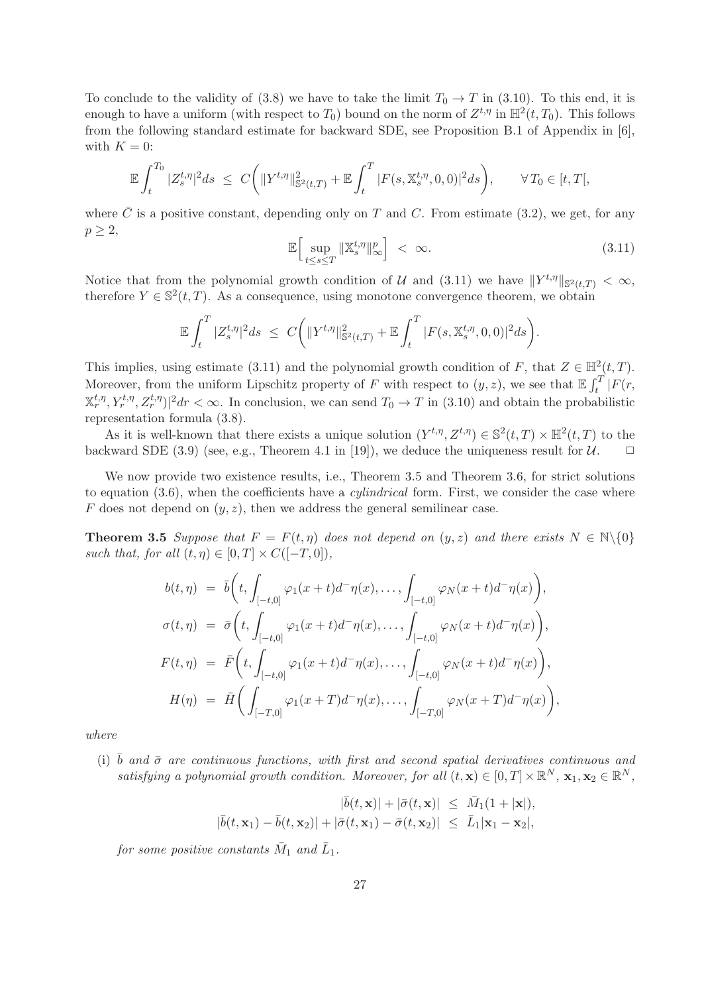To conclude to the validity of (3.8) we have to take the limit  $T_0 \to T$  in (3.10). To this end, it is enough to have a uniform (with respect to  $T_0$ ) bound on the norm of  $Z^{t,\eta}$  in  $\mathbb{H}^2(t,T_0)$ . This follows from the following standard estimate for backward SDE, see Proposition B.1 of Appendix in [6], with  $K = 0$ :

$$
\mathbb{E}\int_{t}^{T_0}|Z_{s}^{t,\eta}|^{2}ds \ \leq \ C\bigg(\|Y^{t,\eta}\|^{2}_{\mathbb{S}^{2}(t,T)}+\mathbb{E}\int_{t}^{T}|F(s,\mathbb{X}_{s}^{t,\eta},0,0)|^{2}ds\bigg), \qquad \forall\, T_0\in[t,T[,
$$

where  $\overline{C}$  is a positive constant, depending only on T and C. From estimate (3.2), we get, for any  $p \geq 2$ ,

$$
\mathbb{E}\Big[\sup_{t\leq s\leq T} \|\mathbb{X}_s^{t,\eta}\|_{\infty}^p\Big] < \infty. \tag{3.11}
$$

Notice that from the polynomial growth condition of U and (3.11) we have  $||Y^{t,\eta}||_{\mathbb{S}^2(t,T)} < \infty$ , therefore  $Y \in \mathbb{S}^2(t,T)$ . As a consequence, using monotone convergence theorem, we obtain

$$
\mathbb{E}\int_{t}^{T}|Z_{s}^{t,\eta}|^{2}ds \leq C\bigg(\|Y^{t,\eta}\|^{2}_{\mathbb{S}^{2}(t,T)}+\mathbb{E}\int_{t}^{T}|F(s,\mathbb{X}_{s}^{t,\eta},0,0)|^{2}ds\bigg).
$$

This implies, using estimate (3.11) and the polynomial growth condition of F, that  $Z \in \mathbb{H}^2(t, T)$ . Moreover, from the uniform Lipschitz property of F with respect to  $(y, z)$ , we see that  $\mathbb{E} \int_t^T |F(r, z)|^2 dr$  $(\mathbb{X}_r^{t,\eta}, Y_r^{t,\eta}, Z_r^{t,\eta})^2 dr < \infty$ . In conclusion, we can send  $T_0 \to T$  in (3.10) and obtain the probabilistic representation formula (3.8).

As it is well-known that there exists a unique solution  $(Y^{t,\eta}, Z^{t,\eta}) \in \mathbb{S}^2(t,T) \times \mathbb{H}^2(t,T)$  to the backward SDE (3.9) (see, e.g., Theorem 4.1 in [19]), we deduce the uniqueness result for  $\mathcal{U}$ .  $\Box$ 

We now provide two existence results, i.e., Theorem 3.5 and Theorem 3.6, for strict solutions to equation  $(3.6)$ , when the coefficients have a *cylindrical* form. First, we consider the case where F does not depend on  $(y, z)$ , then we address the general semilinear case.

**Theorem 3.5** Suppose that  $F = F(t, \eta)$  does not depend on  $(y, z)$  and there exists  $N \in \mathbb{N} \setminus \{0\}$ such that, for all  $(t, \eta) \in [0, T] \times C([-T, 0]),$ 

$$
b(t,\eta) = \bar{b}\left(t, \int_{[-t,0]} \varphi_1(x+t)d^{-}\eta(x), \dots, \int_{[-t,0]} \varphi_N(x+t)d^{-}\eta(x)\right),
$$
  
\n
$$
\sigma(t,\eta) = \bar{\sigma}\left(t, \int_{[-t,0]} \varphi_1(x+t)d^{-}\eta(x), \dots, \int_{[-t,0]} \varphi_N(x+t)d^{-}\eta(x)\right),
$$
  
\n
$$
F(t,\eta) = \bar{F}\left(t, \int_{[-t,0]} \varphi_1(x+t)d^{-}\eta(x), \dots, \int_{[-t,0]} \varphi_N(x+t)d^{-}\eta(x)\right),
$$
  
\n
$$
H(\eta) = \bar{H}\left(\int_{[-T,0]} \varphi_1(x+T)d^{-}\eta(x), \dots, \int_{[-T,0]} \varphi_N(x+T)d^{-}\eta(x)\right),
$$

where

(i)  $\bar{b}$  and  $\bar{\sigma}$  are continuous functions, with first and second spatial derivatives continuous and satisfying a polynomial growth condition. Moreover, for all  $(t, \mathbf{x}) \in [0, T] \times \mathbb{R}^N$ ,  $\mathbf{x}_1, \mathbf{x}_2 \in \mathbb{R}^N$ ,

$$
|\bar{b}(t,\mathbf{x})| + |\bar{\sigma}(t,\mathbf{x})| \leq \bar{M}_1(1+|\mathbf{x}|),
$$
  

$$
|\bar{b}(t,\mathbf{x}_1) - \bar{b}(t,\mathbf{x}_2)| + |\bar{\sigma}(t,\mathbf{x}_1) - \bar{\sigma}(t,\mathbf{x}_2)| \leq \bar{L}_1|\mathbf{x}_1 - \mathbf{x}_2|,
$$

for some positive constants  $\bar{M}_1$  and  $\bar{L}_1$ .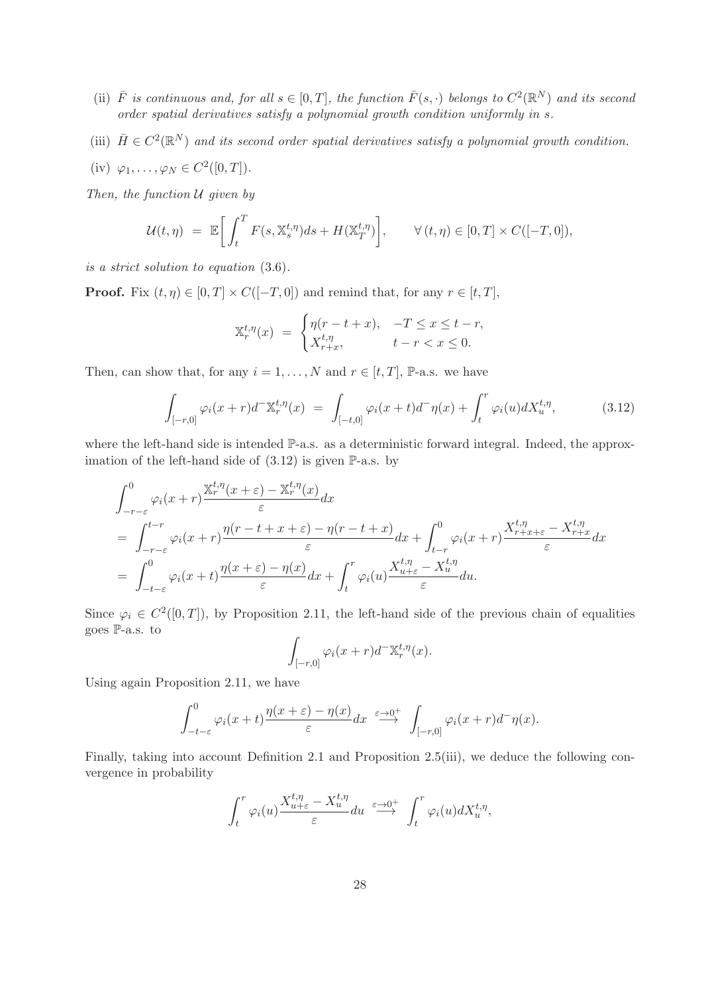- (ii)  $\bar{F}$  is continuous and, for all  $s \in [0,T]$ , the function  $\bar{F}(s, \cdot)$  belongs to  $C^2(\mathbb{R}^N)$  and its second order spatial derivatives satisfy a polynomial growth condition uniformly in s.
- (iii)  $\bar{H} \in C^2(\mathbb{R}^N)$  and its second order spatial derivatives satisfy a polynomial growth condition.
- (iv)  $\varphi_1, \ldots, \varphi_N \in C^2([0, T]).$

Then, the function  $U$  given by

$$
\mathcal{U}(t,\eta) = \mathbb{E}\bigg[\int_t^T F(s,\mathbb{X}_s^{t,\eta})ds + H(\mathbb{X}_T^{t,\eta})\bigg], \qquad \forall (t,\eta) \in [0,T] \times C([-T,0]),
$$

is a strict solution to equation (3.6).

**Proof.** Fix  $(t, \eta) \in [0, T] \times C([-T, 0])$  and remind that, for any  $r \in [t, T]$ ,

$$
\mathbb{X}_r^{t,\eta}(x) = \begin{cases} \eta(r-t+x), & -T \le x \le t-r, \\ X_{r+x}^{t,\eta}, & t-r < x \le 0. \end{cases}
$$

Then, can show that, for any  $i = 1, ..., N$  and  $r \in [t, T]$ , P-a.s. we have

$$
\int_{[-r,0]} \varphi_i(x+r) d^- \mathbb{X}_r^{t,\eta}(x) = \int_{[-t,0]} \varphi_i(x+t) d^- \eta(x) + \int_t^r \varphi_i(u) dX_u^{t,\eta}, \tag{3.12}
$$

where the left-hand side is intended  $\mathbb{P}\text{-a.s.}$  as a deterministic forward integral. Indeed, the approximation of the left-hand side of  $(3.12)$  is given P-a.s. by

$$
\int_{-r-\varepsilon}^{0} \varphi_i(x+r) \frac{\mathbb{X}_r^{t,\eta}(x+\varepsilon) - \mathbb{X}_r^{t,\eta}(x)}{\varepsilon} dx \n= \int_{-r-\varepsilon}^{t-r} \varphi_i(x+r) \frac{\eta(r-t+x+\varepsilon) - \eta(r-t+x)}{\varepsilon} dx + \int_{t-r}^{0} \varphi_i(x+r) \frac{X_{r+x+\varepsilon}^{t,\eta} - X_{r+x}^{t,\eta}}{\varepsilon} dx \n= \int_{-t-\varepsilon}^{0} \varphi_i(x+t) \frac{\eta(x+\varepsilon) - \eta(x)}{\varepsilon} dx + \int_{t}^{r} \varphi_i(u) \frac{X_{u+\varepsilon}^{t,\eta} - X_u^{t,\eta}}{\varepsilon} du.
$$

Since  $\varphi_i \in C^2([0,T])$ , by Proposition 2.11, the left-hand side of the previous chain of equalities goes P-a.s. to

$$
\int_{[-r,0]} \varphi_i(x+r)d^{-} \mathbb{X}_r^{t,\eta}(x).
$$

Using again Proposition 2.11, we have

$$
\int_{-t-\varepsilon}^{0} \varphi_i(x+t) \frac{\eta(x+\varepsilon) - \eta(x)}{\varepsilon} dx \stackrel{\varepsilon \to 0^+}{\longrightarrow} \int_{[-r,0]} \varphi_i(x+r) d^-\eta(x).
$$

Finally, taking into account Definition 2.1 and Proposition 2.5(iii), we deduce the following convergence in probability

$$
\int_t^r \varphi_i(u) \frac{X_{u+\varepsilon}^{t,\eta} - X_u^{t,\eta}}{\varepsilon} du \stackrel{\varepsilon \to 0^+}{\longrightarrow} \int_t^r \varphi_i(u) dX_u^{t,\eta},
$$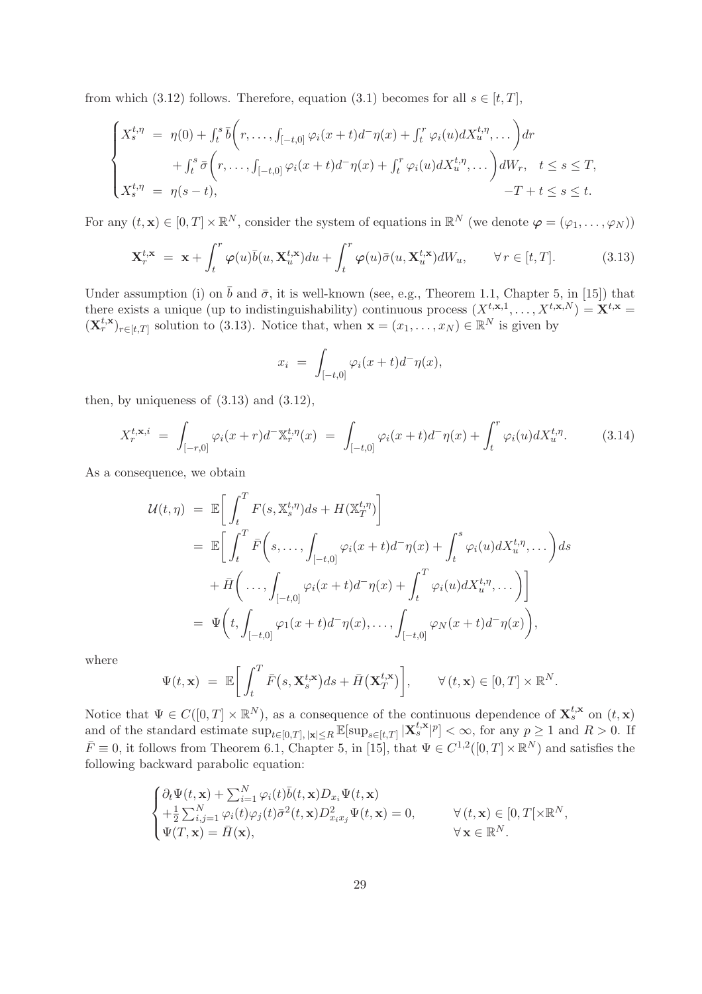from which (3.12) follows. Therefore, equation (3.1) becomes for all  $s \in [t, T]$ ,

$$
\begin{cases}\nX_s^{t,\eta} = \eta(0) + \int_t^s \bar{b}\bigg(r, \ldots, \int_{[-t,0]} \varphi_i(x+t)d^-\eta(x) + \int_t^r \varphi_i(u)dX_u^{t,\eta}, \ldots\bigg) dr \\
+ \int_t^s \bar{\sigma}\bigg(r, \ldots, \int_{[-t,0]} \varphi_i(x+t)d^-\eta(x) + \int_t^r \varphi_i(u)dX_u^{t,\eta}, \ldots\bigg) dW_r, \quad t \leq s \leq T, \\
X_s^{t,\eta} = \eta(s-t), \qquad \qquad -T + t \leq s \leq t.\n\end{cases}
$$

For any  $(t, \mathbf{x}) \in [0, T] \times \mathbb{R}^N$ , consider the system of equations in  $\mathbb{R}^N$  (we denote  $\boldsymbol{\varphi} = (\varphi_1, \dots, \varphi_N)$ )

$$
\mathbf{X}_r^{t,\mathbf{x}} = \mathbf{x} + \int_t^r \boldsymbol{\varphi}(u)\bar{b}(u, \mathbf{X}_u^{t,\mathbf{x}})du + \int_t^r \boldsymbol{\varphi}(u)\bar{\sigma}(u, \mathbf{X}_u^{t,\mathbf{x}})dW_u, \qquad \forall r \in [t, T].
$$
 (3.13)

Under assumption (i) on  $\bar{b}$  and  $\bar{\sigma}$ , it is well-known (see, e.g., Theorem 1.1, Chapter 5, in [15]) that there exists a unique (up to indistinguishability) continuous process  $(X^{t,\mathbf{x},1},\ldots,X^{t,\mathbf{x},N}) = \mathbf{X}^{t,\mathbf{x}} =$  $(\mathbf{X}_r^{t,\mathbf{x}})_{r \in [t,T]}$  solution to (3.13). Notice that, when  $\mathbf{x} = (x_1, \ldots, x_N) \in \mathbb{R}^N$  is given by

$$
x_i = \int_{[-t,0]} \varphi_i(x+t)d^-\eta(x),
$$

then, by uniqueness of  $(3.13)$  and  $(3.12)$ ,

$$
X_r^{t,\mathbf{x},i} = \int_{[-r,0]} \varphi_i(x+r) d^-\mathbb{X}_r^{t,\eta}(x) = \int_{[-t,0]} \varphi_i(x+t) d^-\eta(x) + \int_t^r \varphi_i(u) dX_u^{t,\eta}.
$$
 (3.14)

As a consequence, we obtain

$$
\mathcal{U}(t,\eta) = \mathbb{E}\bigg[\int_t^T F(s,\mathbb{X}_s^{t,\eta})ds + H(\mathbb{X}_T^{t,\eta})\bigg]
$$
  
\n
$$
= \mathbb{E}\bigg[\int_t^T \bar{F}\bigg(s,\ldots,\int_{[-t,0]} \varphi_i(x+t)d^-\eta(x) + \int_t^s \varphi_i(u)dX_u^{t,\eta},\ldots\bigg)ds
$$
  
\n
$$
+ \bar{H}\bigg(\ldots,\int_{[-t,0]} \varphi_i(x+t)d^-\eta(x) + \int_t^T \varphi_i(u)dX_u^{t,\eta},\ldots\bigg)\bigg]
$$
  
\n
$$
= \Psi\bigg(t,\int_{[-t,0]} \varphi_1(x+t)d^-\eta(x),\ldots,\int_{[-t,0]} \varphi_N(x+t)d^-\eta(x)\bigg),
$$

where

$$
\Psi(t, \mathbf{x}) = \mathbb{E}\bigg[\int_t^T \bar{F}(s, \mathbf{X}_s^{t, \mathbf{x}})ds + \bar{H}(\mathbf{X}_T^{t, \mathbf{x}})\bigg], \qquad \forall (t, \mathbf{x}) \in [0, T] \times \mathbb{R}^N.
$$

Notice that  $\Psi \in C([0,T] \times \mathbb{R}^N)$ , as a consequence of the continuous dependence of  $\mathbf{X}_{s}^{t,\mathbf{x}}$  on  $(t,\mathbf{x})$ and of the standard estimate  $\sup_{t\in[0,T], |\mathbf{x}|\leq R}\mathbb{E}[\sup_{s\in[t,T]}|\mathbf{X}_{s}^{t,\mathbf{x}}|^{p}]<\infty$ , for any  $p\geq 1$  and  $R>0$ . If  $\bar{F} \equiv 0$ , it follows from Theorem 6.1, Chapter 5, in [15], that  $\Psi \in C^{1,2}([0,T] \times \mathbb{R}^N)$  and satisfies the following backward parabolic equation:

$$
\begin{cases} \partial_t \Psi(t, \mathbf{x}) + \sum_{i=1}^N \varphi_i(t) \bar{b}(t, \mathbf{x}) D_{x_i} \Psi(t, \mathbf{x}) \\ + \frac{1}{2} \sum_{i,j=1}^N \varphi_i(t) \varphi_j(t) \bar{\sigma}^2(t, \mathbf{x}) D_{x_i x_j}^2 \Psi(t, \mathbf{x}) = 0, & \forall (t, \mathbf{x}) \in [0, T[ \times \mathbb{R}^N, \\ \Psi(T, \mathbf{x}) = \bar{H}(\mathbf{x}), & \forall \mathbf{x} \in \mathbb{R}^N. \end{cases}
$$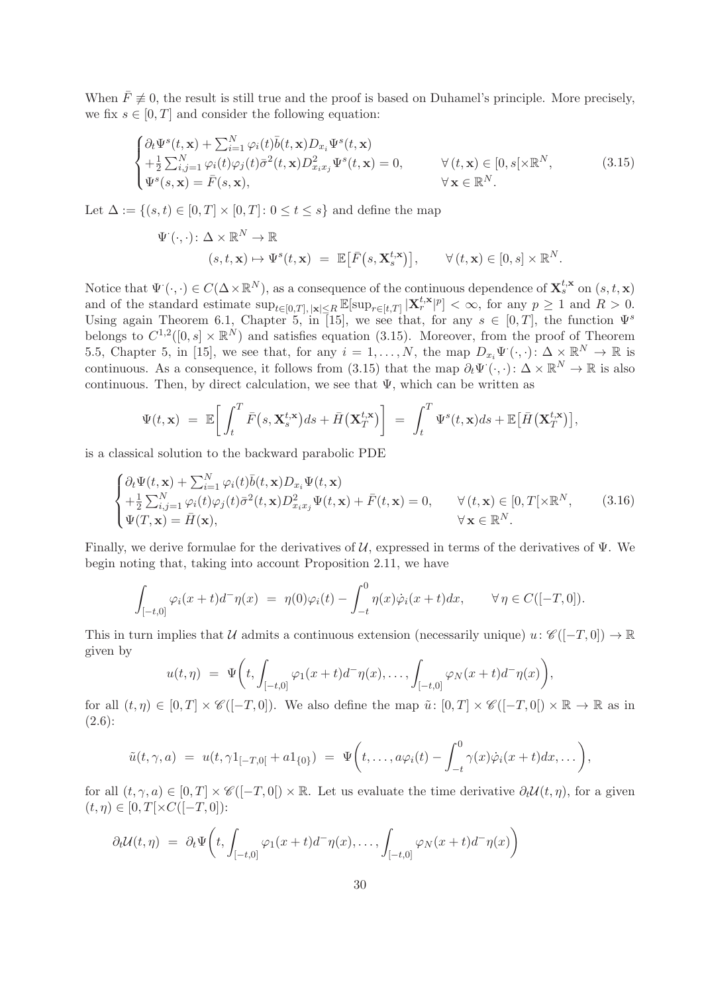When  $\bar{F} \not\equiv 0$ , the result is still true and the proof is based on Duhamel's principle. More precisely, we fix  $s \in [0, T]$  and consider the following equation:

$$
\begin{cases} \partial_t \Psi^s(t, \mathbf{x}) + \sum_{i=1}^N \varphi_i(t) \bar{b}(t, \mathbf{x}) D_{x_i} \Psi^s(t, \mathbf{x}) \\ + \frac{1}{2} \sum_{i,j=1}^N \varphi_i(t) \varphi_j(t) \bar{\sigma}^2(t, \mathbf{x}) D_{x_i x_j}^2 \Psi^s(t, \mathbf{x}) = 0, & \forall (t, \mathbf{x}) \in [0, s] \times \mathbb{R}^N, \\ \Psi^s(s, \mathbf{x}) = \bar{F}(s, \mathbf{x}), & \forall \mathbf{x} \in \mathbb{R}^N. \end{cases}
$$
(3.15)

Let  $\Delta := \{(s, t) \in [0, T] \times [0, T] : 0 \le t \le s\}$  and define the map

$$
\Psi^{\cdot}(\cdot,\cdot): \Delta \times \mathbb{R}^{N} \to \mathbb{R}
$$
  

$$
(s,t,\mathbf{x}) \mapsto \Psi^{s}(t,\mathbf{x}) = \mathbb{E}[\bar{F}(s,\mathbf{X}_{s}^{t,\mathbf{x}})], \qquad \forall (t,\mathbf{x}) \in [0,s] \times \mathbb{R}^{N}.
$$

Notice that  $\Psi(\cdot, \cdot) \in C(\Delta \times \mathbb{R}^N)$ , as a consequence of the continuous dependence of  $\mathbf{X}_s^{t,\mathbf{x}}$  on  $(s, t, \mathbf{x})$ and of the standard estimate  $\sup_{t\in[0,T], |\mathbf{x}|\leq R} \mathbb{E}[\sup_{r\in[t,T]} |\mathbf{X}_r^{t,\mathbf{x}}|^p] < \infty$ , for any  $p \geq 1$  and  $R > 0$ . Using again Theorem 6.1, Chapter 5, in [15], we see that, for any  $s \in [0, T]$ , the function  $\Psi^s$ belongs to  $C^{1,2}([0,s] \times \mathbb{R}^N)$  and satisfies equation (3.15). Moreover, from the proof of Theorem 5.5, Chapter 5, in [15], we see that, for any  $i = 1, ..., N$ , the map  $D_{x_i} \Psi^{\cdot}(\cdot, \cdot) \colon \Delta \times \mathbb{R}^N \to \mathbb{R}$  is continuous. As a consequence, it follows from (3.15) that the map  $\partial_t \Psi^{\cdot}(\cdot,\cdot): \Delta \times \mathbb{R}^N \to \mathbb{R}$  is also continuous. Then, by direct calculation, we see that  $\Psi$ , which can be written as

$$
\Psi(t,\mathbf{x}) = \mathbb{E}\bigg[\int_t^T \bar{F}(s,\mathbf{X}_s^{t,\mathbf{x}})ds + \bar{H}(\mathbf{X}_T^{t,\mathbf{x}})\bigg] = \int_t^T \Psi^s(t,\mathbf{x})ds + \mathbb{E}\big[\bar{H}(\mathbf{X}_T^{t,\mathbf{x}})\big],
$$

is a classical solution to the backward parabolic PDE

$$
\begin{cases}\n\partial_t \Psi(t, \mathbf{x}) + \sum_{i=1}^N \varphi_i(t) \overline{b}(t, \mathbf{x}) D_{x_i} \Psi(t, \mathbf{x}) \\
+\frac{1}{2} \sum_{i,j=1}^N \varphi_i(t) \varphi_j(t) \overline{\sigma}^2(t, \mathbf{x}) D_{x_i x_j}^2 \Psi(t, \mathbf{x}) + \overline{F}(t, \mathbf{x}) = 0, \qquad \forall (t, \mathbf{x}) \in [0, T[ \times \mathbb{R}^N, \\
\Psi(T, \mathbf{x}) = \overline{H}(\mathbf{x}), \qquad \forall \mathbf{x} \in \mathbb{R}^N.\n\end{cases} (3.16)
$$

Finally, we derive formulae for the derivatives of  $U$ , expressed in terms of the derivatives of  $\Psi$ . We begin noting that, taking into account Proposition 2.11, we have

$$
\int_{[-t,0]} \varphi_i(x+t) d^-\eta(x) = \eta(0)\varphi_i(t) - \int_{-t}^0 \eta(x)\dot{\varphi}_i(x+t)dx, \qquad \forall \eta \in C([-T,0]).
$$

This in turn implies that U admits a continuous extension (necessarily unique)  $u: \mathscr{C}([-T,0]) \to \mathbb{R}$ given by

$$
u(t,\eta) = \Psi\bigg(t, \int_{[-t,0]} \varphi_1(x+t) d^-\eta(x), \ldots, \int_{[-t,0]} \varphi_N(x+t) d^-\eta(x)\bigg),
$$

for all  $(t, \eta) \in [0, T] \times \mathscr{C}([-T, 0])$ . We also define the map  $\tilde{u}: [0, T] \times \mathscr{C}([-T, 0]) \times \mathbb{R} \to \mathbb{R}$  as in (2.6):

$$
\tilde{u}(t,\gamma,a) = u(t,\gamma 1_{[-T,0[} + a1_{\{0\}})) = \Psi\bigg(t,\ldots,a\varphi_i(t) - \int_{-t}^0 \gamma(x)\dot{\varphi}_i(x+t)dx,\ldots\bigg),
$$

for all  $(t, \gamma, a) \in [0, T] \times \mathcal{C}([-T, 0]) \times \mathbb{R}$ . Let us evaluate the time derivative  $\partial_t \mathcal{U}(t, \eta)$ , for a given  $(t, \eta) \in [0, T[\times C([-T, 0])$ :

$$
\partial_t \mathcal{U}(t,\eta) = \partial_t \Psi \bigg(t, \int_{[-t,0]} \varphi_1(x+t) d^-\eta(x), \dots, \int_{[-t,0]} \varphi_N(x+t) d^-\eta(x)\bigg)
$$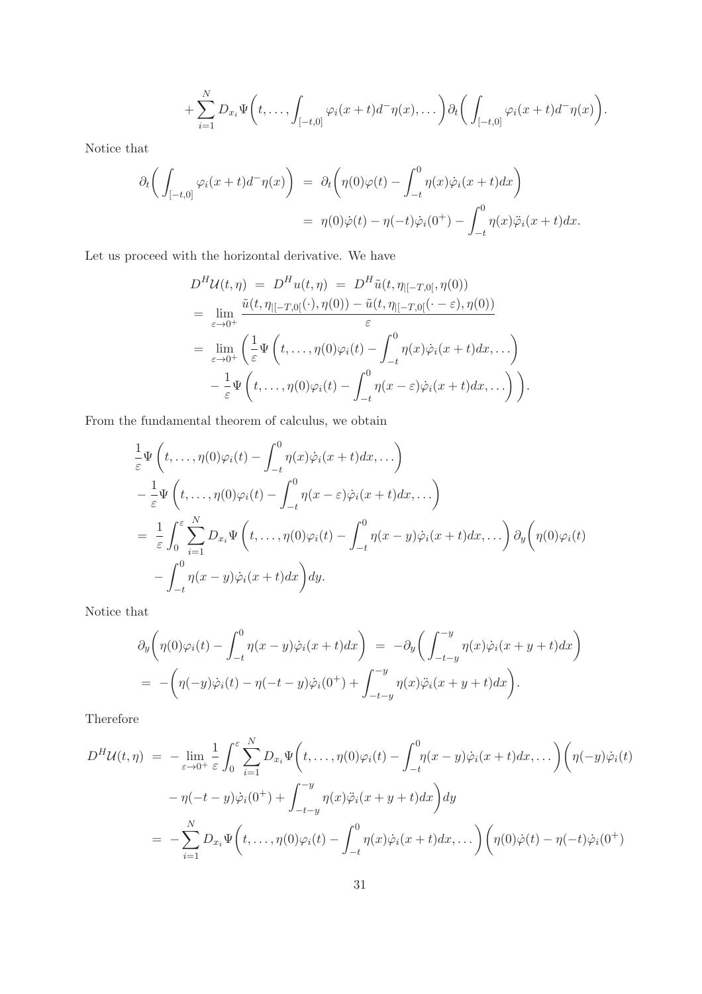$$
+\sum_{i=1}^N D_{x_i}\Psi\bigg(t,\ldots,\int_{[-t,0]}\varphi_i(x+t)d^-\eta(x),\ldots\bigg)\partial_t\bigg(\int_{[-t,0]}\varphi_i(x+t)d^-\eta(x)\bigg).
$$

Notice that

$$
\partial_t \left( \int_{[-t,0]} \varphi_i(x+t) d^-\eta(x) \right) = \partial_t \left( \eta(0)\varphi(t) - \int_{-t}^0 \eta(x)\dot{\varphi}_i(x+t) dx \right)
$$
  
= 
$$
\eta(0)\dot{\varphi}(t) - \eta(-t)\dot{\varphi}_i(0^+) - \int_{-t}^0 \eta(x)\ddot{\varphi}_i(x+t) dx.
$$

Let us proceed with the horizontal derivative. We have

$$
D^H \mathcal{U}(t, \eta) = D^H u(t, \eta) = D^H \tilde{u}(t, \eta_{|[-T,0[}, \eta(0))
$$
  
\n
$$
= \lim_{\varepsilon \to 0^+} \frac{\tilde{u}(t, \eta_{|[-T,0[}(\cdot), \eta(0)) - \tilde{u}(t, \eta_{|[-T,0[}(\cdot - \varepsilon), \eta(0)))}{\varepsilon}
$$
  
\n
$$
= \lim_{\varepsilon \to 0^+} \left( \frac{1}{\varepsilon} \Psi \left( t, \dots, \eta(0) \varphi_i(t) - \int_{-t}^0 \eta(x) \dot{\varphi}_i(x + t) dx, \dots \right) - \frac{1}{\varepsilon} \Psi \left( t, \dots, \eta(0) \varphi_i(t) - \int_{-t}^0 \eta(x - \varepsilon) \dot{\varphi}_i(x + t) dx, \dots \right) \right).
$$

From the fundamental theorem of calculus, we obtain

$$
\frac{1}{\varepsilon} \Psi\left(t, \ldots, \eta(0)\varphi_i(t) - \int_{-t}^0 \eta(x)\dot{\varphi}_i(x+t)dx, \ldots\right) \n- \frac{1}{\varepsilon} \Psi\left(t, \ldots, \eta(0)\varphi_i(t) - \int_{-t}^0 \eta(x-\varepsilon)\dot{\varphi}_i(x+t)dx, \ldots\right) \n= \frac{1}{\varepsilon} \int_0^{\varepsilon} \sum_{i=1}^N D_{x_i} \Psi\left(t, \ldots, \eta(0)\varphi_i(t) - \int_{-t}^0 \eta(x-y)\dot{\varphi}_i(x+t)dx, \ldots\right) \partial_y\left(\eta(0)\varphi_i(t) - \int_{-t}^0 \eta(x-y)\dot{\varphi}_i(x+t)dx\right)dy.
$$

Notice that

$$
\partial_y \left( \eta(0)\varphi_i(t) - \int_{-t}^0 \eta(x-y)\dot{\varphi}_i(x+t)dx \right) = -\partial_y \left( \int_{-t-y}^{-y} \eta(x)\dot{\varphi}_i(x+y+t)dx \right)
$$
  
= 
$$
- \left( \eta(-y)\dot{\varphi}_i(t) - \eta(-t-y)\dot{\varphi}_i(0^+) + \int_{-t-y}^{-y} \eta(x)\ddot{\varphi}_i(x+y+t)dx \right).
$$

Therefore

$$
D^H \mathcal{U}(t, \eta) = -\lim_{\varepsilon \to 0^+} \frac{1}{\varepsilon} \int_0^{\varepsilon} \sum_{i=1}^N D_{x_i} \Psi \left( t, \dots, \eta(0) \varphi_i(t) - \int_{-t}^0 \eta(x - y) \dot{\varphi}_i(x + t) dx, \dots \right) \left( \eta(-y) \dot{\varphi}_i(t) - \eta(-t - y) \dot{\varphi}_i(0^+) + \int_{-t - y}^{-y} \eta(x) \ddot{\varphi}_i(x + y + t) dx \right) dy
$$
  

$$
= -\sum_{i=1}^N D_{x_i} \Psi \left( t, \dots, \eta(0) \varphi_i(t) - \int_{-t}^0 \eta(x) \dot{\varphi}_i(x + t) dx, \dots \right) \left( \eta(0) \dot{\varphi}(t) - \eta(-t) \dot{\varphi}_i(0^+) \right)
$$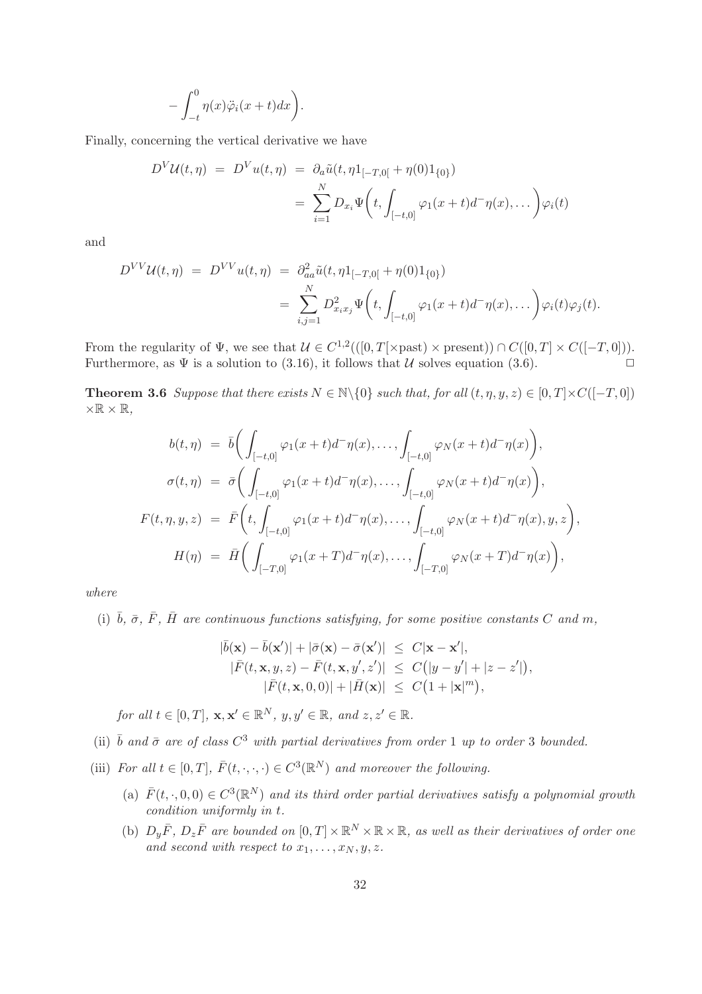$$
- \int_{-t}^{0} \eta(x)\ddot{\varphi}_i(x+t)dx \bigg).
$$

Finally, concerning the vertical derivative we have

$$
D^{V}U(t,\eta) = D^{V}u(t,\eta) = \partial_{a}\tilde{u}(t,\eta)1_{[-T,0[} + \eta(0)1_{\{0\}})
$$
  

$$
= \sum_{i=1}^{N} D_{x_{i}}\Psi\left(t, \int_{[-t,0]} \varphi_{1}(x+t)d^{-}\eta(x),\dots\right)\varphi_{i}(t)
$$

and

$$
D^{VV}U(t,\eta) = D^{VV}u(t,\eta) = \partial_{aa}^2 \tilde{u}(t,\eta)1_{[-T,0[} + \eta(0)1_{\{0\}})
$$
  
= 
$$
\sum_{i,j=1}^N D_{x_ix_j}^2 \Psi\left(t, \int_{[-t,0]} \varphi_1(x+t)d^-\eta(x),\dots\right)\varphi_i(t)\varphi_j(t).
$$

From the regularity of  $\Psi$ , we see that  $\mathcal{U} \in C^{1,2}(([0,T[\times \text{past}) \times \text{present})) \cap C([0,T] \times C([-T,0])).$ Furthermore, as  $\Psi$  is a solution to (3.16), it follows that U solves equation (3.6).

**Theorem 3.6** Suppose that there exists  $N \in \mathbb{N}\backslash\{0\}$  such that, for all  $(t, \eta, y, z) \in [0, T] \times C([-T, 0])$  $\times \mathbb{R} \times \mathbb{R}$ .

$$
b(t,\eta) = \bar{b} \Big( \int_{[-t,0]} \varphi_1(x+t) d^-\eta(x), \dots, \int_{[-t,0]} \varphi_N(x+t) d^-\eta(x) \Big),
$$
  

$$
\sigma(t,\eta) = \bar{\sigma} \Big( \int_{[-t,0]} \varphi_1(x+t) d^-\eta(x), \dots, \int_{[-t,0]} \varphi_N(x+t) d^-\eta(x) \Big),
$$
  

$$
F(t,\eta,y,z) = \bar{F} \Big( t, \int_{[-t,0]} \varphi_1(x+t) d^-\eta(x), \dots, \int_{[-t,0]} \varphi_N(x+t) d^-\eta(x), y, z \Big),
$$
  

$$
H(\eta) = \bar{H} \Big( \int_{[-T,0]} \varphi_1(x+T) d^-\eta(x), \dots, \int_{[-T,0]} \varphi_N(x+T) d^-\eta(x) \Big),
$$

where

(i)  $\bar{b}$ ,  $\bar{\sigma}$ ,  $\bar{F}$ ,  $\bar{H}$  are continuous functions satisfying, for some positive constants C and m,

$$
|\bar{b}(\mathbf{x}) - \bar{b}(\mathbf{x}')| + |\bar{\sigma}(\mathbf{x}) - \bar{\sigma}(\mathbf{x}')| \leq C|\mathbf{x} - \mathbf{x}'|,
$$
  
\n
$$
|\bar{F}(t, \mathbf{x}, y, z) - \bar{F}(t, \mathbf{x}, y', z')| \leq C(|y - y'| + |z - z'|),
$$
  
\n
$$
|\bar{F}(t, \mathbf{x}, 0, 0)| + |\bar{H}(\mathbf{x})| \leq C(1 + |\mathbf{x}|^m),
$$

for all  $t \in [0, T]$ ,  $\mathbf{x}, \mathbf{x}' \in \mathbb{R}^N$ ,  $y, y' \in \mathbb{R}$ , and  $z, z' \in \mathbb{R}$ .

- (ii)  $\bar{b}$  and  $\bar{\sigma}$  are of class  $C^3$  with partial derivatives from order 1 up to order 3 bounded.
- (iii) For all  $t \in [0, T]$ ,  $\overline{F}(t, \cdot, \cdot, \cdot) \in C^3(\mathbb{R}^N)$  and moreover the following.
	- (a)  $\bar{F}(t, \cdot, 0, 0) \in C^3(\mathbb{R}^N)$  and its third order partial derivatives satisfy a polynomial growth condition uniformly in t.
	- (b)  $D_y \bar{F}$ ,  $D_z \bar{F}$  are bounded on  $[0, T] \times \mathbb{R}^N \times \mathbb{R} \times \mathbb{R}$ , as well as their derivatives of order one and second with respect to  $x_1, \ldots, x_N, y, z$ .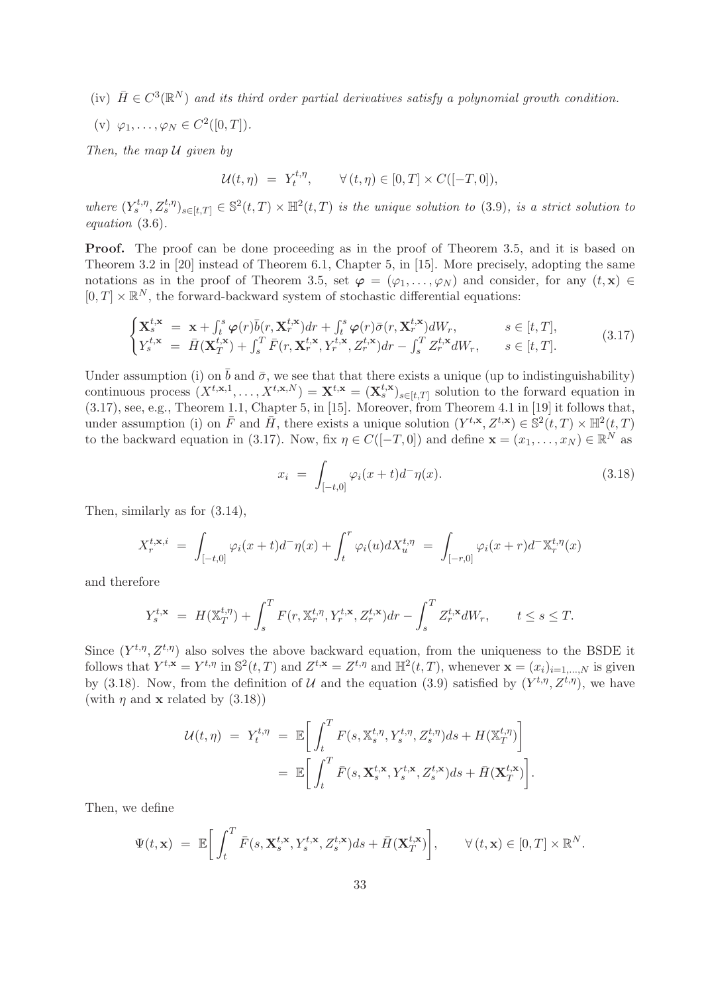(iv)  $\bar{H} \in C^3(\mathbb{R}^N)$  and its third order partial derivatives satisfy a polynomial growth condition.

(v)  $\varphi_1, \ldots, \varphi_N \in C^2([0, T]).$ 

Then, the map  $U$  given by

$$
\mathcal{U}(t,\eta) = Y_t^{t,\eta}, \qquad \forall (t,\eta) \in [0,T] \times C([-T,0]),
$$

where  $(Y_s^{t,\eta}, Z_s^{t,\eta})_{s \in [t,T]} \in \mathbb{S}^2(t,T) \times \mathbb{H}^2(t,T)$  is the unique solution to (3.9), is a strict solution to equation (3.6).

Proof. The proof can be done proceeding as in the proof of Theorem 3.5, and it is based on Theorem 3.2 in [20] instead of Theorem 6.1, Chapter 5, in [15]. More precisely, adopting the same notations as in the proof of Theorem 3.5, set  $\varphi = (\varphi_1, \ldots, \varphi_N)$  and consider, for any  $(t, x) \in$  $[0, T] \times \mathbb{R}^N$ , the forward-backward system of stochastic differential equations:

$$
\begin{cases}\n\mathbf{X}_{s}^{t,\mathbf{x}} = \mathbf{x} + \int_{t}^{s} \boldsymbol{\varphi}(r) \bar{b}(r, \mathbf{X}_{r}^{t,\mathbf{x}}) dr + \int_{t}^{s} \boldsymbol{\varphi}(r) \bar{\sigma}(r, \mathbf{X}_{r}^{t,\mathbf{x}}) dW_{r}, & s \in [t, T], \\
Y_{s}^{t,\mathbf{x}} = \bar{H}(\mathbf{X}_{T}^{t,\mathbf{x}}) + \int_{s}^{T} \bar{F}(r, \mathbf{X}_{r}^{t,\mathbf{x}}, Y_{r}^{t,\mathbf{x}}, Z_{r}^{t,\mathbf{x}}) dr - \int_{s}^{T} Z_{r}^{t,\mathbf{x}} dW_{r}, & s \in [t, T].\n\end{cases}
$$
\n(3.17)

Under assumption (i) on  $\bar{b}$  and  $\bar{\sigma}$ , we see that that there exists a unique (up to indistinguishability) continuous process  $(X^{t,\mathbf{x},1},\ldots,X^{t,\mathbf{x},N}) = \mathbf{X}^{t,\mathbf{x}} = (\mathbf{X}_s^{t,\mathbf{x}})_{s\in[t,T]}$  solution to the forward equation in (3.17), see, e.g., Theorem 1.1, Chapter 5, in [15]. Moreover, from Theorem 4.1 in [19] it follows that, under assumption (i) on  $\overline{F}$  and  $\overline{H}$ , there exists a unique solution  $(Y^{t,x}, Z^{t,x}) \in \mathbb{S}^2(t,T) \times \mathbb{H}^2(t,T)$ to the backward equation in (3.17). Now, fix  $\eta \in C([-T, 0])$  and define  $\mathbf{x} = (x_1, \dots, x_N) \in \mathbb{R}^N$  as

$$
x_i = \int_{[-t,0]} \varphi_i(x+t) d^-\eta(x). \tag{3.18}
$$

Then, similarly as for (3.14),

$$
X_r^{t,\mathbf{x},i} = \int_{[-t,0]} \varphi_i(x+t) d^-\eta(x) + \int_t^r \varphi_i(u) dX_u^{t,\eta} = \int_{[-r,0]} \varphi_i(x+r) d^-\mathbb{X}_r^{t,\eta}(x)
$$

and therefore

$$
Y_s^{t,\mathbf{x}} = H(\mathbb{X}_T^{t,\eta}) + \int_s^T F(r, \mathbb{X}_r^{t,\eta}, Y_r^{t,\mathbf{x}}, Z_r^{t,\mathbf{x}}) dr - \int_s^T Z_r^{t,\mathbf{x}} dW_r, \qquad t \le s \le T.
$$

Since  $(Y^{t,\eta}, Z^{t,\eta})$  also solves the above backward equation, from the uniqueness to the BSDE it follows that  $Y^{t,\mathbf{x}} = Y^{t,\eta}$  in  $\mathbb{S}^2(t,T)$  and  $Z^{t,\mathbf{x}} = Z^{t,\eta}$  and  $\mathbb{H}^2(t,T)$ , whenever  $\mathbf{x} = (x_i)_{i=1,\dots,N}$  is given by (3.18). Now, from the definition of U and the equation (3.9) satisfied by  $(Y^{t,\eta}, Z^{t,\eta})$ , we have (with  $\eta$  and **x** related by (3.18))

$$
\mathcal{U}(t,\eta) = Y_t^{t,\eta} = \mathbb{E}\bigg[\int_t^T F(s,\mathbb{X}_s^{t,\eta}, Y_s^{t,\eta}, Z_s^{t,\eta})ds + H(\mathbb{X}_T^{t,\eta})\bigg]
$$
  

$$
= \mathbb{E}\bigg[\int_t^T \bar{F}(s,\mathbf{X}_s^{t,\mathbf{x}}, Y_s^{t,\mathbf{x}}, Z_s^{t,\mathbf{x}})ds + \bar{H}(\mathbf{X}_T^{t,\mathbf{x}})\bigg].
$$

Then, we define

$$
\Psi(t,\mathbf{x}) = \mathbb{E}\bigg[\int_t^T \bar{F}(s,\mathbf{X}_s^{t,\mathbf{x}}, Y_s^{t,\mathbf{x}}, Z_s^{t,\mathbf{x}})ds + \bar{H}(\mathbf{X}_T^{t,\mathbf{x}})\bigg], \qquad \forall (t,\mathbf{x}) \in [0,T] \times \mathbb{R}^N.
$$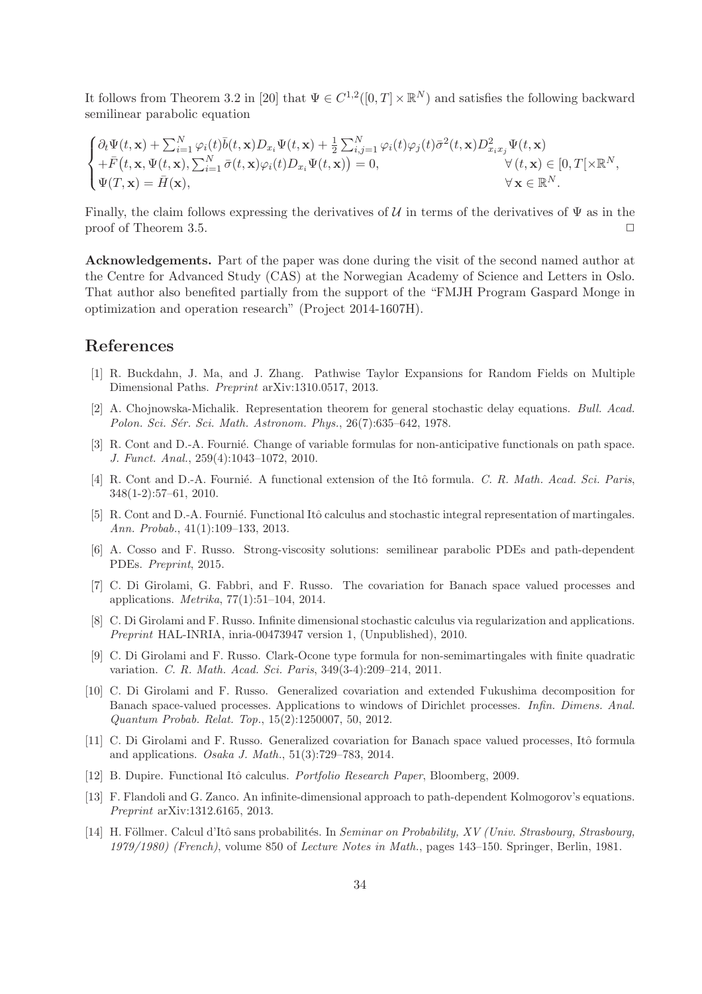It follows from Theorem 3.2 in [20] that  $\Psi \in C^{1,2}([0,T] \times \mathbb{R}^N)$  and satisfies the following backward semilinear parabolic equation

$$
\begin{cases} \partial_t \Psi(t, \mathbf{x}) + \sum_{i=1}^N \varphi_i(t) \bar{b}(t, \mathbf{x}) D_{x_i} \Psi(t, \mathbf{x}) + \frac{1}{2} \sum_{i,j=1}^N \varphi_i(t) \varphi_j(t) \bar{\sigma}^2(t, \mathbf{x}) D_{x_i x_j}^2 \Psi(t, \mathbf{x}) \\ + \bar{F}(t, \mathbf{x}, \Psi(t, \mathbf{x}), \sum_{i=1}^N \bar{\sigma}(t, \mathbf{x}) \varphi_i(t) D_{x_i} \Psi(t, \mathbf{x})) = 0, & \forall (t, \mathbf{x}) \in [0, T[ \times \mathbb{R}^N, \\ \Psi(T, \mathbf{x}) = \bar{H}(\mathbf{x}), & \forall \mathbf{x} \in \mathbb{R}^N. \end{cases}
$$

Finally, the claim follows expressing the derivatives of  $\mathcal U$  in terms of the derivatives of  $\Psi$  as in the proof of Theorem 3.5.

Acknowledgements. Part of the paper was done during the visit of the second named author at the Centre for Advanced Study (CAS) at the Norwegian Academy of Science and Letters in Oslo. That author also benefited partially from the support of the "FMJH Program Gaspard Monge in optimization and operation research" (Project 2014-1607H).

## References

- [1] R. Buckdahn, J. Ma, and J. Zhang. Pathwise Taylor Expansions for Random Fields on Multiple Dimensional Paths. Preprint arXiv:1310.0517, 2013.
- [2] A. Chojnowska-Michalik. Representation theorem for general stochastic delay equations. Bull. Acad. Polon. Sci. Sér. Sci. Math. Astronom. Phys., 26(7):635–642, 1978.
- [3] R. Cont and D.-A. Fournié. Change of variable formulas for non-anticipative functionals on path space. J. Funct. Anal., 259(4):1043–1072, 2010.
- [4] R. Cont and D.-A. Fournié. A functional extension of the Itô formula. C. R. Math. Acad. Sci. Paris, 348(1-2):57–61, 2010.
- [5] R. Cont and D.-A. Fournié. Functional Itô calculus and stochastic integral representation of martingales. Ann. Probab., 41(1):109–133, 2013.
- [6] A. Cosso and F. Russo. Strong-viscosity solutions: semilinear parabolic PDEs and path-dependent PDEs. Preprint, 2015.
- [7] C. Di Girolami, G. Fabbri, and F. Russo. The covariation for Banach space valued processes and applications. Metrika, 77(1):51–104, 2014.
- [8] C. Di Girolami and F. Russo. Infinite dimensional stochastic calculus via regularization and applications. Preprint HAL-INRIA, inria-00473947 version 1, (Unpublished), 2010.
- [9] C. Di Girolami and F. Russo. Clark-Ocone type formula for non-semimartingales with finite quadratic variation. C. R. Math. Acad. Sci. Paris, 349(3-4):209–214, 2011.
- [10] C. Di Girolami and F. Russo. Generalized covariation and extended Fukushima decomposition for Banach space-valued processes. Applications to windows of Dirichlet processes. Infin. Dimens. Anal. Quantum Probab. Relat. Top., 15(2):1250007, 50, 2012.
- [11] C. Di Girolami and F. Russo. Generalized covariation for Banach space valued processes, Itô formula and applications. Osaka J. Math., 51(3):729–783, 2014.
- [12] B. Dupire. Functional Itô calculus. *Portfolio Research Paper*, Bloomberg, 2009.
- [13] F. Flandoli and G. Zanco. An infinite-dimensional approach to path-dependent Kolmogorov's equations. Preprint arXiv:1312.6165, 2013.
- [14] H. Föllmer. Calcul d'Itô sans probabilités. In Seminar on Probability, XV (Univ. Strasbourg, Strasbourg, 1979/1980) (French), volume 850 of Lecture Notes in Math., pages 143–150. Springer, Berlin, 1981.